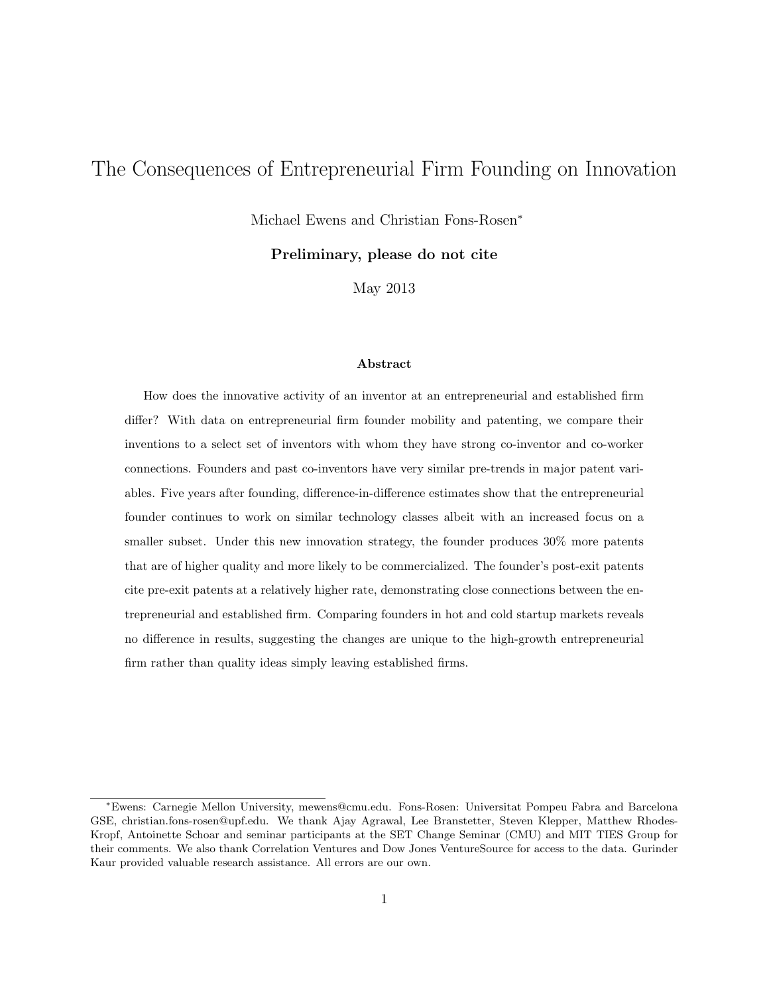# The Consequences of Entrepreneurial Firm Founding on Innovation

Michael Ewens and Christian Fons-Rosen<sup>∗</sup>

Preliminary, please do not cite

May 2013

### Abstract

How does the innovative activity of an inventor at an entrepreneurial and established firm differ? With data on entrepreneurial firm founder mobility and patenting, we compare their inventions to a select set of inventors with whom they have strong co-inventor and co-worker connections. Founders and past co-inventors have very similar pre-trends in major patent variables. Five years after founding, difference-in-difference estimates show that the entrepreneurial founder continues to work on similar technology classes albeit with an increased focus on a smaller subset. Under this new innovation strategy, the founder produces 30% more patents that are of higher quality and more likely to be commercialized. The founder's post-exit patents cite pre-exit patents at a relatively higher rate, demonstrating close connections between the entrepreneurial and established firm. Comparing founders in hot and cold startup markets reveals no difference in results, suggesting the changes are unique to the high-growth entrepreneurial firm rather than quality ideas simply leaving established firms.

<sup>∗</sup>Ewens: Carnegie Mellon University, mewens@cmu.edu. Fons-Rosen: Universitat Pompeu Fabra and Barcelona GSE, christian.fons-rosen@upf.edu. We thank Ajay Agrawal, Lee Branstetter, Steven Klepper, Matthew Rhodes-Kropf, Antoinette Schoar and seminar participants at the SET Change Seminar (CMU) and MIT TIES Group for their comments. We also thank Correlation Ventures and Dow Jones VentureSource for access to the data. Gurinder Kaur provided valuable research assistance. All errors are our own.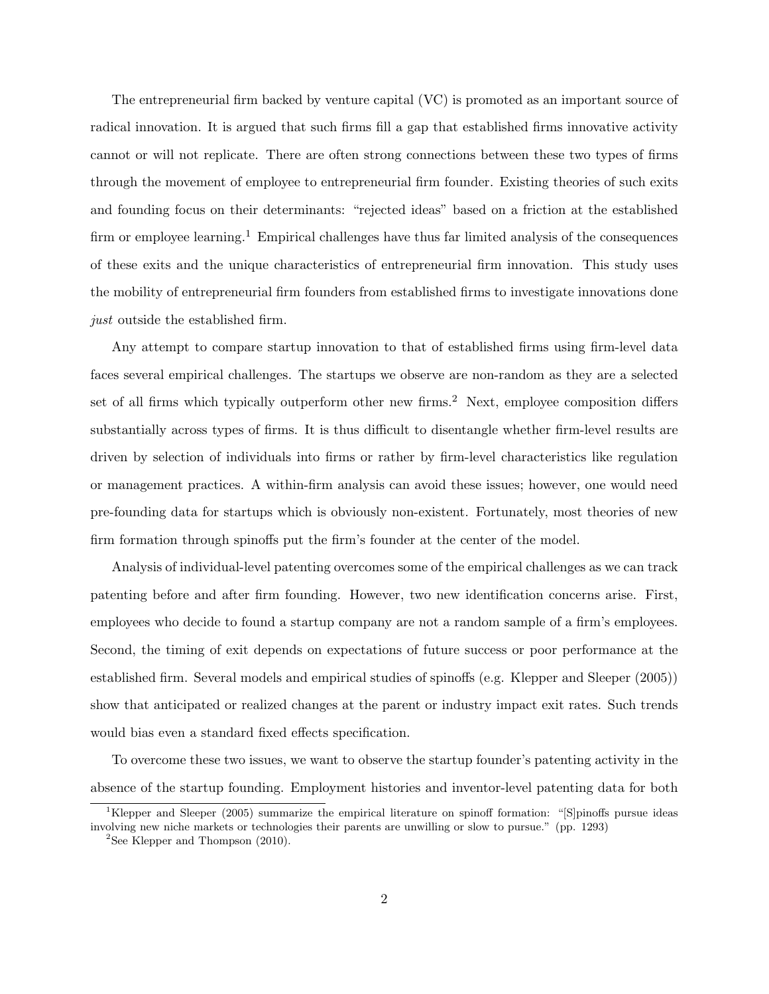The entrepreneurial firm backed by venture capital (VC) is promoted as an important source of radical innovation. It is argued that such firms fill a gap that established firms innovative activity cannot or will not replicate. There are often strong connections between these two types of firms through the movement of employee to entrepreneurial firm founder. Existing theories of such exits and founding focus on their determinants: "rejected ideas" based on a friction at the established firm or employee learning.<sup>1</sup> Empirical challenges have thus far limited analysis of the consequences of these exits and the unique characteristics of entrepreneurial firm innovation. This study uses the mobility of entrepreneurial firm founders from established firms to investigate innovations done just outside the established firm.

Any attempt to compare startup innovation to that of established firms using firm-level data faces several empirical challenges. The startups we observe are non-random as they are a selected set of all firms which typically outperform other new firms.<sup>2</sup> Next, employee composition differs substantially across types of firms. It is thus difficult to disentangle whether firm-level results are driven by selection of individuals into firms or rather by firm-level characteristics like regulation or management practices. A within-firm analysis can avoid these issues; however, one would need pre-founding data for startups which is obviously non-existent. Fortunately, most theories of new firm formation through spinoffs put the firm's founder at the center of the model.

Analysis of individual-level patenting overcomes some of the empirical challenges as we can track patenting before and after firm founding. However, two new identification concerns arise. First, employees who decide to found a startup company are not a random sample of a firm's employees. Second, the timing of exit depends on expectations of future success or poor performance at the established firm. Several models and empirical studies of spinoffs (e.g. Klepper and Sleeper (2005)) show that anticipated or realized changes at the parent or industry impact exit rates. Such trends would bias even a standard fixed effects specification.

To overcome these two issues, we want to observe the startup founder's patenting activity in the absence of the startup founding. Employment histories and inventor-level patenting data for both

<sup>1</sup>Klepper and Sleeper (2005) summarize the empirical literature on spinoff formation: "[S]pinoffs pursue ideas involving new niche markets or technologies their parents are unwilling or slow to pursue." (pp. 1293)

 ${}^{2}$ See Klepper and Thompson (2010).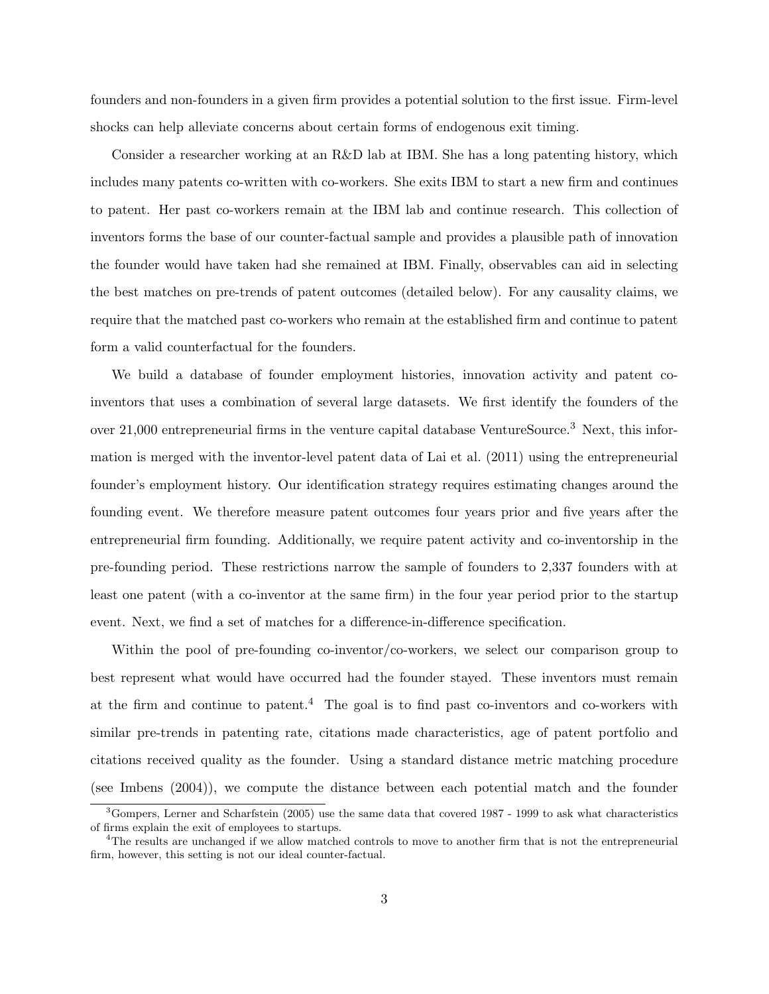founders and non-founders in a given firm provides a potential solution to the first issue. Firm-level shocks can help alleviate concerns about certain forms of endogenous exit timing.

Consider a researcher working at an R&D lab at IBM. She has a long patenting history, which includes many patents co-written with co-workers. She exits IBM to start a new firm and continues to patent. Her past co-workers remain at the IBM lab and continue research. This collection of inventors forms the base of our counter-factual sample and provides a plausible path of innovation the founder would have taken had she remained at IBM. Finally, observables can aid in selecting the best matches on pre-trends of patent outcomes (detailed below). For any causality claims, we require that the matched past co-workers who remain at the established firm and continue to patent form a valid counterfactual for the founders.

We build a database of founder employment histories, innovation activity and patent coinventors that uses a combination of several large datasets. We first identify the founders of the over 21,000 entrepreneurial firms in the venture capital database VentureSource.<sup>3</sup> Next, this information is merged with the inventor-level patent data of Lai et al. (2011) using the entrepreneurial founder's employment history. Our identification strategy requires estimating changes around the founding event. We therefore measure patent outcomes four years prior and five years after the entrepreneurial firm founding. Additionally, we require patent activity and co-inventorship in the pre-founding period. These restrictions narrow the sample of founders to 2,337 founders with at least one patent (with a co-inventor at the same firm) in the four year period prior to the startup event. Next, we find a set of matches for a difference-in-difference specification.

Within the pool of pre-founding co-inventor/co-workers, we select our comparison group to best represent what would have occurred had the founder stayed. These inventors must remain at the firm and continue to patent.<sup>4</sup> The goal is to find past co-inventors and co-workers with similar pre-trends in patenting rate, citations made characteristics, age of patent portfolio and citations received quality as the founder. Using a standard distance metric matching procedure (see Imbens (2004)), we compute the distance between each potential match and the founder

<sup>3</sup>Gompers, Lerner and Scharfstein (2005) use the same data that covered 1987 - 1999 to ask what characteristics of firms explain the exit of employees to startups.

<sup>4</sup>The results are unchanged if we allow matched controls to move to another firm that is not the entrepreneurial firm, however, this setting is not our ideal counter-factual.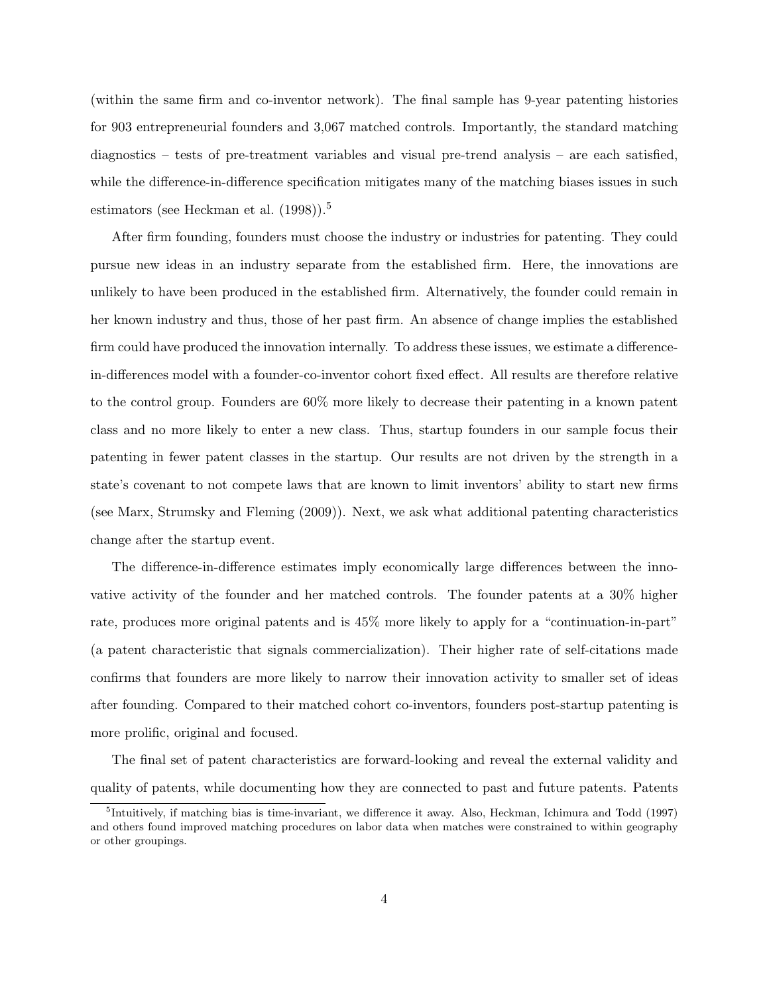(within the same firm and co-inventor network). The final sample has 9-year patenting histories for 903 entrepreneurial founders and 3,067 matched controls. Importantly, the standard matching diagnostics – tests of pre-treatment variables and visual pre-trend analysis – are each satisfied, while the difference-in-difference specification mitigates many of the matching biases issues in such estimators (see Heckman et al.  $(1998)$ ).<sup>5</sup>

After firm founding, founders must choose the industry or industries for patenting. They could pursue new ideas in an industry separate from the established firm. Here, the innovations are unlikely to have been produced in the established firm. Alternatively, the founder could remain in her known industry and thus, those of her past firm. An absence of change implies the established firm could have produced the innovation internally. To address these issues, we estimate a differencein-differences model with a founder-co-inventor cohort fixed effect. All results are therefore relative to the control group. Founders are 60% more likely to decrease their patenting in a known patent class and no more likely to enter a new class. Thus, startup founders in our sample focus their patenting in fewer patent classes in the startup. Our results are not driven by the strength in a state's covenant to not compete laws that are known to limit inventors' ability to start new firms (see Marx, Strumsky and Fleming (2009)). Next, we ask what additional patenting characteristics change after the startup event.

The difference-in-difference estimates imply economically large differences between the innovative activity of the founder and her matched controls. The founder patents at a 30% higher rate, produces more original patents and is 45% more likely to apply for a "continuation-in-part" (a patent characteristic that signals commercialization). Their higher rate of self-citations made confirms that founders are more likely to narrow their innovation activity to smaller set of ideas after founding. Compared to their matched cohort co-inventors, founders post-startup patenting is more prolific, original and focused.

The final set of patent characteristics are forward-looking and reveal the external validity and quality of patents, while documenting how they are connected to past and future patents. Patents

<sup>&</sup>lt;sup>5</sup>Intuitively, if matching bias is time-invariant, we difference it away. Also, Heckman, Ichimura and Todd (1997) and others found improved matching procedures on labor data when matches were constrained to within geography or other groupings.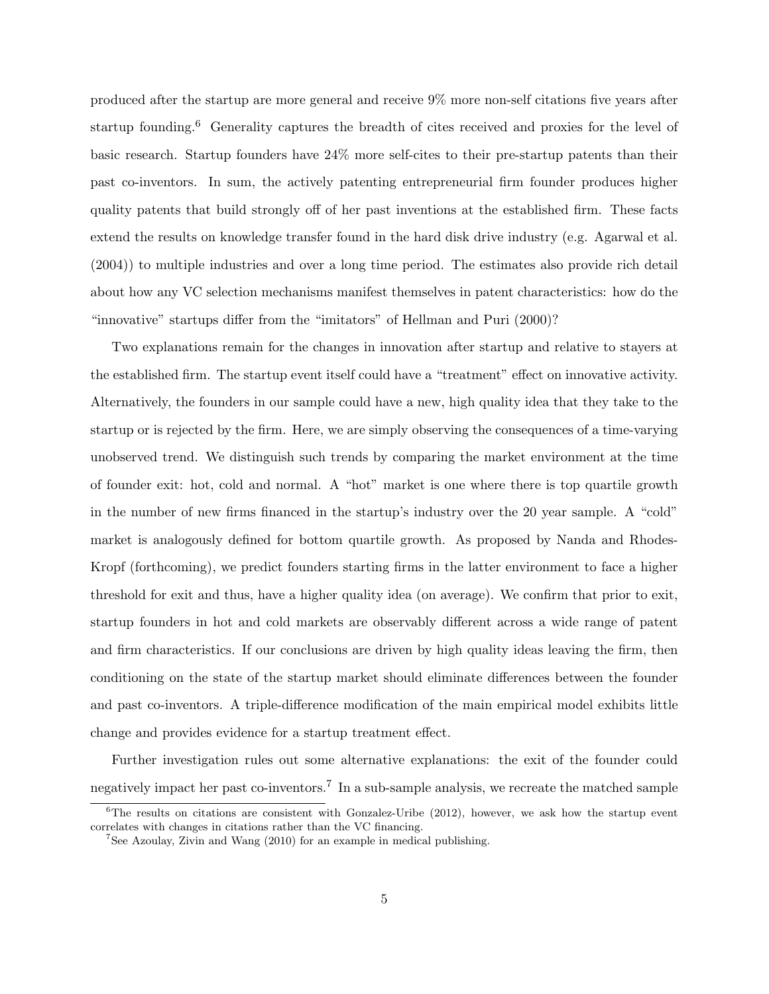produced after the startup are more general and receive 9% more non-self citations five years after startup founding.<sup>6</sup> Generality captures the breadth of cites received and proxies for the level of basic research. Startup founders have 24% more self-cites to their pre-startup patents than their past co-inventors. In sum, the actively patenting entrepreneurial firm founder produces higher quality patents that build strongly off of her past inventions at the established firm. These facts extend the results on knowledge transfer found in the hard disk drive industry (e.g. Agarwal et al. (2004)) to multiple industries and over a long time period. The estimates also provide rich detail about how any VC selection mechanisms manifest themselves in patent characteristics: how do the "innovative" startups differ from the "imitators" of Hellman and Puri (2000)?

Two explanations remain for the changes in innovation after startup and relative to stayers at the established firm. The startup event itself could have a "treatment" effect on innovative activity. Alternatively, the founders in our sample could have a new, high quality idea that they take to the startup or is rejected by the firm. Here, we are simply observing the consequences of a time-varying unobserved trend. We distinguish such trends by comparing the market environment at the time of founder exit: hot, cold and normal. A "hot" market is one where there is top quartile growth in the number of new firms financed in the startup's industry over the 20 year sample. A "cold" market is analogously defined for bottom quartile growth. As proposed by Nanda and Rhodes-Kropf (forthcoming), we predict founders starting firms in the latter environment to face a higher threshold for exit and thus, have a higher quality idea (on average). We confirm that prior to exit, startup founders in hot and cold markets are observably different across a wide range of patent and firm characteristics. If our conclusions are driven by high quality ideas leaving the firm, then conditioning on the state of the startup market should eliminate differences between the founder and past co-inventors. A triple-difference modification of the main empirical model exhibits little change and provides evidence for a startup treatment effect.

Further investigation rules out some alternative explanations: the exit of the founder could negatively impact her past co-inventors.<sup>7</sup> In a sub-sample analysis, we recreate the matched sample

 ${}^{6}$ The results on citations are consistent with Gonzalez-Uribe (2012), however, we ask how the startup event correlates with changes in citations rather than the VC financing.

 $7$ See Azoulay, Zivin and Wang (2010) for an example in medical publishing.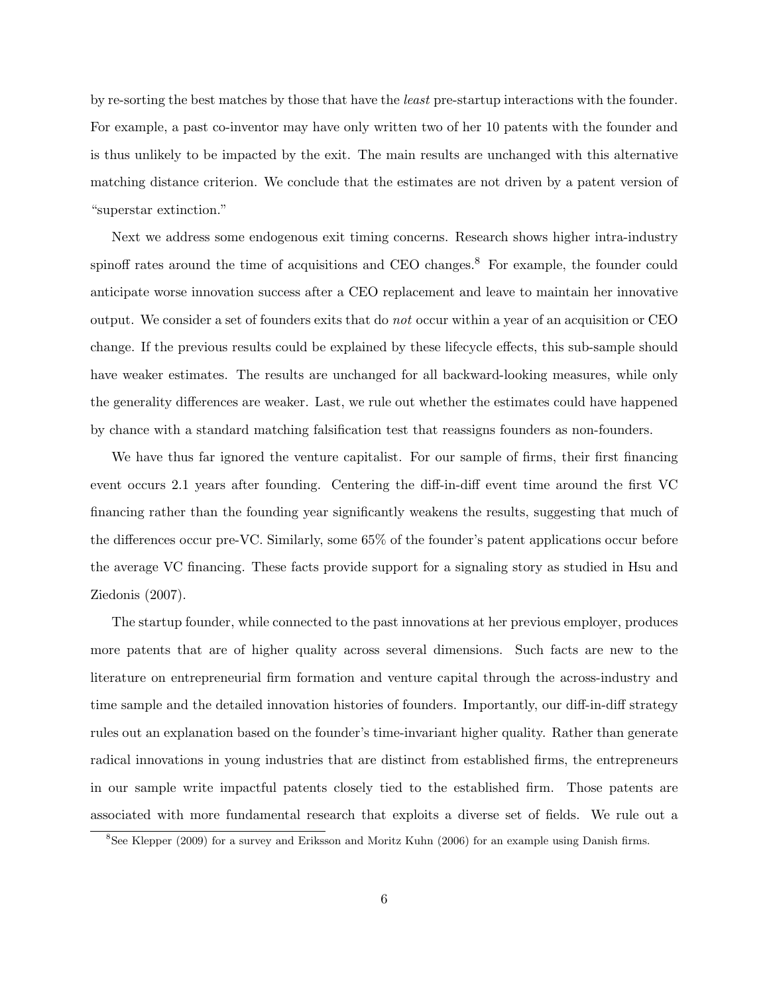by re-sorting the best matches by those that have the least pre-startup interactions with the founder. For example, a past co-inventor may have only written two of her 10 patents with the founder and is thus unlikely to be impacted by the exit. The main results are unchanged with this alternative matching distance criterion. We conclude that the estimates are not driven by a patent version of "superstar extinction."

Next we address some endogenous exit timing concerns. Research shows higher intra-industry spinoff rates around the time of acquisitions and CEO changes.<sup>8</sup> For example, the founder could anticipate worse innovation success after a CEO replacement and leave to maintain her innovative output. We consider a set of founders exits that do not occur within a year of an acquisition or CEO change. If the previous results could be explained by these lifecycle effects, this sub-sample should have weaker estimates. The results are unchanged for all backward-looking measures, while only the generality differences are weaker. Last, we rule out whether the estimates could have happened by chance with a standard matching falsification test that reassigns founders as non-founders.

We have thus far ignored the venture capitalist. For our sample of firms, their first financing event occurs 2.1 years after founding. Centering the diff-in-diff event time around the first VC financing rather than the founding year significantly weakens the results, suggesting that much of the differences occur pre-VC. Similarly, some 65% of the founder's patent applications occur before the average VC financing. These facts provide support for a signaling story as studied in Hsu and Ziedonis (2007).

The startup founder, while connected to the past innovations at her previous employer, produces more patents that are of higher quality across several dimensions. Such facts are new to the literature on entrepreneurial firm formation and venture capital through the across-industry and time sample and the detailed innovation histories of founders. Importantly, our diff-in-diff strategy rules out an explanation based on the founder's time-invariant higher quality. Rather than generate radical innovations in young industries that are distinct from established firms, the entrepreneurs in our sample write impactful patents closely tied to the established firm. Those patents are associated with more fundamental research that exploits a diverse set of fields. We rule out a

<sup>8</sup>See Klepper (2009) for a survey and Eriksson and Moritz Kuhn (2006) for an example using Danish firms.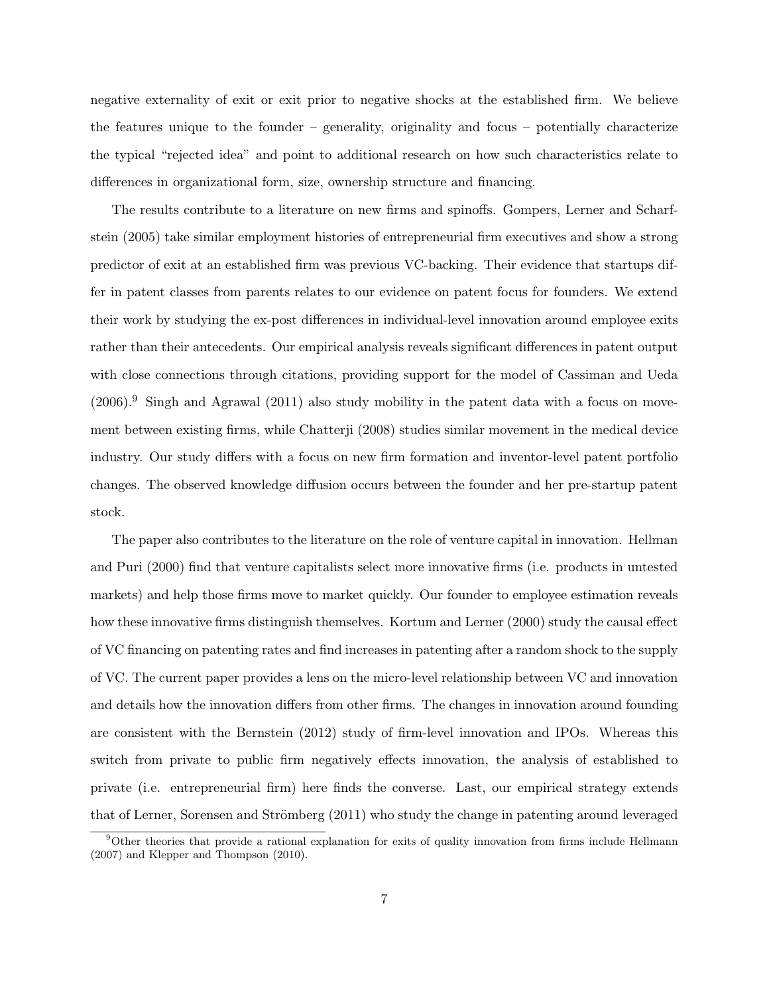negative externality of exit or exit prior to negative shocks at the established firm. We believe the features unique to the founder – generality, originality and focus – potentially characterize the typical "rejected idea" and point to additional research on how such characteristics relate to differences in organizational form, size, ownership structure and financing.

The results contribute to a literature on new firms and spinoffs. Gompers, Lerner and Scharfstein (2005) take similar employment histories of entrepreneurial firm executives and show a strong predictor of exit at an established firm was previous VC-backing. Their evidence that startups differ in patent classes from parents relates to our evidence on patent focus for founders. We extend their work by studying the ex-post differences in individual-level innovation around employee exits rather than their antecedents. Our empirical analysis reveals significant differences in patent output with close connections through citations, providing support for the model of Cassiman and Ueda  $(2006).<sup>9</sup>$  Singh and Agrawal  $(2011)$  also study mobility in the patent data with a focus on movement between existing firms, while Chatterji (2008) studies similar movement in the medical device industry. Our study differs with a focus on new firm formation and inventor-level patent portfolio changes. The observed knowledge diffusion occurs between the founder and her pre-startup patent stock.

The paper also contributes to the literature on the role of venture capital in innovation. Hellman and Puri (2000) find that venture capitalists select more innovative firms (i.e. products in untested markets) and help those firms move to market quickly. Our founder to employee estimation reveals how these innovative firms distinguish themselves. Kortum and Lerner (2000) study the causal effect of VC financing on patenting rates and find increases in patenting after a random shock to the supply of VC. The current paper provides a lens on the micro-level relationship between VC and innovation and details how the innovation differs from other firms. The changes in innovation around founding are consistent with the Bernstein (2012) study of firm-level innovation and IPOs. Whereas this switch from private to public firm negatively effects innovation, the analysis of established to private (i.e. entrepreneurial firm) here finds the converse. Last, our empirical strategy extends that of Lerner, Sorensen and Strömberg (2011) who study the change in patenting around leveraged

<sup>9</sup>Other theories that provide a rational explanation for exits of quality innovation from firms include Hellmann (2007) and Klepper and Thompson (2010).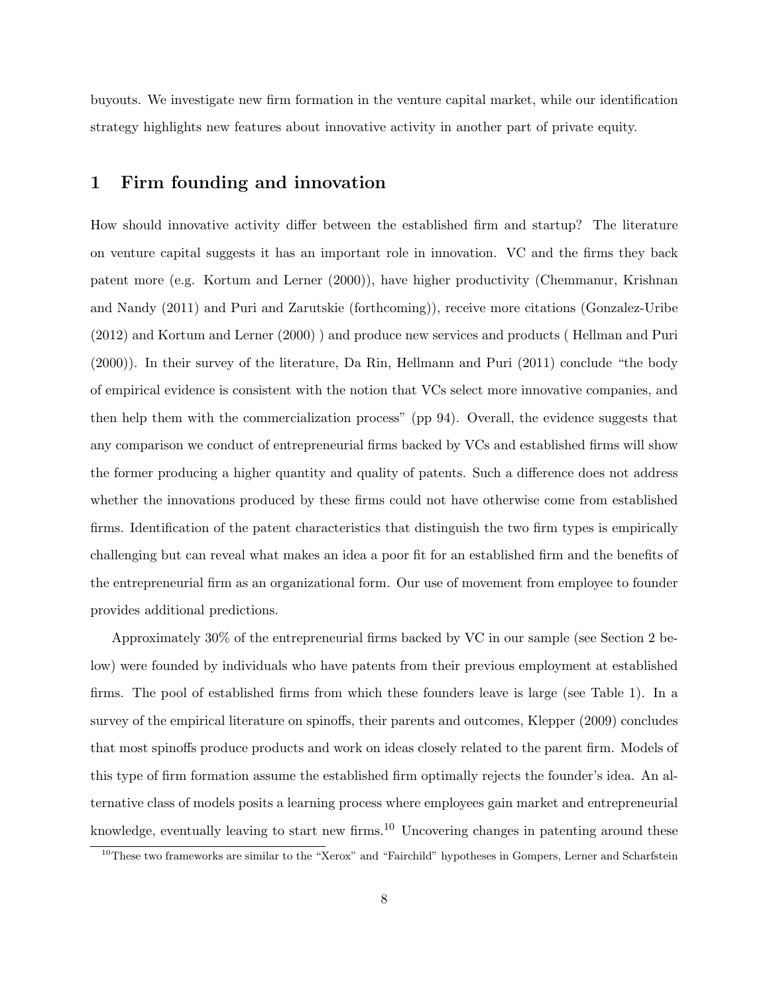buyouts. We investigate new firm formation in the venture capital market, while our identification strategy highlights new features about innovative activity in another part of private equity.

## 1 Firm founding and innovation

How should innovative activity differ between the established firm and startup? The literature on venture capital suggests it has an important role in innovation. VC and the firms they back patent more (e.g. Kortum and Lerner (2000)), have higher productivity (Chemmanur, Krishnan and Nandy (2011) and Puri and Zarutskie (forthcoming)), receive more citations (Gonzalez-Uribe (2012) and Kortum and Lerner (2000) ) and produce new services and products ( Hellman and Puri (2000)). In their survey of the literature, Da Rin, Hellmann and Puri (2011) conclude "the body of empirical evidence is consistent with the notion that VCs select more innovative companies, and then help them with the commercialization process" (pp 94). Overall, the evidence suggests that any comparison we conduct of entrepreneurial firms backed by VCs and established firms will show the former producing a higher quantity and quality of patents. Such a difference does not address whether the innovations produced by these firms could not have otherwise come from established firms. Identification of the patent characteristics that distinguish the two firm types is empirically challenging but can reveal what makes an idea a poor fit for an established firm and the benefits of the entrepreneurial firm as an organizational form. Our use of movement from employee to founder provides additional predictions.

Approximately 30% of the entrepreneurial firms backed by VC in our sample (see Section 2 below) were founded by individuals who have patents from their previous employment at established firms. The pool of established firms from which these founders leave is large (see Table 1). In a survey of the empirical literature on spinoffs, their parents and outcomes, Klepper (2009) concludes that most spinoffs produce products and work on ideas closely related to the parent firm. Models of this type of firm formation assume the established firm optimally rejects the founder's idea. An alternative class of models posits a learning process where employees gain market and entrepreneurial knowledge, eventually leaving to start new firms.<sup>10</sup> Uncovering changes in patenting around these

<sup>&</sup>lt;sup>10</sup>These two frameworks are similar to the "Xerox" and "Fairchild" hypotheses in Gompers, Lerner and Scharfstein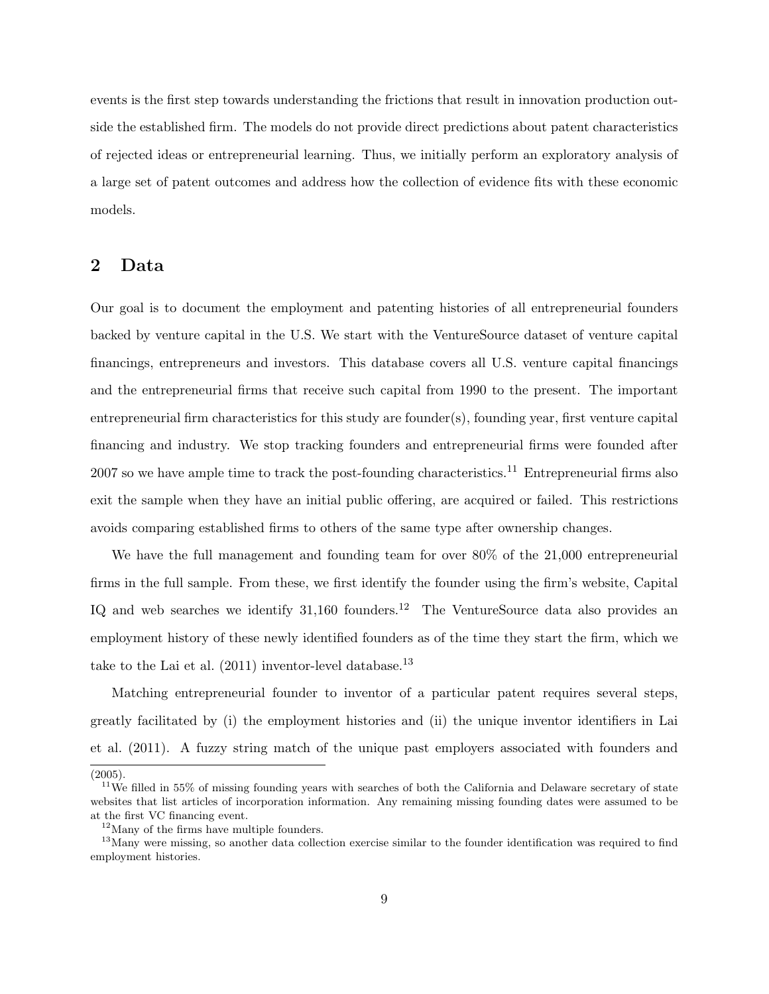events is the first step towards understanding the frictions that result in innovation production outside the established firm. The models do not provide direct predictions about patent characteristics of rejected ideas or entrepreneurial learning. Thus, we initially perform an exploratory analysis of a large set of patent outcomes and address how the collection of evidence fits with these economic models.

## 2 Data

Our goal is to document the employment and patenting histories of all entrepreneurial founders backed by venture capital in the U.S. We start with the VentureSource dataset of venture capital financings, entrepreneurs and investors. This database covers all U.S. venture capital financings and the entrepreneurial firms that receive such capital from 1990 to the present. The important entrepreneurial firm characteristics for this study are founder(s), founding year, first venture capital financing and industry. We stop tracking founders and entrepreneurial firms were founded after 2007 so we have ample time to track the post-founding characteristics.<sup>11</sup> Entrepreneurial firms also exit the sample when they have an initial public offering, are acquired or failed. This restrictions avoids comparing established firms to others of the same type after ownership changes.

We have the full management and founding team for over 80% of the 21,000 entrepreneurial firms in the full sample. From these, we first identify the founder using the firm's website, Capital IQ and web searches we identify  $31,160$  founders.<sup>12</sup> The VentureSource data also provides an employment history of these newly identified founders as of the time they start the firm, which we take to the Lai et al.  $(2011)$  inventor-level database.<sup>13</sup>

Matching entrepreneurial founder to inventor of a particular patent requires several steps, greatly facilitated by (i) the employment histories and (ii) the unique inventor identifiers in Lai et al. (2011). A fuzzy string match of the unique past employers associated with founders and

<sup>(2005).</sup>

 $11$ We filled in 55% of missing founding years with searches of both the California and Delaware secretary of state websites that list articles of incorporation information. Any remaining missing founding dates were assumed to be at the first VC financing event.

 $12$ Many of the firms have multiple founders.

<sup>&</sup>lt;sup>13</sup>Many were missing, so another data collection exercise similar to the founder identification was required to find employment histories.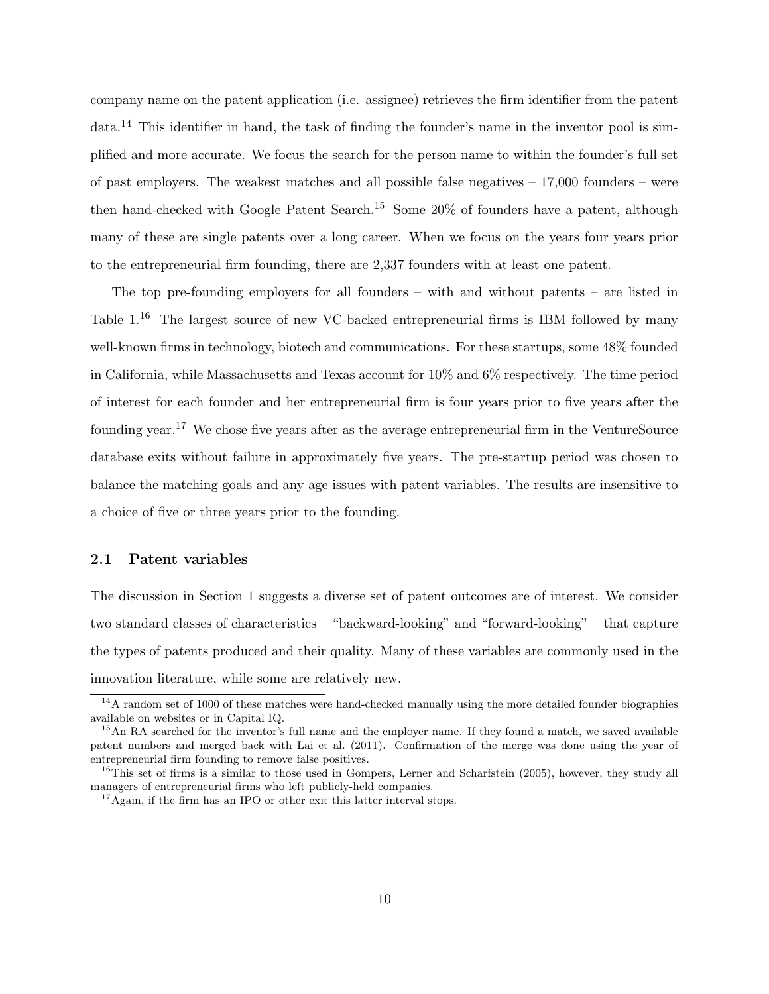company name on the patent application (i.e. assignee) retrieves the firm identifier from the patent  $data<sup>14</sup>$  This identifier in hand, the task of finding the founder's name in the inventor pool is simplified and more accurate. We focus the search for the person name to within the founder's full set of past employers. The weakest matches and all possible false negatives  $-17,000$  founders – were then hand-checked with Google Patent Search.<sup>15</sup> Some 20% of founders have a patent, although many of these are single patents over a long career. When we focus on the years four years prior to the entrepreneurial firm founding, there are 2,337 founders with at least one patent.

The top pre-founding employers for all founders – with and without patents – are listed in Table 1.<sup>16</sup> The largest source of new VC-backed entrepreneurial firms is IBM followed by many well-known firms in technology, biotech and communications. For these startups, some 48% founded in California, while Massachusetts and Texas account for 10% and 6% respectively. The time period of interest for each founder and her entrepreneurial firm is four years prior to five years after the founding year.<sup>17</sup> We chose five years after as the average entrepreneurial firm in the VentureSource database exits without failure in approximately five years. The pre-startup period was chosen to balance the matching goals and any age issues with patent variables. The results are insensitive to a choice of five or three years prior to the founding.

## 2.1 Patent variables

The discussion in Section 1 suggests a diverse set of patent outcomes are of interest. We consider two standard classes of characteristics – "backward-looking" and "forward-looking" – that capture the types of patents produced and their quality. Many of these variables are commonly used in the innovation literature, while some are relatively new.

<sup>&</sup>lt;sup>14</sup>A random set of 1000 of these matches were hand-checked manually using the more detailed founder biographies available on websites or in Capital IQ.

<sup>&</sup>lt;sup>15</sup>An RA searched for the inventor's full name and the employer name. If they found a match, we saved available patent numbers and merged back with Lai et al. (2011). Confirmation of the merge was done using the year of entrepreneurial firm founding to remove false positives.

 $16$ This set of firms is a similar to those used in Gompers, Lerner and Scharfstein (2005), however, they study all managers of entrepreneurial firms who left publicly-held companies.

<sup>&</sup>lt;sup>17</sup>Again, if the firm has an IPO or other exit this latter interval stops.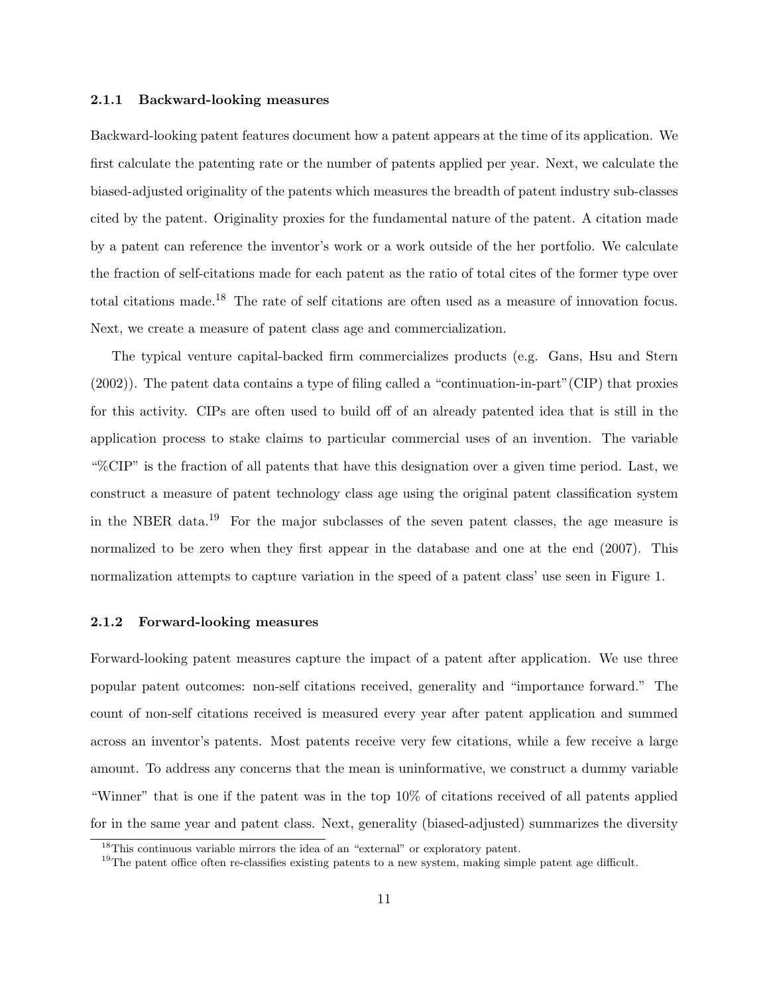### 2.1.1 Backward-looking measures

Backward-looking patent features document how a patent appears at the time of its application. We first calculate the patenting rate or the number of patents applied per year. Next, we calculate the biased-adjusted originality of the patents which measures the breadth of patent industry sub-classes cited by the patent. Originality proxies for the fundamental nature of the patent. A citation made by a patent can reference the inventor's work or a work outside of the her portfolio. We calculate the fraction of self-citations made for each patent as the ratio of total cites of the former type over total citations made.<sup>18</sup> The rate of self citations are often used as a measure of innovation focus. Next, we create a measure of patent class age and commercialization.

The typical venture capital-backed firm commercializes products (e.g. Gans, Hsu and Stern (2002)). The patent data contains a type of filing called a "continuation-in-part"(CIP) that proxies for this activity. CIPs are often used to build off of an already patented idea that is still in the application process to stake claims to particular commercial uses of an invention. The variable "%CIP" is the fraction of all patents that have this designation over a given time period. Last, we construct a measure of patent technology class age using the original patent classification system in the NBER data.<sup>19</sup> For the major subclasses of the seven patent classes, the age measure is normalized to be zero when they first appear in the database and one at the end (2007). This normalization attempts to capture variation in the speed of a patent class' use seen in Figure 1.

#### 2.1.2 Forward-looking measures

Forward-looking patent measures capture the impact of a patent after application. We use three popular patent outcomes: non-self citations received, generality and "importance forward." The count of non-self citations received is measured every year after patent application and summed across an inventor's patents. Most patents receive very few citations, while a few receive a large amount. To address any concerns that the mean is uninformative, we construct a dummy variable "Winner" that is one if the patent was in the top 10% of citations received of all patents applied for in the same year and patent class. Next, generality (biased-adjusted) summarizes the diversity

 $^{18}{\rm This}$  continuous variable mirrors the idea of an "external" or exploratory patent.

<sup>&</sup>lt;sup>19</sup>The patent office often re-classifies existing patents to a new system, making simple patent age difficult.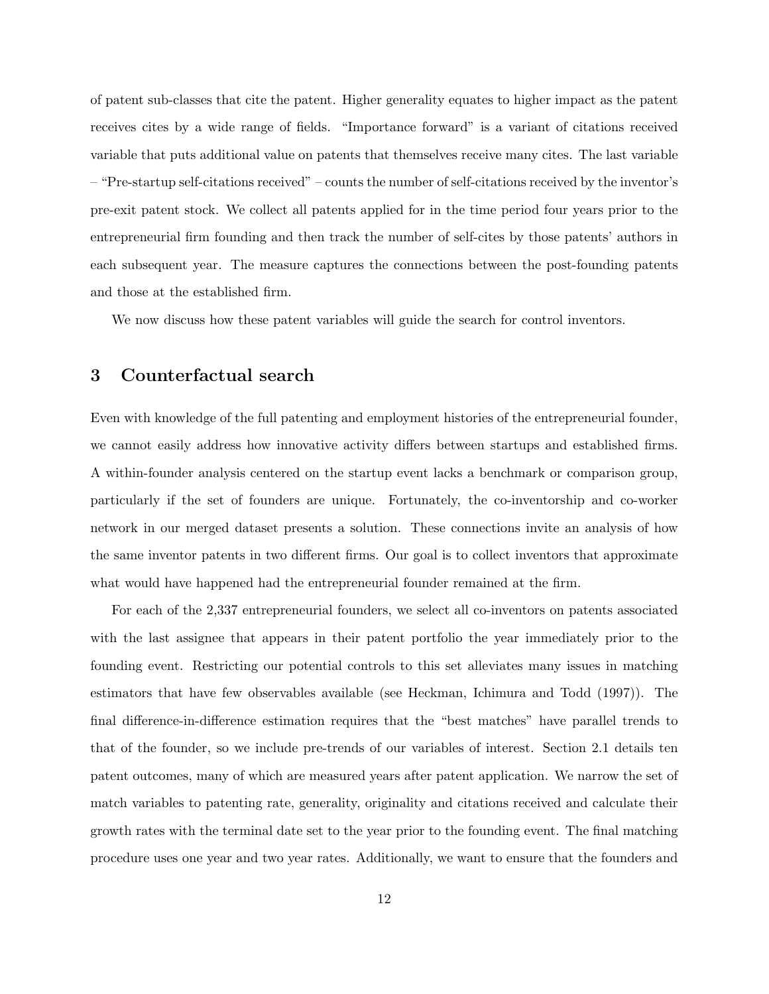of patent sub-classes that cite the patent. Higher generality equates to higher impact as the patent receives cites by a wide range of fields. "Importance forward" is a variant of citations received variable that puts additional value on patents that themselves receive many cites. The last variable – "Pre-startup self-citations received" – counts the number of self-citations received by the inventor's pre-exit patent stock. We collect all patents applied for in the time period four years prior to the entrepreneurial firm founding and then track the number of self-cites by those patents' authors in each subsequent year. The measure captures the connections between the post-founding patents and those at the established firm.

We now discuss how these patent variables will guide the search for control inventors.

## 3 Counterfactual search

Even with knowledge of the full patenting and employment histories of the entrepreneurial founder, we cannot easily address how innovative activity differs between startups and established firms. A within-founder analysis centered on the startup event lacks a benchmark or comparison group, particularly if the set of founders are unique. Fortunately, the co-inventorship and co-worker network in our merged dataset presents a solution. These connections invite an analysis of how the same inventor patents in two different firms. Our goal is to collect inventors that approximate what would have happened had the entrepreneurial founder remained at the firm.

For each of the 2,337 entrepreneurial founders, we select all co-inventors on patents associated with the last assignee that appears in their patent portfolio the year immediately prior to the founding event. Restricting our potential controls to this set alleviates many issues in matching estimators that have few observables available (see Heckman, Ichimura and Todd (1997)). The final difference-in-difference estimation requires that the "best matches" have parallel trends to that of the founder, so we include pre-trends of our variables of interest. Section 2.1 details ten patent outcomes, many of which are measured years after patent application. We narrow the set of match variables to patenting rate, generality, originality and citations received and calculate their growth rates with the terminal date set to the year prior to the founding event. The final matching procedure uses one year and two year rates. Additionally, we want to ensure that the founders and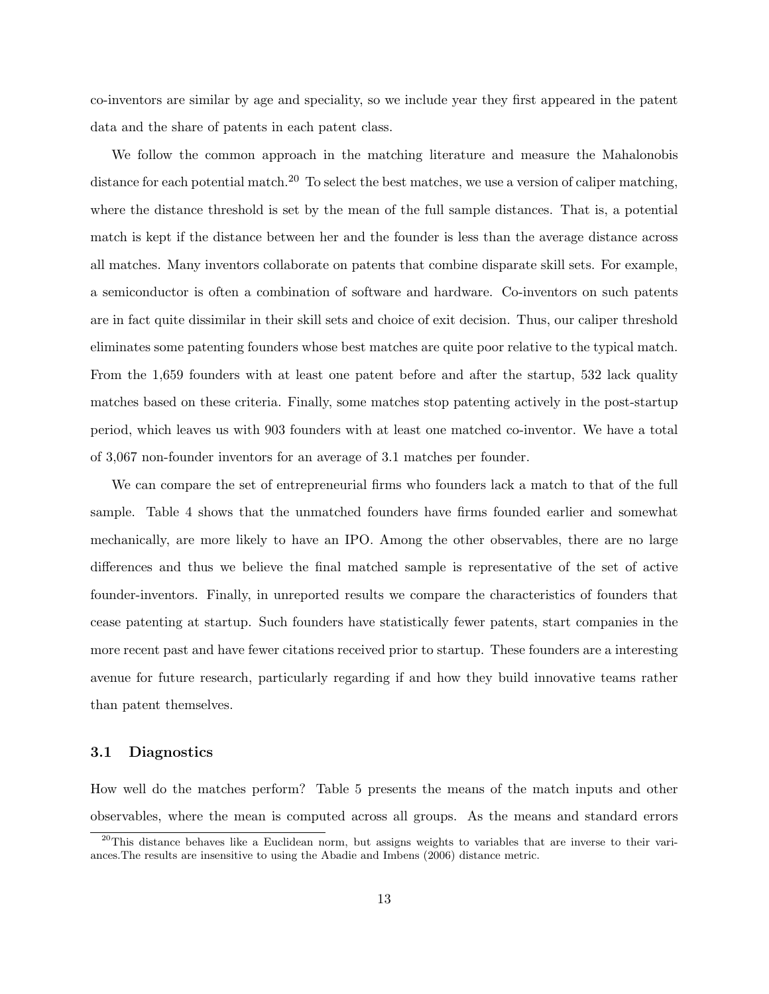co-inventors are similar by age and speciality, so we include year they first appeared in the patent data and the share of patents in each patent class.

We follow the common approach in the matching literature and measure the Mahalonobis distance for each potential match.<sup>20</sup> To select the best matches, we use a version of caliper matching, where the distance threshold is set by the mean of the full sample distances. That is, a potential match is kept if the distance between her and the founder is less than the average distance across all matches. Many inventors collaborate on patents that combine disparate skill sets. For example, a semiconductor is often a combination of software and hardware. Co-inventors on such patents are in fact quite dissimilar in their skill sets and choice of exit decision. Thus, our caliper threshold eliminates some patenting founders whose best matches are quite poor relative to the typical match. From the 1,659 founders with at least one patent before and after the startup, 532 lack quality matches based on these criteria. Finally, some matches stop patenting actively in the post-startup period, which leaves us with 903 founders with at least one matched co-inventor. We have a total of 3,067 non-founder inventors for an average of 3.1 matches per founder.

We can compare the set of entrepreneurial firms who founders lack a match to that of the full sample. Table 4 shows that the unmatched founders have firms founded earlier and somewhat mechanically, are more likely to have an IPO. Among the other observables, there are no large differences and thus we believe the final matched sample is representative of the set of active founder-inventors. Finally, in unreported results we compare the characteristics of founders that cease patenting at startup. Such founders have statistically fewer patents, start companies in the more recent past and have fewer citations received prior to startup. These founders are a interesting avenue for future research, particularly regarding if and how they build innovative teams rather than patent themselves.

## 3.1 Diagnostics

How well do the matches perform? Table 5 presents the means of the match inputs and other observables, where the mean is computed across all groups. As the means and standard errors

<sup>&</sup>lt;sup>20</sup>This distance behaves like a Euclidean norm, but assigns weights to variables that are inverse to their variances.The results are insensitive to using the Abadie and Imbens (2006) distance metric.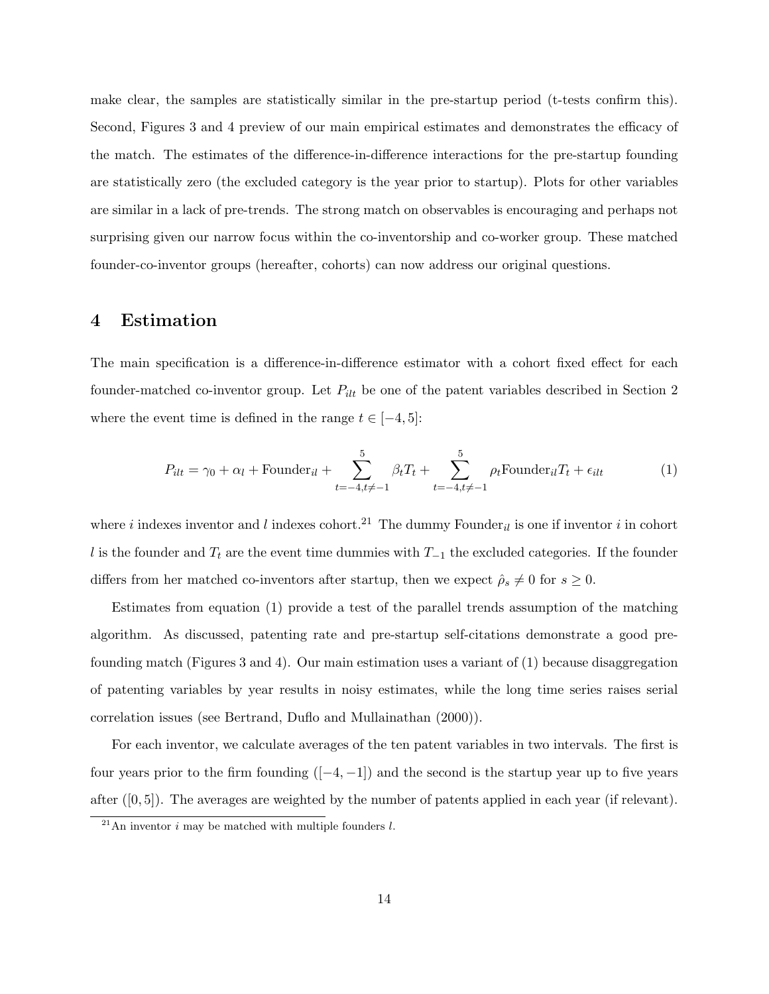make clear, the samples are statistically similar in the pre-startup period (t-tests confirm this). Second, Figures 3 and 4 preview of our main empirical estimates and demonstrates the efficacy of the match. The estimates of the difference-in-difference interactions for the pre-startup founding are statistically zero (the excluded category is the year prior to startup). Plots for other variables are similar in a lack of pre-trends. The strong match on observables is encouraging and perhaps not surprising given our narrow focus within the co-inventorship and co-worker group. These matched founder-co-inventor groups (hereafter, cohorts) can now address our original questions.

## 4 Estimation

The main specification is a difference-in-difference estimator with a cohort fixed effect for each founder-matched co-inventor group. Let  $P_{ilt}$  be one of the patent variables described in Section 2 where the event time is defined in the range  $t \in [-4, 5]$ :

$$
P_{ilt} = \gamma_0 + \alpha_l + \text{Founder}_{il} + \sum_{t=-4, t \neq -1}^{5} \beta_t T_t + \sum_{t=-4, t \neq -1}^{5} \rho_t \text{Founder}_{il} T_t + \epsilon_{ilt} \tag{1}
$$

where i indexes inventor and l indexes cohort.<sup>21</sup> The dummy Founder<sub>il</sub> is one if inventor i in cohort l is the founder and  $T_t$  are the event time dummies with  $T_{-1}$  the excluded categories. If the founder differs from her matched co-inventors after startup, then we expect  $\hat{\rho}_s \neq 0$  for  $s \geq 0$ .

Estimates from equation (1) provide a test of the parallel trends assumption of the matching algorithm. As discussed, patenting rate and pre-startup self-citations demonstrate a good prefounding match (Figures 3 and 4). Our main estimation uses a variant of (1) because disaggregation of patenting variables by year results in noisy estimates, while the long time series raises serial correlation issues (see Bertrand, Duflo and Mullainathan (2000)).

For each inventor, we calculate averages of the ten patent variables in two intervals. The first is four years prior to the firm founding  $([-4, -1])$  and the second is the startup year up to five years after  $([0, 5])$ . The averages are weighted by the number of patents applied in each year (if relevant).

 $^{21}$ An inventor *i* may be matched with multiple founders *l*.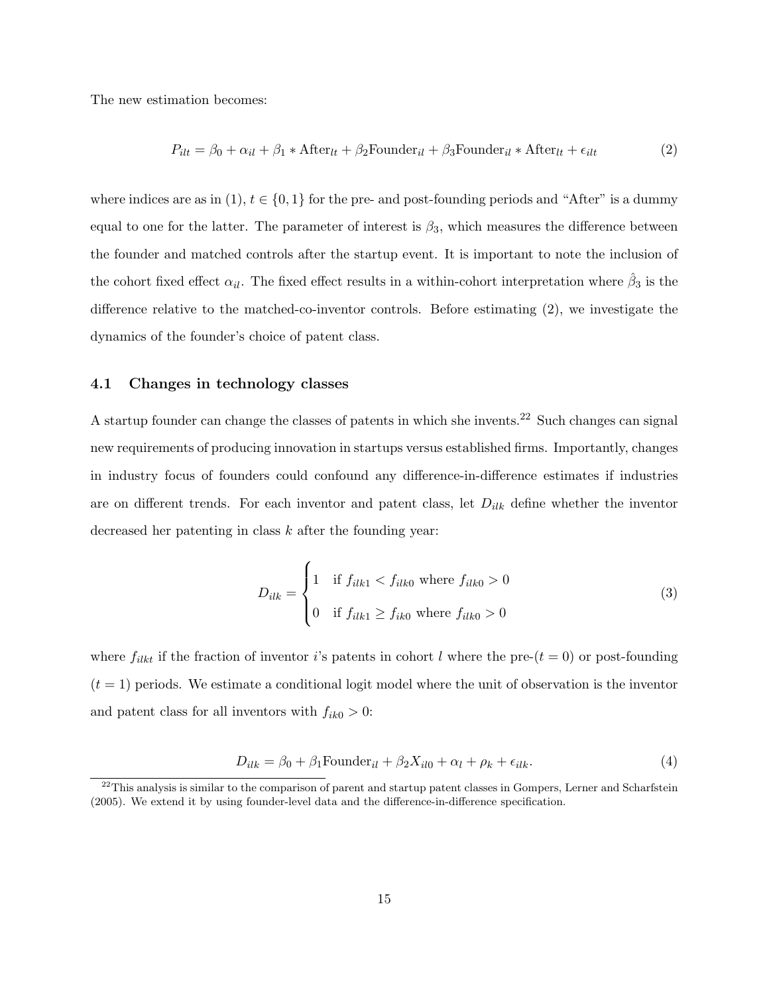The new estimation becomes:

$$
P_{ilt} = \beta_0 + \alpha_{il} + \beta_1 * \text{After}_{lt} + \beta_2 \text{Founder}_{il} + \beta_3 \text{Founder}_{il} * \text{After}_{lt} + \epsilon_{ilt} \tag{2}
$$

where indices are as in  $(1)$ ,  $t \in \{0, 1\}$  for the pre- and post-founding periods and "After" is a dummy equal to one for the latter. The parameter of interest is  $\beta_3$ , which measures the difference between the founder and matched controls after the startup event. It is important to note the inclusion of the cohort fixed effect  $\alpha_{il}$ . The fixed effect results in a within-cohort interpretation where  $\hat{\beta}_3$  is the difference relative to the matched-co-inventor controls. Before estimating (2), we investigate the dynamics of the founder's choice of patent class.

### 4.1 Changes in technology classes

A startup founder can change the classes of patents in which she invents.<sup>22</sup> Such changes can signal new requirements of producing innovation in startups versus established firms. Importantly, changes in industry focus of founders could confound any difference-in-difference estimates if industries are on different trends. For each inventor and patent class, let  $D_{ilk}$  define whether the inventor decreased her patenting in class  $k$  after the founding year:

$$
D_{ilk} = \begin{cases} 1 & \text{if } f_{ilk1} < f_{ilk0} \text{ where } f_{ilk0} > 0 \\ 0 & \text{if } f_{ilk1} \ge f_{ik0} \text{ where } f_{ilk0} > 0 \end{cases} \tag{3}
$$

where  $f_{ilkt}$  if the fraction of inventor i's patents in cohort l where the pre- $(t = 0)$  or post-founding  $(t = 1)$  periods. We estimate a conditional logit model where the unit of observation is the inventor and patent class for all inventors with  $f_{ik0} > 0$ :

$$
D_{ilk} = \beta_0 + \beta_1 \text{Founder}_{il} + \beta_2 X_{il0} + \alpha_l + \rho_k + \epsilon_{ilk}.
$$
\n<sup>(4)</sup>

 $^{22}$ This analysis is similar to the comparison of parent and startup patent classes in Gompers, Lerner and Scharfstein (2005). We extend it by using founder-level data and the difference-in-difference specification.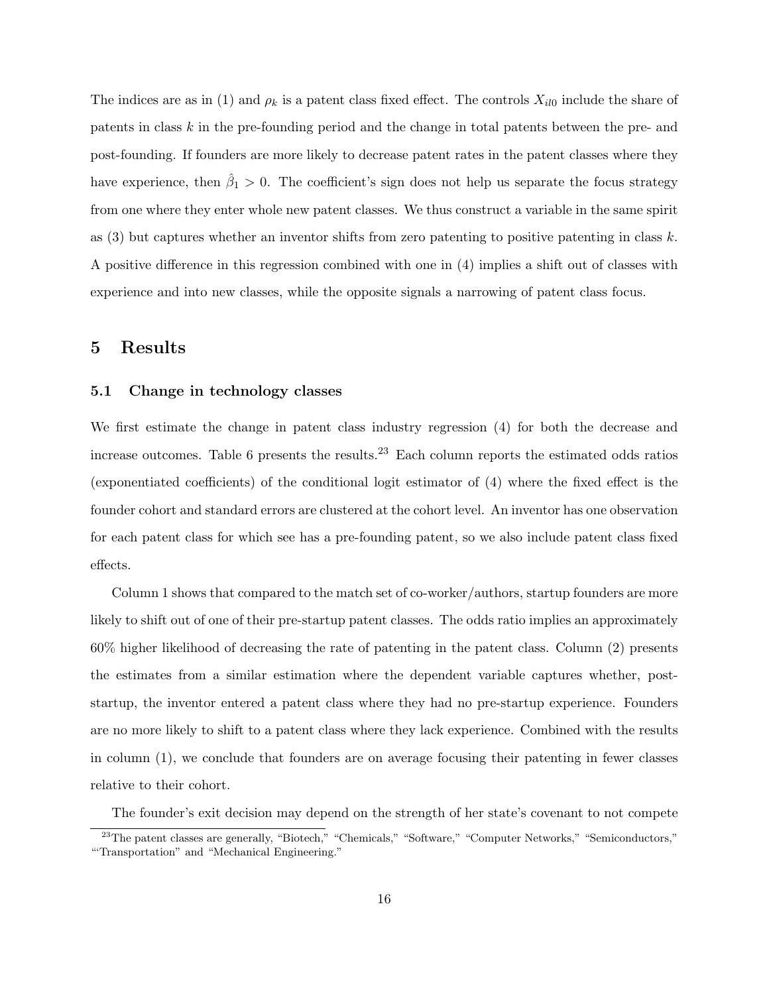The indices are as in (1) and  $\rho_k$  is a patent class fixed effect. The controls  $X_{il0}$  include the share of patents in class k in the pre-founding period and the change in total patents between the pre- and post-founding. If founders are more likely to decrease patent rates in the patent classes where they have experience, then  $\hat{\beta}_1 > 0$ . The coefficient's sign does not help us separate the focus strategy from one where they enter whole new patent classes. We thus construct a variable in the same spirit as  $(3)$  but captures whether an inventor shifts from zero patenting to positive patenting in class k. A positive difference in this regression combined with one in (4) implies a shift out of classes with experience and into new classes, while the opposite signals a narrowing of patent class focus.

## 5 Results

### 5.1 Change in technology classes

We first estimate the change in patent class industry regression (4) for both the decrease and increase outcomes. Table 6 presents the results.<sup>23</sup> Each column reports the estimated odds ratios (exponentiated coefficients) of the conditional logit estimator of (4) where the fixed effect is the founder cohort and standard errors are clustered at the cohort level. An inventor has one observation for each patent class for which see has a pre-founding patent, so we also include patent class fixed effects.

Column 1 shows that compared to the match set of co-worker/authors, startup founders are more likely to shift out of one of their pre-startup patent classes. The odds ratio implies an approximately 60% higher likelihood of decreasing the rate of patenting in the patent class. Column (2) presents the estimates from a similar estimation where the dependent variable captures whether, poststartup, the inventor entered a patent class where they had no pre-startup experience. Founders are no more likely to shift to a patent class where they lack experience. Combined with the results in column (1), we conclude that founders are on average focusing their patenting in fewer classes relative to their cohort.

The founder's exit decision may depend on the strength of her state's covenant to not compete

<sup>&</sup>lt;sup>23</sup>The patent classes are generally, "Biotech," "Chemicals," "Software," "Computer Networks," "Semiconductors," "'Transportation" and "Mechanical Engineering."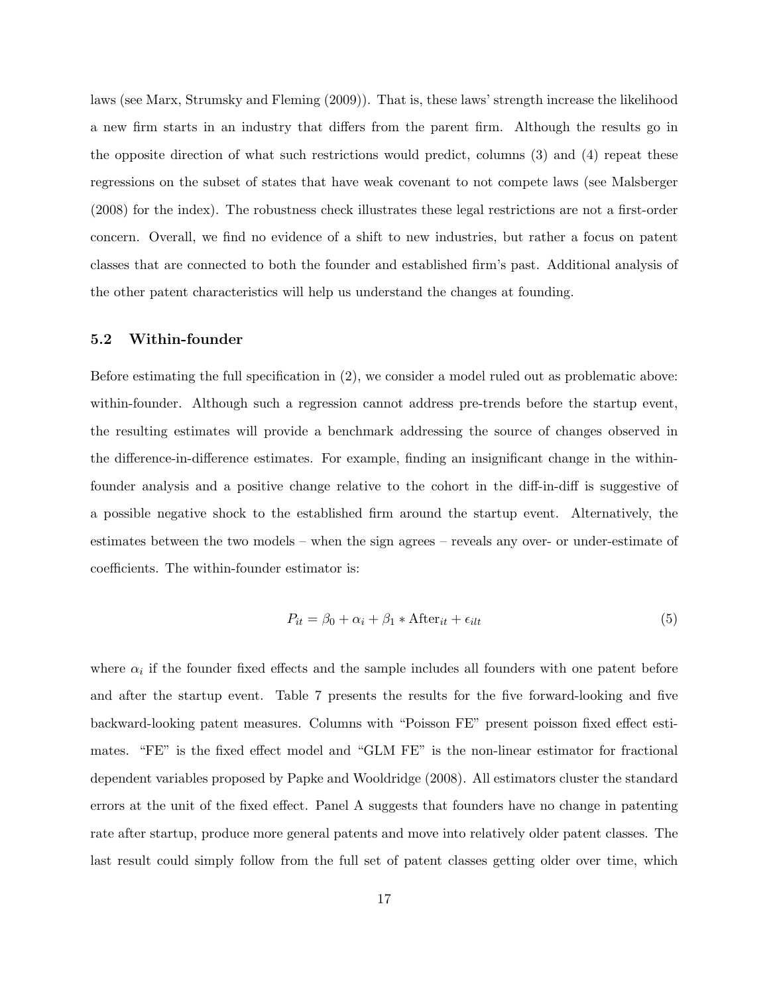laws (see Marx, Strumsky and Fleming (2009)). That is, these laws' strength increase the likelihood a new firm starts in an industry that differs from the parent firm. Although the results go in the opposite direction of what such restrictions would predict, columns (3) and (4) repeat these regressions on the subset of states that have weak covenant to not compete laws (see Malsberger (2008) for the index). The robustness check illustrates these legal restrictions are not a first-order concern. Overall, we find no evidence of a shift to new industries, but rather a focus on patent classes that are connected to both the founder and established firm's past. Additional analysis of the other patent characteristics will help us understand the changes at founding.

## 5.2 Within-founder

Before estimating the full specification in (2), we consider a model ruled out as problematic above: within-founder. Although such a regression cannot address pre-trends before the startup event, the resulting estimates will provide a benchmark addressing the source of changes observed in the difference-in-difference estimates. For example, finding an insignificant change in the withinfounder analysis and a positive change relative to the cohort in the diff-in-diff is suggestive of a possible negative shock to the established firm around the startup event. Alternatively, the estimates between the two models – when the sign agrees – reveals any over- or under-estimate of coefficients. The within-founder estimator is:

$$
P_{it} = \beta_0 + \alpha_i + \beta_1 * \text{After}_{it} + \epsilon_{ilt} \tag{5}
$$

where  $\alpha_i$  if the founder fixed effects and the sample includes all founders with one patent before and after the startup event. Table 7 presents the results for the five forward-looking and five backward-looking patent measures. Columns with "Poisson FE" present poisson fixed effect estimates. "FE" is the fixed effect model and "GLM FE" is the non-linear estimator for fractional dependent variables proposed by Papke and Wooldridge (2008). All estimators cluster the standard errors at the unit of the fixed effect. Panel A suggests that founders have no change in patenting rate after startup, produce more general patents and move into relatively older patent classes. The last result could simply follow from the full set of patent classes getting older over time, which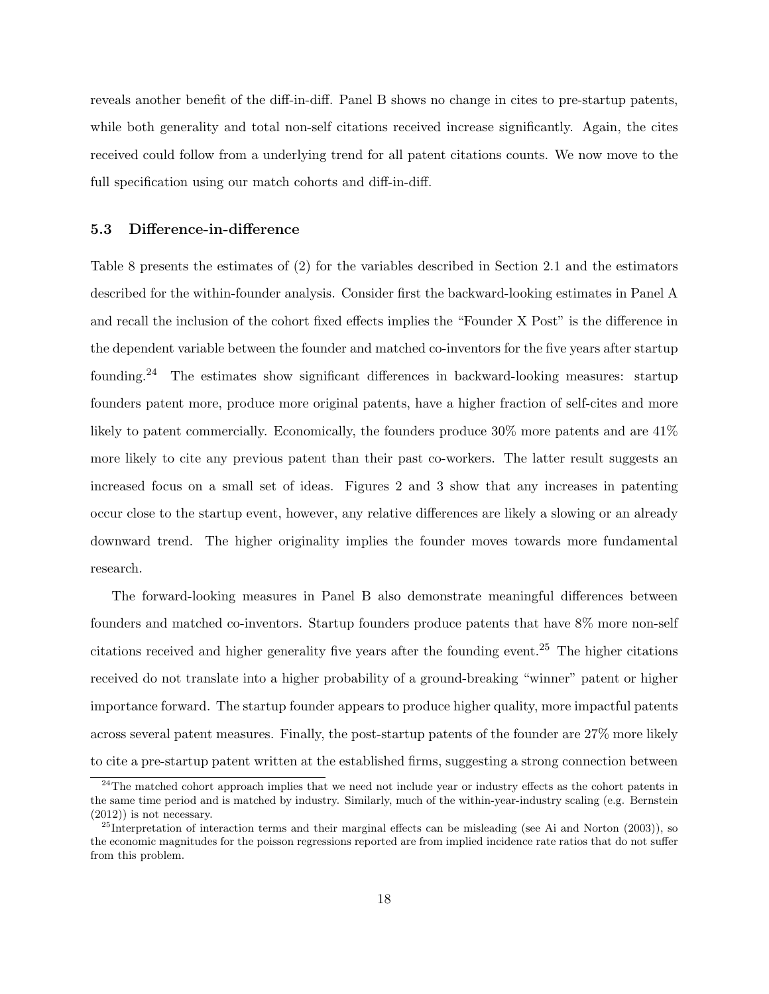reveals another benefit of the diff-in-diff. Panel B shows no change in cites to pre-startup patents, while both generality and total non-self citations received increase significantly. Again, the cites received could follow from a underlying trend for all patent citations counts. We now move to the full specification using our match cohorts and diff-in-diff.

## 5.3 Difference-in-difference

Table 8 presents the estimates of (2) for the variables described in Section 2.1 and the estimators described for the within-founder analysis. Consider first the backward-looking estimates in Panel A and recall the inclusion of the cohort fixed effects implies the "Founder X Post" is the difference in the dependent variable between the founder and matched co-inventors for the five years after startup founding.<sup>24</sup> The estimates show significant differences in backward-looking measures: startup founders patent more, produce more original patents, have a higher fraction of self-cites and more likely to patent commercially. Economically, the founders produce 30% more patents and are 41% more likely to cite any previous patent than their past co-workers. The latter result suggests an increased focus on a small set of ideas. Figures 2 and 3 show that any increases in patenting occur close to the startup event, however, any relative differences are likely a slowing or an already downward trend. The higher originality implies the founder moves towards more fundamental research.

The forward-looking measures in Panel B also demonstrate meaningful differences between founders and matched co-inventors. Startup founders produce patents that have 8% more non-self citations received and higher generality five years after the founding event.<sup>25</sup> The higher citations received do not translate into a higher probability of a ground-breaking "winner" patent or higher importance forward. The startup founder appears to produce higher quality, more impactful patents across several patent measures. Finally, the post-startup patents of the founder are 27% more likely to cite a pre-startup patent written at the established firms, suggesting a strong connection between

 $24$ The matched cohort approach implies that we need not include year or industry effects as the cohort patents in the same time period and is matched by industry. Similarly, much of the within-year-industry scaling (e.g. Bernstein (2012)) is not necessary.

 $^{25}$ Interpretation of interaction terms and their marginal effects can be misleading (see Ai and Norton (2003)), so the economic magnitudes for the poisson regressions reported are from implied incidence rate ratios that do not suffer from this problem.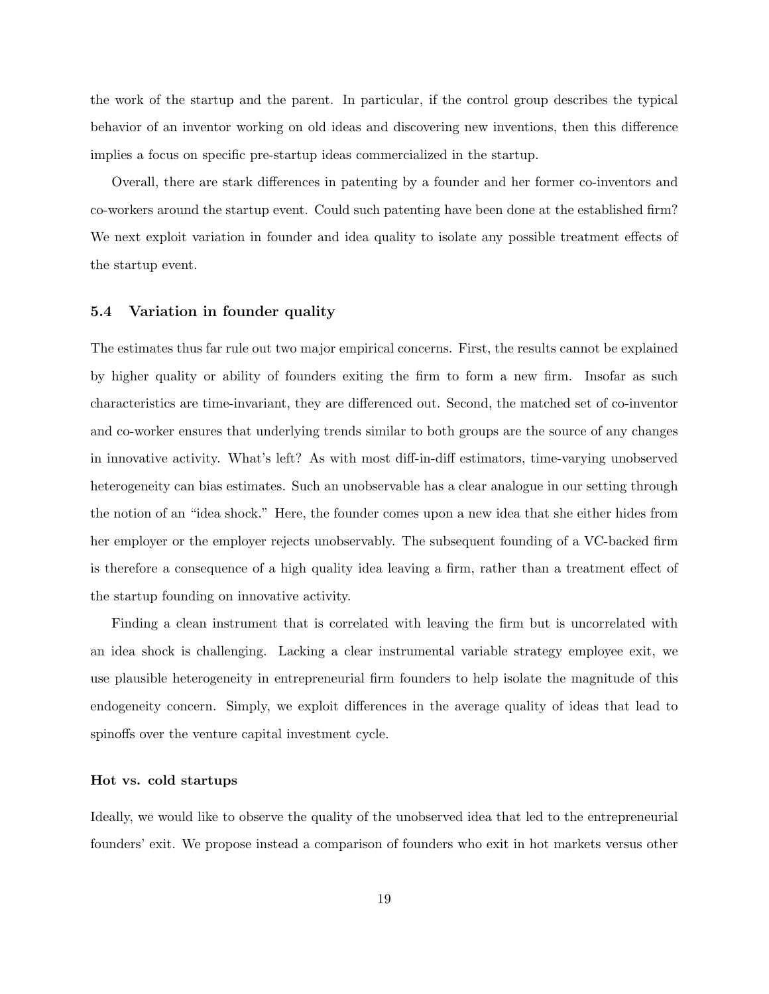the work of the startup and the parent. In particular, if the control group describes the typical behavior of an inventor working on old ideas and discovering new inventions, then this difference implies a focus on specific pre-startup ideas commercialized in the startup.

Overall, there are stark differences in patenting by a founder and her former co-inventors and co-workers around the startup event. Could such patenting have been done at the established firm? We next exploit variation in founder and idea quality to isolate any possible treatment effects of the startup event.

## 5.4 Variation in founder quality

The estimates thus far rule out two major empirical concerns. First, the results cannot be explained by higher quality or ability of founders exiting the firm to form a new firm. Insofar as such characteristics are time-invariant, they are differenced out. Second, the matched set of co-inventor and co-worker ensures that underlying trends similar to both groups are the source of any changes in innovative activity. What's left? As with most diff-in-diff estimators, time-varying unobserved heterogeneity can bias estimates. Such an unobservable has a clear analogue in our setting through the notion of an "idea shock." Here, the founder comes upon a new idea that she either hides from her employer or the employer rejects unobservably. The subsequent founding of a VC-backed firm is therefore a consequence of a high quality idea leaving a firm, rather than a treatment effect of the startup founding on innovative activity.

Finding a clean instrument that is correlated with leaving the firm but is uncorrelated with an idea shock is challenging. Lacking a clear instrumental variable strategy employee exit, we use plausible heterogeneity in entrepreneurial firm founders to help isolate the magnitude of this endogeneity concern. Simply, we exploit differences in the average quality of ideas that lead to spinoffs over the venture capital investment cycle.

#### Hot vs. cold startups

Ideally, we would like to observe the quality of the unobserved idea that led to the entrepreneurial founders' exit. We propose instead a comparison of founders who exit in hot markets versus other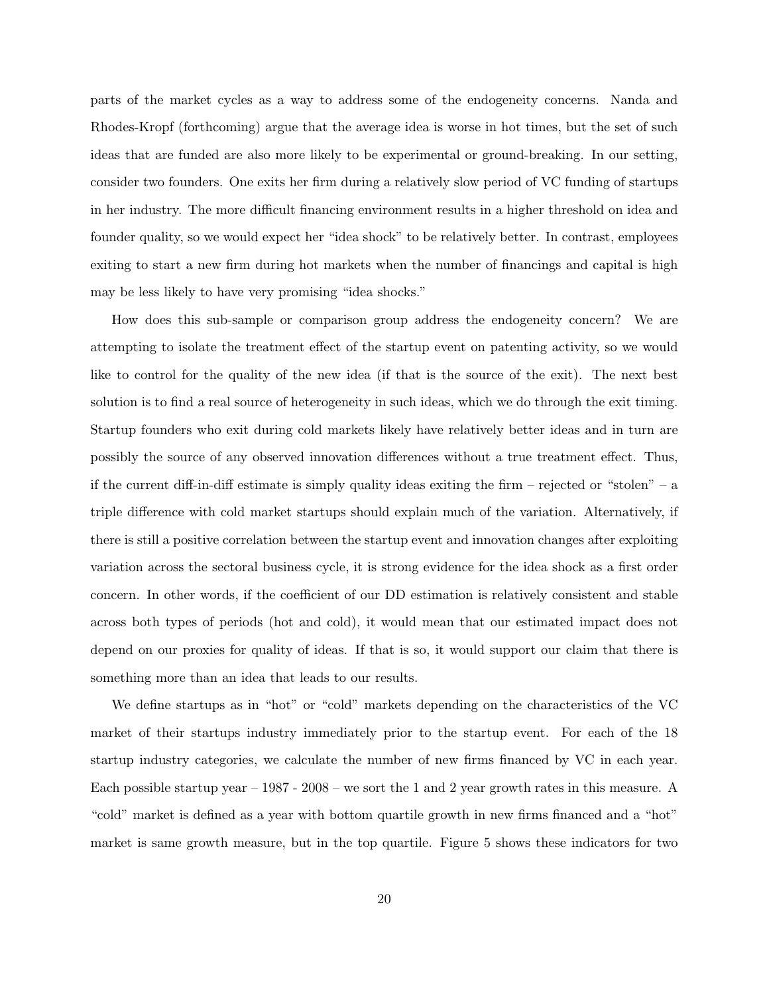parts of the market cycles as a way to address some of the endogeneity concerns. Nanda and Rhodes-Kropf (forthcoming) argue that the average idea is worse in hot times, but the set of such ideas that are funded are also more likely to be experimental or ground-breaking. In our setting, consider two founders. One exits her firm during a relatively slow period of VC funding of startups in her industry. The more difficult financing environment results in a higher threshold on idea and founder quality, so we would expect her "idea shock" to be relatively better. In contrast, employees exiting to start a new firm during hot markets when the number of financings and capital is high may be less likely to have very promising "idea shocks."

How does this sub-sample or comparison group address the endogeneity concern? We are attempting to isolate the treatment effect of the startup event on patenting activity, so we would like to control for the quality of the new idea (if that is the source of the exit). The next best solution is to find a real source of heterogeneity in such ideas, which we do through the exit timing. Startup founders who exit during cold markets likely have relatively better ideas and in turn are possibly the source of any observed innovation differences without a true treatment effect. Thus, if the current diff-in-diff estimate is simply quality ideas exiting the firm – rejected or "stolen" – a triple difference with cold market startups should explain much of the variation. Alternatively, if there is still a positive correlation between the startup event and innovation changes after exploiting variation across the sectoral business cycle, it is strong evidence for the idea shock as a first order concern. In other words, if the coefficient of our DD estimation is relatively consistent and stable across both types of periods (hot and cold), it would mean that our estimated impact does not depend on our proxies for quality of ideas. If that is so, it would support our claim that there is something more than an idea that leads to our results.

We define startups as in "hot" or "cold" markets depending on the characteristics of the VC market of their startups industry immediately prior to the startup event. For each of the 18 startup industry categories, we calculate the number of new firms financed by VC in each year. Each possible startup year – 1987 - 2008 – we sort the 1 and 2 year growth rates in this measure. A "cold" market is defined as a year with bottom quartile growth in new firms financed and a "hot" market is same growth measure, but in the top quartile. Figure 5 shows these indicators for two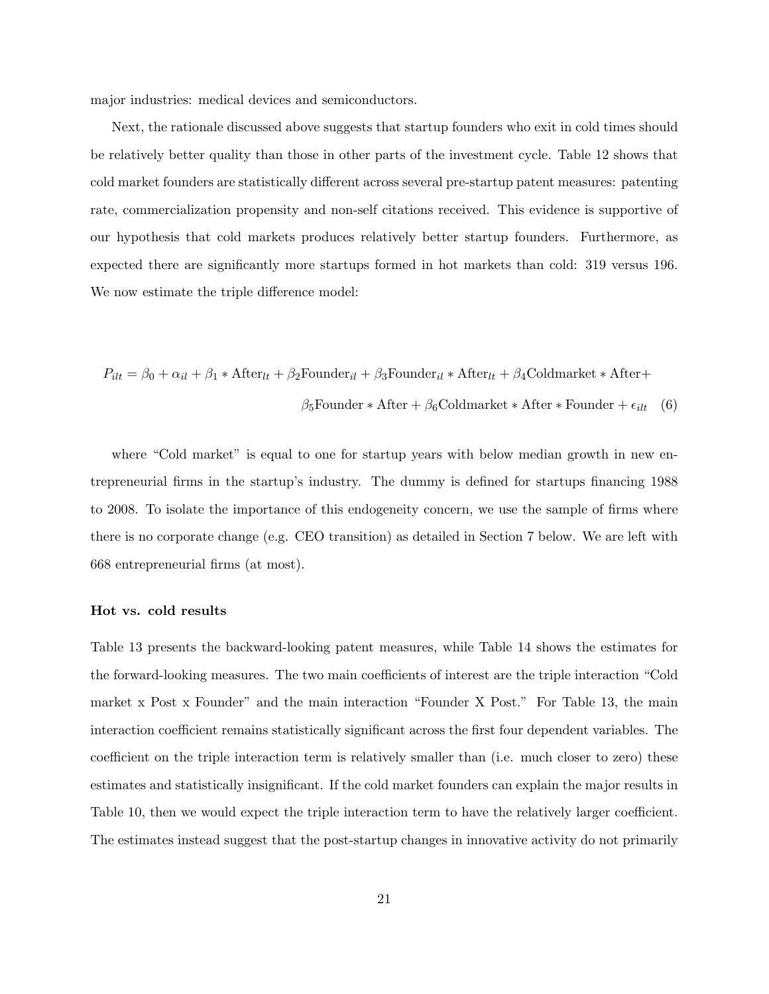major industries: medical devices and semiconductors.

Next, the rationale discussed above suggests that startup founders who exit in cold times should be relatively better quality than those in other parts of the investment cycle. Table 12 shows that cold market founders are statistically different across several pre-startup patent measures: patenting rate, commercialization propensity and non-self citations received. This evidence is supportive of our hypothesis that cold markets produces relatively better startup founders. Furthermore, as expected there are significantly more startups formed in hot markets than cold: 319 versus 196. We now estimate the triple difference model:

$$
P_{ilt} = \beta_0 + \alpha_{il} + \beta_1 * \text{After}_{lt} + \beta_2 \text{Founder}_{il} + \beta_3 \text{Founder}_{il} * \text{After}_{lt} + \beta_4 \text{Goldmarket} * \text{After} +
$$

$$
\beta_5 \text{Founder} * \text{After} + \beta_6 \text{Goldmarket} * \text{After} * \text{Founder} + \epsilon_{ilt} \quad (6)
$$

where "Cold market" is equal to one for startup years with below median growth in new entrepreneurial firms in the startup's industry. The dummy is defined for startups financing 1988 to 2008. To isolate the importance of this endogeneity concern, we use the sample of firms where there is no corporate change (e.g. CEO transition) as detailed in Section 7 below. We are left with 668 entrepreneurial firms (at most).

### Hot vs. cold results

Table 13 presents the backward-looking patent measures, while Table 14 shows the estimates for the forward-looking measures. The two main coefficients of interest are the triple interaction "Cold market x Post x Founder" and the main interaction "Founder X Post." For Table 13, the main interaction coefficient remains statistically significant across the first four dependent variables. The coefficient on the triple interaction term is relatively smaller than (i.e. much closer to zero) these estimates and statistically insignificant. If the cold market founders can explain the major results in Table 10, then we would expect the triple interaction term to have the relatively larger coefficient. The estimates instead suggest that the post-startup changes in innovative activity do not primarily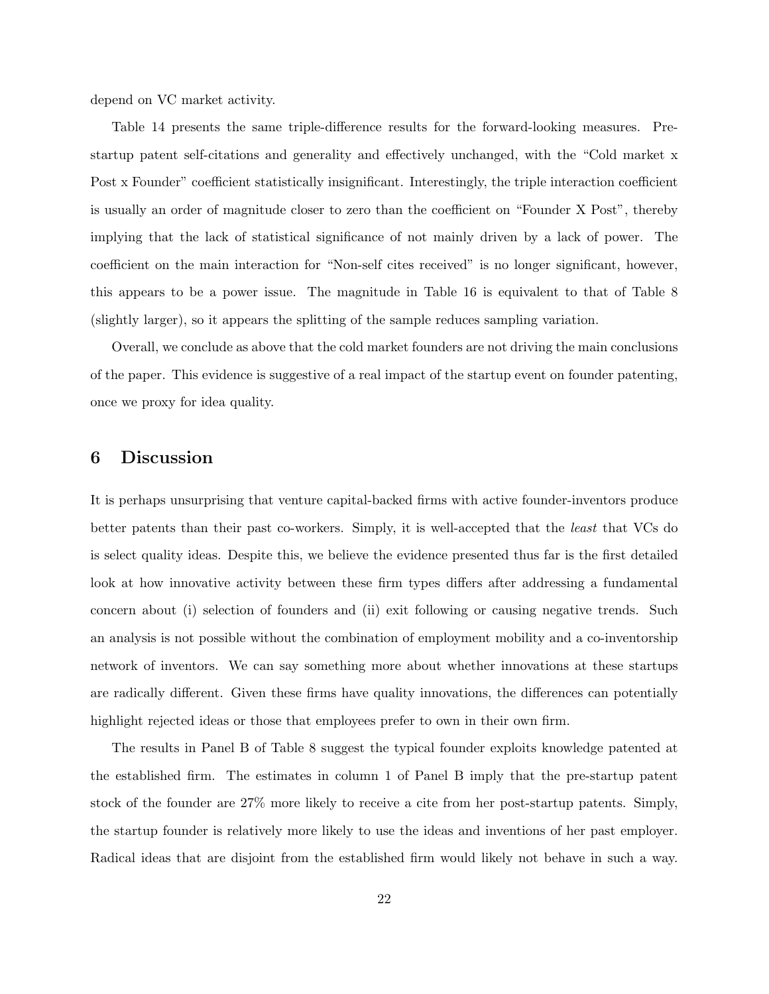depend on VC market activity.

Table 14 presents the same triple-difference results for the forward-looking measures. Prestartup patent self-citations and generality and effectively unchanged, with the "Cold market x Post x Founder" coefficient statistically insignificant. Interestingly, the triple interaction coefficient is usually an order of magnitude closer to zero than the coefficient on "Founder X Post", thereby implying that the lack of statistical significance of not mainly driven by a lack of power. The coefficient on the main interaction for "Non-self cites received" is no longer significant, however, this appears to be a power issue. The magnitude in Table 16 is equivalent to that of Table 8 (slightly larger), so it appears the splitting of the sample reduces sampling variation.

Overall, we conclude as above that the cold market founders are not driving the main conclusions of the paper. This evidence is suggestive of a real impact of the startup event on founder patenting, once we proxy for idea quality.

## 6 Discussion

It is perhaps unsurprising that venture capital-backed firms with active founder-inventors produce better patents than their past co-workers. Simply, it is well-accepted that the least that VCs do is select quality ideas. Despite this, we believe the evidence presented thus far is the first detailed look at how innovative activity between these firm types differs after addressing a fundamental concern about (i) selection of founders and (ii) exit following or causing negative trends. Such an analysis is not possible without the combination of employment mobility and a co-inventorship network of inventors. We can say something more about whether innovations at these startups are radically different. Given these firms have quality innovations, the differences can potentially highlight rejected ideas or those that employees prefer to own in their own firm.

The results in Panel B of Table 8 suggest the typical founder exploits knowledge patented at the established firm. The estimates in column 1 of Panel B imply that the pre-startup patent stock of the founder are 27% more likely to receive a cite from her post-startup patents. Simply, the startup founder is relatively more likely to use the ideas and inventions of her past employer. Radical ideas that are disjoint from the established firm would likely not behave in such a way.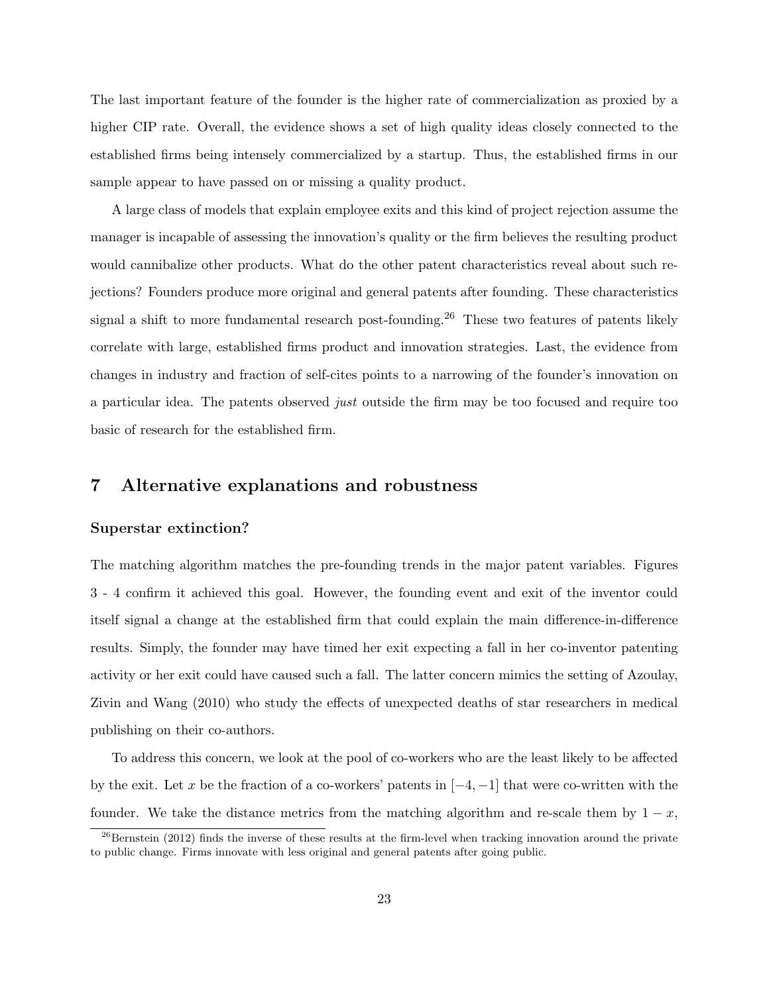The last important feature of the founder is the higher rate of commercialization as proxied by a higher CIP rate. Overall, the evidence shows a set of high quality ideas closely connected to the established firms being intensely commercialized by a startup. Thus, the established firms in our sample appear to have passed on or missing a quality product.

A large class of models that explain employee exits and this kind of project rejection assume the manager is incapable of assessing the innovation's quality or the firm believes the resulting product would cannibalize other products. What do the other patent characteristics reveal about such rejections? Founders produce more original and general patents after founding. These characteristics signal a shift to more fundamental research post-founding.<sup>26</sup> These two features of patents likely correlate with large, established firms product and innovation strategies. Last, the evidence from changes in industry and fraction of self-cites points to a narrowing of the founder's innovation on a particular idea. The patents observed just outside the firm may be too focused and require too basic of research for the established firm.

## 7 Alternative explanations and robustness

### Superstar extinction?

The matching algorithm matches the pre-founding trends in the major patent variables. Figures 3 - 4 confirm it achieved this goal. However, the founding event and exit of the inventor could itself signal a change at the established firm that could explain the main difference-in-difference results. Simply, the founder may have timed her exit expecting a fall in her co-inventor patenting activity or her exit could have caused such a fall. The latter concern mimics the setting of Azoulay, Zivin and Wang (2010) who study the effects of unexpected deaths of star researchers in medical publishing on their co-authors.

To address this concern, we look at the pool of co-workers who are the least likely to be affected by the exit. Let x be the fraction of a co-workers' patents in  $[-4, -1]$  that were co-written with the founder. We take the distance metrics from the matching algorithm and re-scale them by  $1 - x$ ,

 $^{26}$ Bernstein (2012) finds the inverse of these results at the firm-level when tracking innovation around the private to public change. Firms innovate with less original and general patents after going public.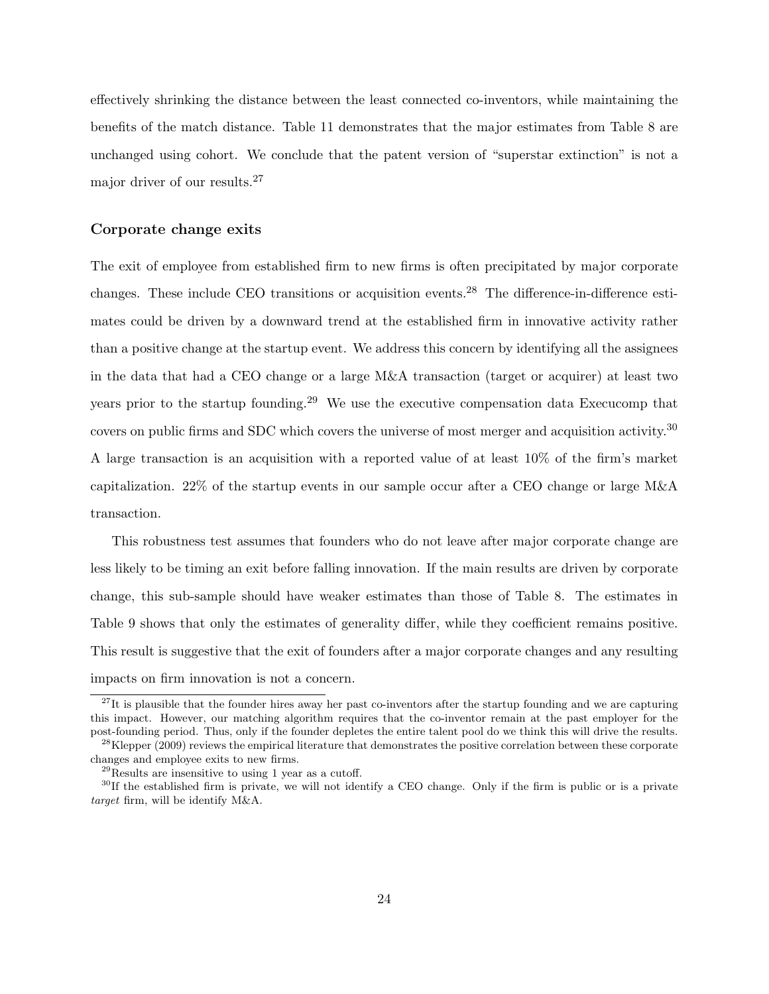effectively shrinking the distance between the least connected co-inventors, while maintaining the benefits of the match distance. Table 11 demonstrates that the major estimates from Table 8 are unchanged using cohort. We conclude that the patent version of "superstar extinction" is not a major driver of our results.<sup>27</sup>

## Corporate change exits

The exit of employee from established firm to new firms is often precipitated by major corporate changes. These include CEO transitions or acquisition events.<sup>28</sup> The difference-in-difference estimates could be driven by a downward trend at the established firm in innovative activity rather than a positive change at the startup event. We address this concern by identifying all the assignees in the data that had a CEO change or a large M&A transaction (target or acquirer) at least two years prior to the startup founding.<sup>29</sup> We use the executive compensation data Execucomp that covers on public firms and SDC which covers the universe of most merger and acquisition activity.<sup>30</sup> A large transaction is an acquisition with a reported value of at least 10% of the firm's market capitalization. 22% of the startup events in our sample occur after a CEO change or large M&A transaction.

This robustness test assumes that founders who do not leave after major corporate change are less likely to be timing an exit before falling innovation. If the main results are driven by corporate change, this sub-sample should have weaker estimates than those of Table 8. The estimates in Table 9 shows that only the estimates of generality differ, while they coefficient remains positive. This result is suggestive that the exit of founders after a major corporate changes and any resulting impacts on firm innovation is not a concern.

 $27$ It is plausible that the founder hires away her past co-inventors after the startup founding and we are capturing this impact. However, our matching algorithm requires that the co-inventor remain at the past employer for the post-founding period. Thus, only if the founder depletes the entire talent pool do we think this will drive the results.

 $^{28}$ Klepper (2009) reviews the empirical literature that demonstrates the positive correlation between these corporate changes and employee exits to new firms.

 $29$ Results are insensitive to using 1 year as a cutoff.

 $30$ If the established firm is private, we will not identify a CEO change. Only if the firm is public or is a private target firm, will be identify M&A.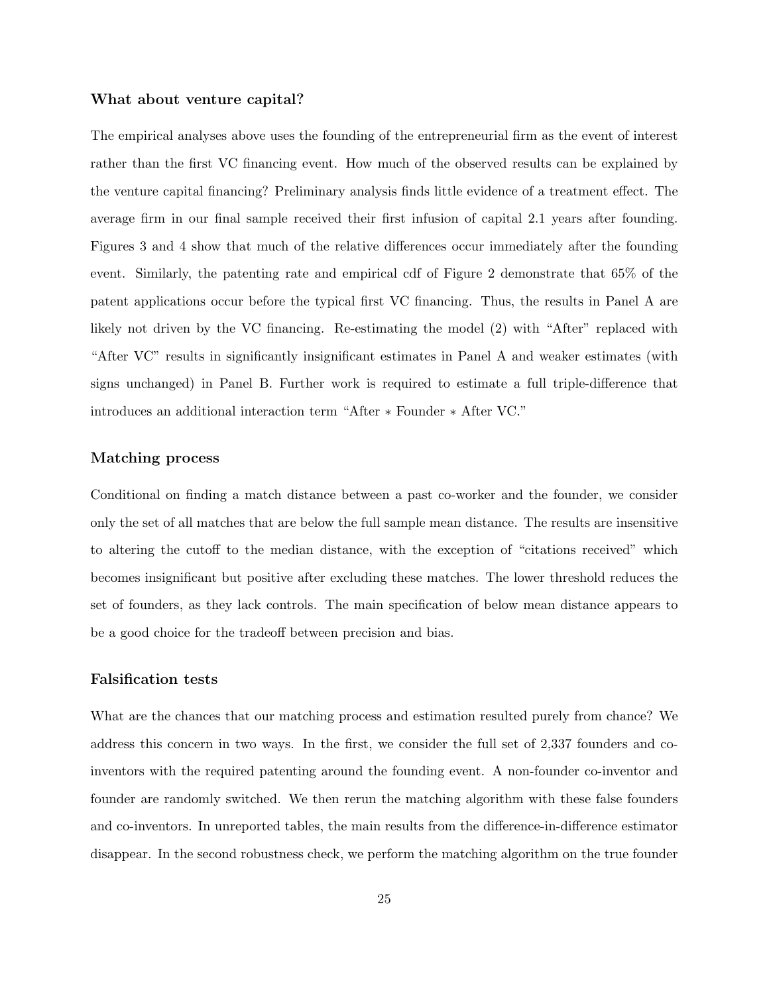### What about venture capital?

The empirical analyses above uses the founding of the entrepreneurial firm as the event of interest rather than the first VC financing event. How much of the observed results can be explained by the venture capital financing? Preliminary analysis finds little evidence of a treatment effect. The average firm in our final sample received their first infusion of capital 2.1 years after founding. Figures 3 and 4 show that much of the relative differences occur immediately after the founding event. Similarly, the patenting rate and empirical cdf of Figure 2 demonstrate that 65% of the patent applications occur before the typical first VC financing. Thus, the results in Panel A are likely not driven by the VC financing. Re-estimating the model (2) with "After" replaced with "After VC" results in significantly insignificant estimates in Panel A and weaker estimates (with signs unchanged) in Panel B. Further work is required to estimate a full triple-difference that introduces an additional interaction term "After ∗ Founder ∗ After VC."

## Matching process

Conditional on finding a match distance between a past co-worker and the founder, we consider only the set of all matches that are below the full sample mean distance. The results are insensitive to altering the cutoff to the median distance, with the exception of "citations received" which becomes insignificant but positive after excluding these matches. The lower threshold reduces the set of founders, as they lack controls. The main specification of below mean distance appears to be a good choice for the tradeoff between precision and bias.

### Falsification tests

What are the chances that our matching process and estimation resulted purely from chance? We address this concern in two ways. In the first, we consider the full set of 2,337 founders and coinventors with the required patenting around the founding event. A non-founder co-inventor and founder are randomly switched. We then rerun the matching algorithm with these false founders and co-inventors. In unreported tables, the main results from the difference-in-difference estimator disappear. In the second robustness check, we perform the matching algorithm on the true founder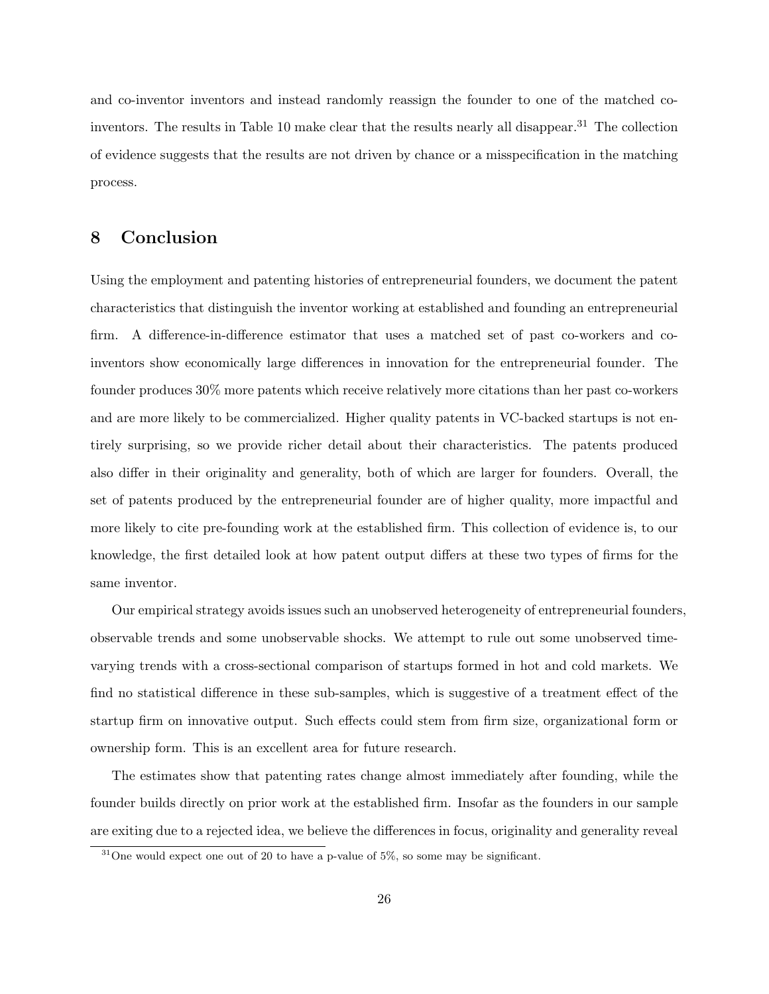and co-inventor inventors and instead randomly reassign the founder to one of the matched coinventors. The results in Table 10 make clear that the results nearly all disappear.<sup>31</sup> The collection of evidence suggests that the results are not driven by chance or a misspecification in the matching process.

## 8 Conclusion

Using the employment and patenting histories of entrepreneurial founders, we document the patent characteristics that distinguish the inventor working at established and founding an entrepreneurial firm. A difference-in-difference estimator that uses a matched set of past co-workers and coinventors show economically large differences in innovation for the entrepreneurial founder. The founder produces 30% more patents which receive relatively more citations than her past co-workers and are more likely to be commercialized. Higher quality patents in VC-backed startups is not entirely surprising, so we provide richer detail about their characteristics. The patents produced also differ in their originality and generality, both of which are larger for founders. Overall, the set of patents produced by the entrepreneurial founder are of higher quality, more impactful and more likely to cite pre-founding work at the established firm. This collection of evidence is, to our knowledge, the first detailed look at how patent output differs at these two types of firms for the same inventor.

Our empirical strategy avoids issues such an unobserved heterogeneity of entrepreneurial founders, observable trends and some unobservable shocks. We attempt to rule out some unobserved timevarying trends with a cross-sectional comparison of startups formed in hot and cold markets. We find no statistical difference in these sub-samples, which is suggestive of a treatment effect of the startup firm on innovative output. Such effects could stem from firm size, organizational form or ownership form. This is an excellent area for future research.

The estimates show that patenting rates change almost immediately after founding, while the founder builds directly on prior work at the established firm. Insofar as the founders in our sample are exiting due to a rejected idea, we believe the differences in focus, originality and generality reveal

 $31$ One would expect one out of 20 to have a p-value of 5%, so some may be significant.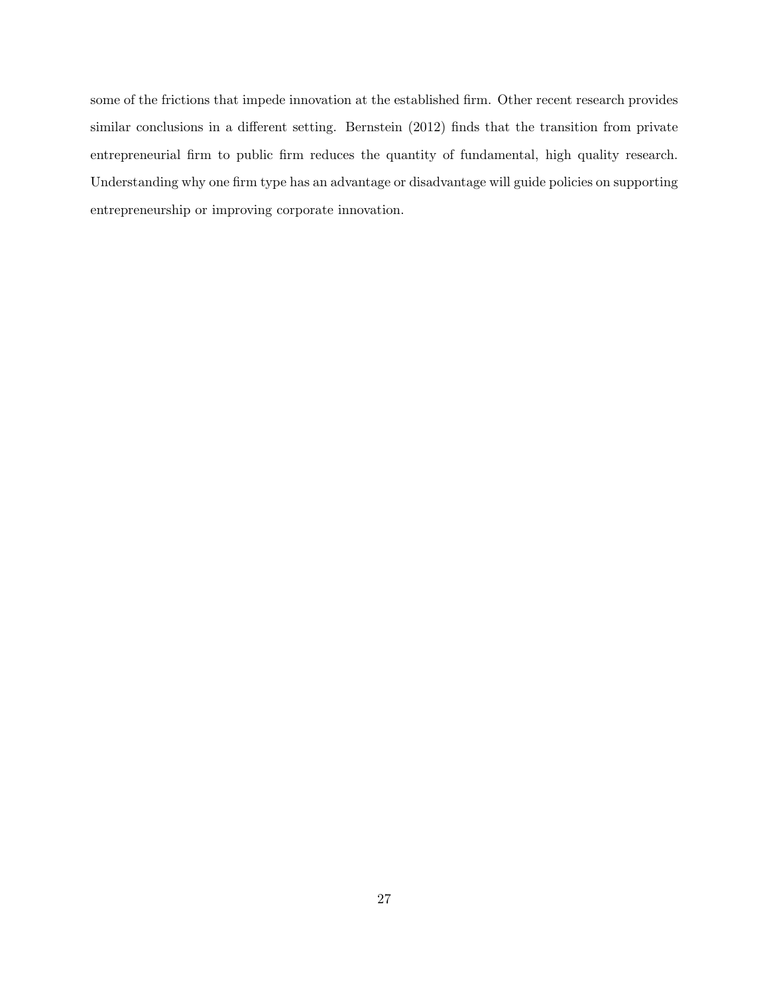some of the frictions that impede innovation at the established firm. Other recent research provides similar conclusions in a different setting. Bernstein (2012) finds that the transition from private entrepreneurial firm to public firm reduces the quantity of fundamental, high quality research. Understanding why one firm type has an advantage or disadvantage will guide policies on supporting entrepreneurship or improving corporate innovation.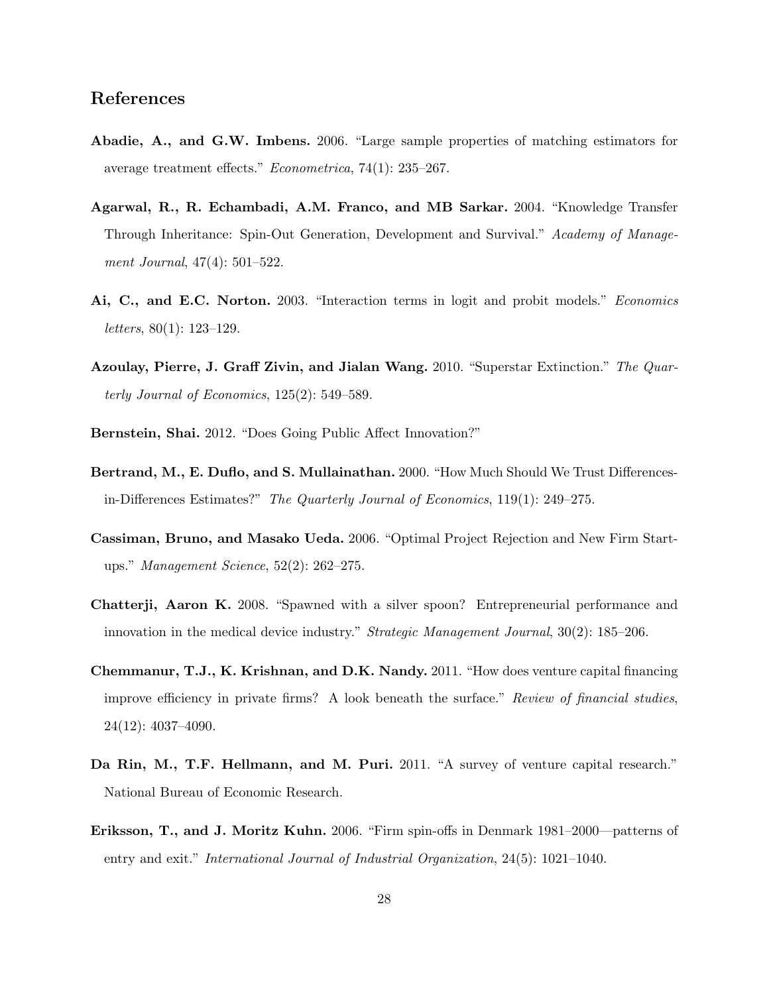## References

- Abadie, A., and G.W. Imbens. 2006. "Large sample properties of matching estimators for average treatment effects." Econometrica, 74(1): 235–267.
- Agarwal, R., R. Echambadi, A.M. Franco, and MB Sarkar. 2004. "Knowledge Transfer Through Inheritance: Spin-Out Generation, Development and Survival." Academy of Management Journal, 47(4): 501–522.
- Ai, C., and E.C. Norton. 2003. "Interaction terms in logit and probit models." Economics *letters*,  $80(1)$ : 123-129.
- Azoulay, Pierre, J. Graff Zivin, and Jialan Wang. 2010. "Superstar Extinction." The Quarterly Journal of Economics, 125(2): 549–589.
- Bernstein, Shai. 2012. "Does Going Public Affect Innovation?"
- Bertrand, M., E. Duflo, and S. Mullainathan. 2000. "How Much Should We Trust Differencesin-Differences Estimates?" The Quarterly Journal of Economics, 119(1): 249–275.
- Cassiman, Bruno, and Masako Ueda. 2006. "Optimal Project Rejection and New Firm Startups." Management Science, 52(2): 262–275.
- Chatterji, Aaron K. 2008. "Spawned with a silver spoon? Entrepreneurial performance and innovation in the medical device industry." Strategic Management Journal, 30(2): 185–206.
- Chemmanur, T.J., K. Krishnan, and D.K. Nandy. 2011. "How does venture capital financing improve efficiency in private firms? A look beneath the surface." Review of financial studies, 24(12): 4037–4090.
- Da Rin, M., T.F. Hellmann, and M. Puri. 2011. "A survey of venture capital research." National Bureau of Economic Research.
- Eriksson, T., and J. Moritz Kuhn. 2006. "Firm spin-offs in Denmark 1981–2000—patterns of entry and exit." International Journal of Industrial Organization, 24(5): 1021–1040.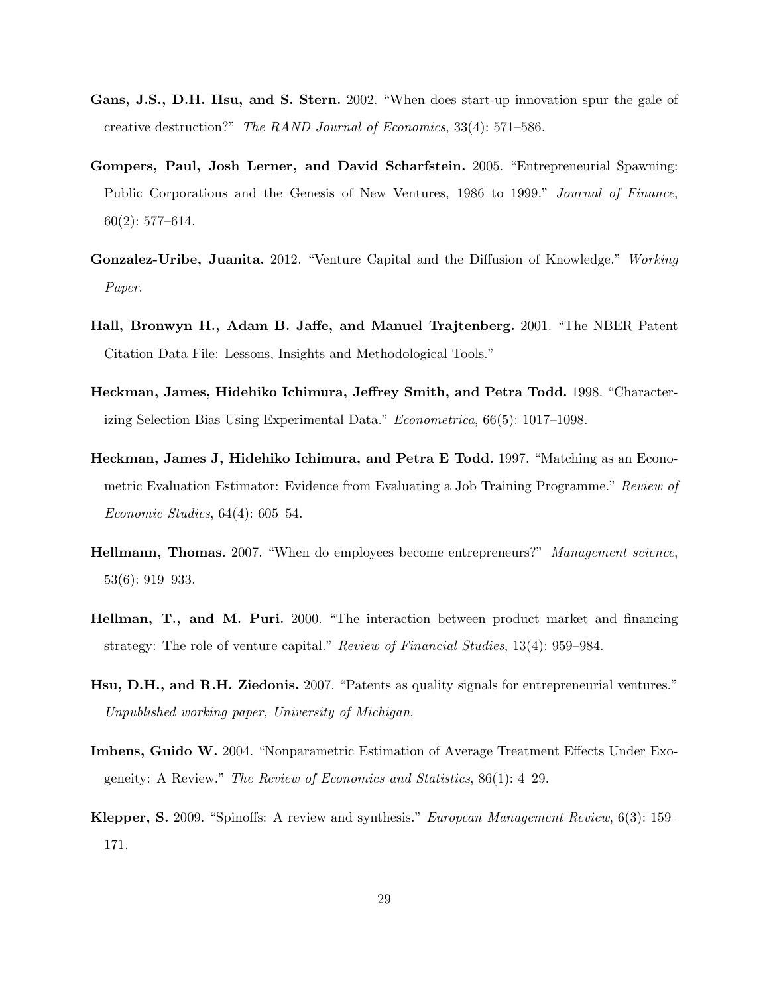- Gans, J.S., D.H. Hsu, and S. Stern. 2002. "When does start-up innovation spur the gale of creative destruction?" The RAND Journal of Economics, 33(4): 571–586.
- Gompers, Paul, Josh Lerner, and David Scharfstein. 2005. "Entrepreneurial Spawning: Public Corporations and the Genesis of New Ventures, 1986 to 1999." Journal of Finance, 60(2): 577–614.
- Gonzalez-Uribe, Juanita. 2012. "Venture Capital and the Diffusion of Knowledge." Working Paper.
- Hall, Bronwyn H., Adam B. Jaffe, and Manuel Trajtenberg. 2001. "The NBER Patent Citation Data File: Lessons, Insights and Methodological Tools."
- Heckman, James, Hidehiko Ichimura, Jeffrey Smith, and Petra Todd. 1998. "Characterizing Selection Bias Using Experimental Data." Econometrica, 66(5): 1017–1098.
- Heckman, James J, Hidehiko Ichimura, and Petra E Todd. 1997. "Matching as an Econometric Evaluation Estimator: Evidence from Evaluating a Job Training Programme." Review of Economic Studies, 64(4): 605–54.
- Hellmann, Thomas. 2007. "When do employees become entrepreneurs?" Management science, 53(6): 919–933.
- Hellman, T., and M. Puri. 2000. "The interaction between product market and financing strategy: The role of venture capital." Review of Financial Studies, 13(4): 959–984.
- Hsu, D.H., and R.H. Ziedonis. 2007. "Patents as quality signals for entrepreneurial ventures." Unpublished working paper, University of Michigan.
- Imbens, Guido W. 2004. "Nonparametric Estimation of Average Treatment Effects Under Exogeneity: A Review." The Review of Economics and Statistics, 86(1): 4–29.
- Klepper, S. 2009. "Spinoffs: A review and synthesis." European Management Review, 6(3): 159– 171.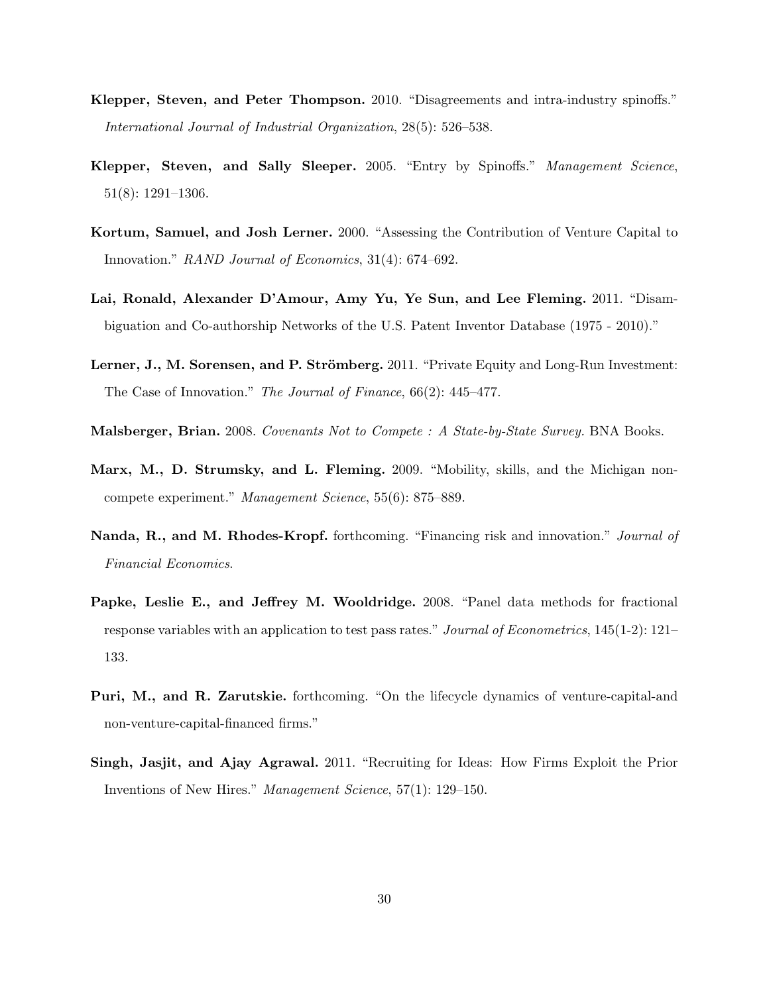- Klepper, Steven, and Peter Thompson. 2010. "Disagreements and intra-industry spinoffs." International Journal of Industrial Organization, 28(5): 526–538.
- Klepper, Steven, and Sally Sleeper. 2005. "Entry by Spinoffs." Management Science, 51(8): 1291–1306.
- Kortum, Samuel, and Josh Lerner. 2000. "Assessing the Contribution of Venture Capital to Innovation." RAND Journal of Economics, 31(4): 674–692.
- Lai, Ronald, Alexander D'Amour, Amy Yu, Ye Sun, and Lee Fleming. 2011. "Disambiguation and Co-authorship Networks of the U.S. Patent Inventor Database (1975 - 2010)."
- Lerner, J., M. Sorensen, and P. Strömberg. 2011. "Private Equity and Long-Run Investment: The Case of Innovation." The Journal of Finance, 66(2): 445–477.
- Malsberger, Brian. 2008. Covenants Not to Compete : A State-by-State Survey. BNA Books.
- Marx, M., D. Strumsky, and L. Fleming. 2009. "Mobility, skills, and the Michigan noncompete experiment." Management Science, 55(6): 875–889.
- Nanda, R., and M. Rhodes-Kropf. forthcoming. "Financing risk and innovation." Journal of Financial Economics.
- Papke, Leslie E., and Jeffrey M. Wooldridge. 2008. "Panel data methods for fractional response variables with an application to test pass rates." Journal of Econometrics, 145(1-2): 121– 133.
- Puri, M., and R. Zarutskie. forthcoming. "On the lifecycle dynamics of venture-capital-and non-venture-capital-financed firms."
- Singh, Jasjit, and Ajay Agrawal. 2011. "Recruiting for Ideas: How Firms Exploit the Prior Inventions of New Hires." Management Science, 57(1): 129–150.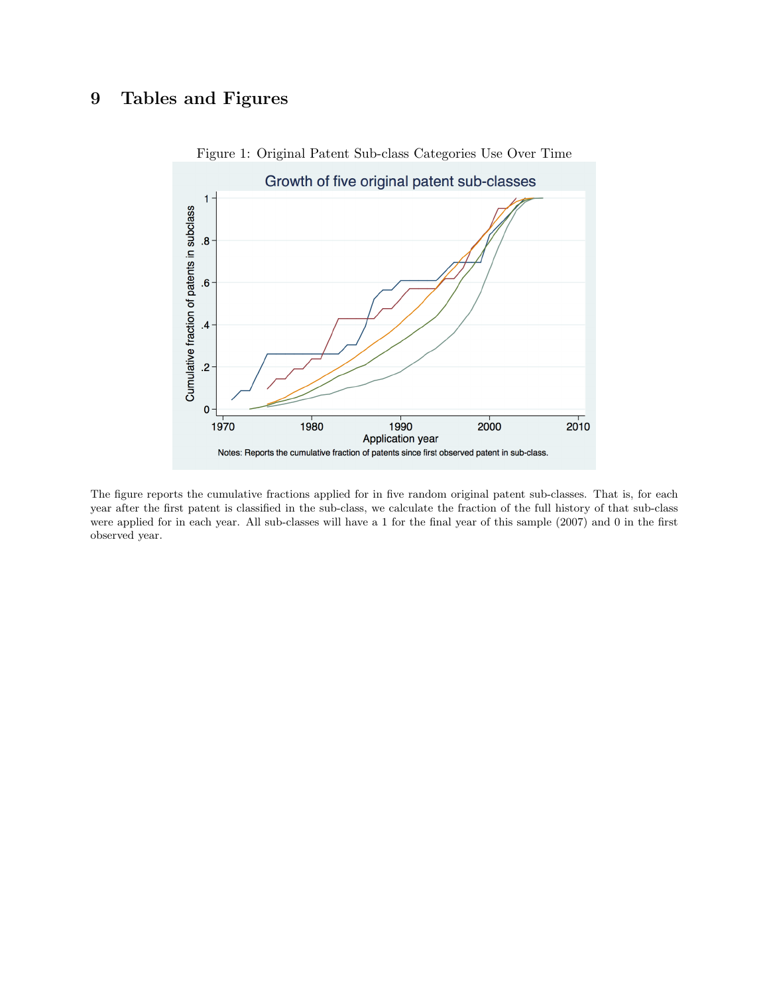# 9 Tables and Figures



Figure 1: Original Patent Sub-class Categories Use Over Time

The figure reports the cumulative fractions applied for in five random original patent sub-classes. That is, for each year after the first patent is classified in the sub-class, we calculate the fraction of the full history of that sub-class were applied for in each year. All sub-classes will have a 1 for the final year of this sample (2007) and 0 in the first observed year.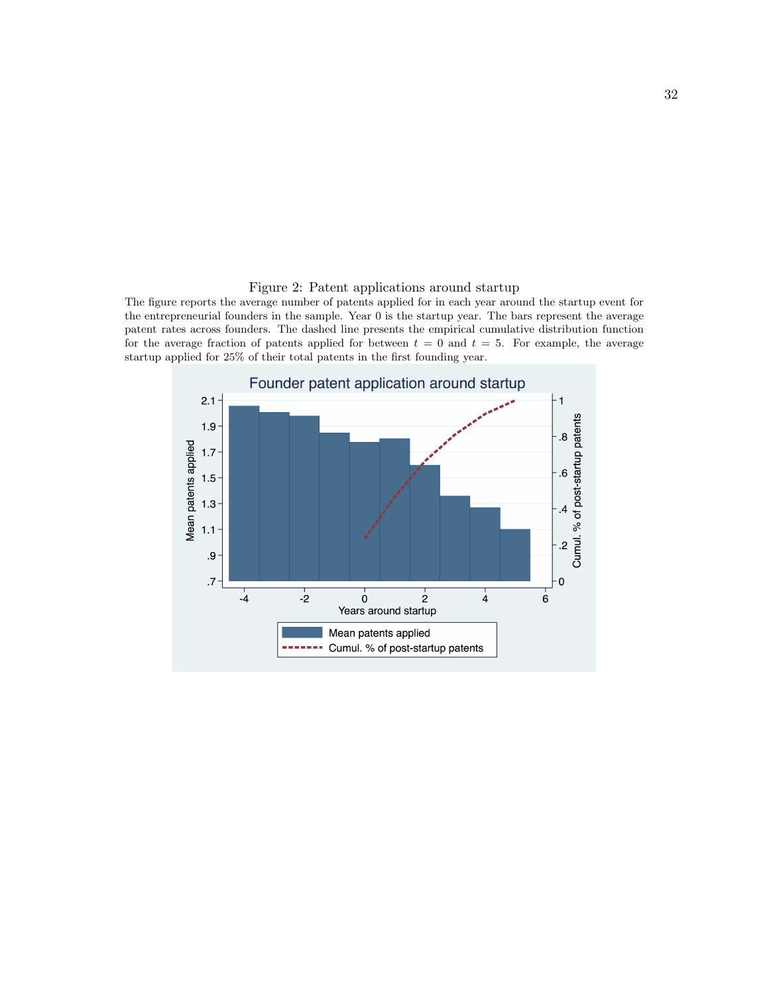### Figure 2: Patent applications around startup

The figure reports the average number of patents applied for in each year around the startup event for the entrepreneurial founders in the sample. Year 0 is the startup year. The bars represent the average patent rates across founders. The dashed line presents the empirical cumulative distribution function for the average fraction of patents applied for between  $t = 0$  and  $t = 5$ . For example, the average startup applied for 25% of their total patents in the first founding year.

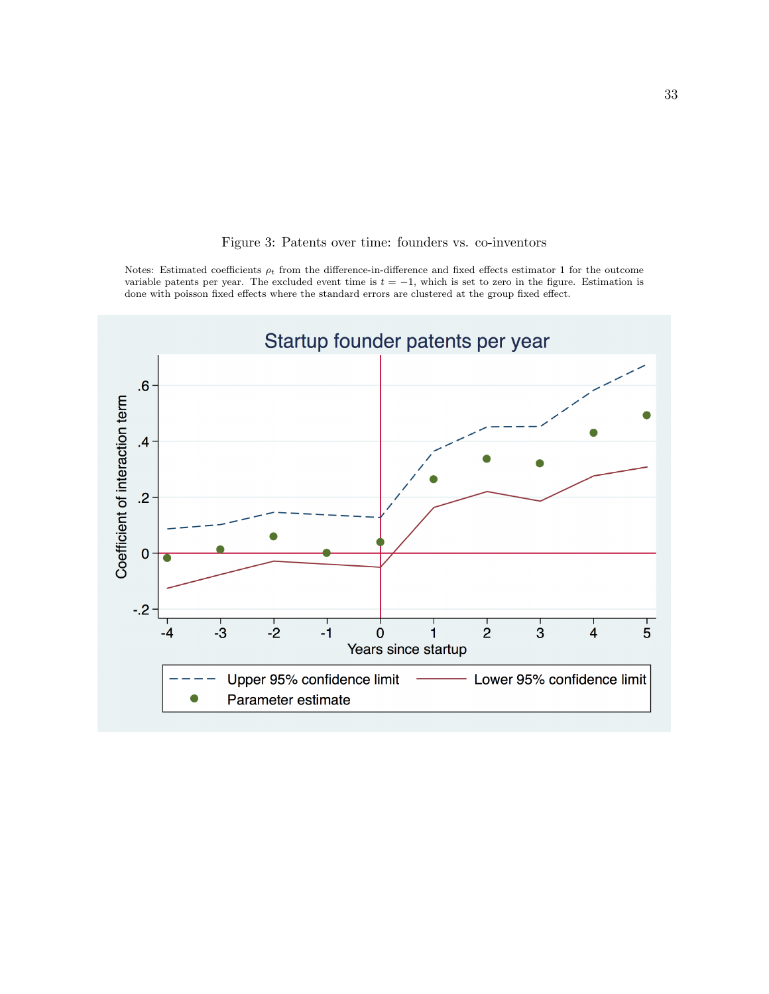

## Figure 3: Patents over time: founders vs. co-inventors

Notes: Estimated coefficients  $\rho_t$  from the difference-in-difference and fixed effects estimator 1 for the outcome variable patents per year. The excluded event time is  $t = -1$ , which is set to zero in the figure. Estimation is done with poisson fixed effects where the standard errors are clustered at the group fixed effect.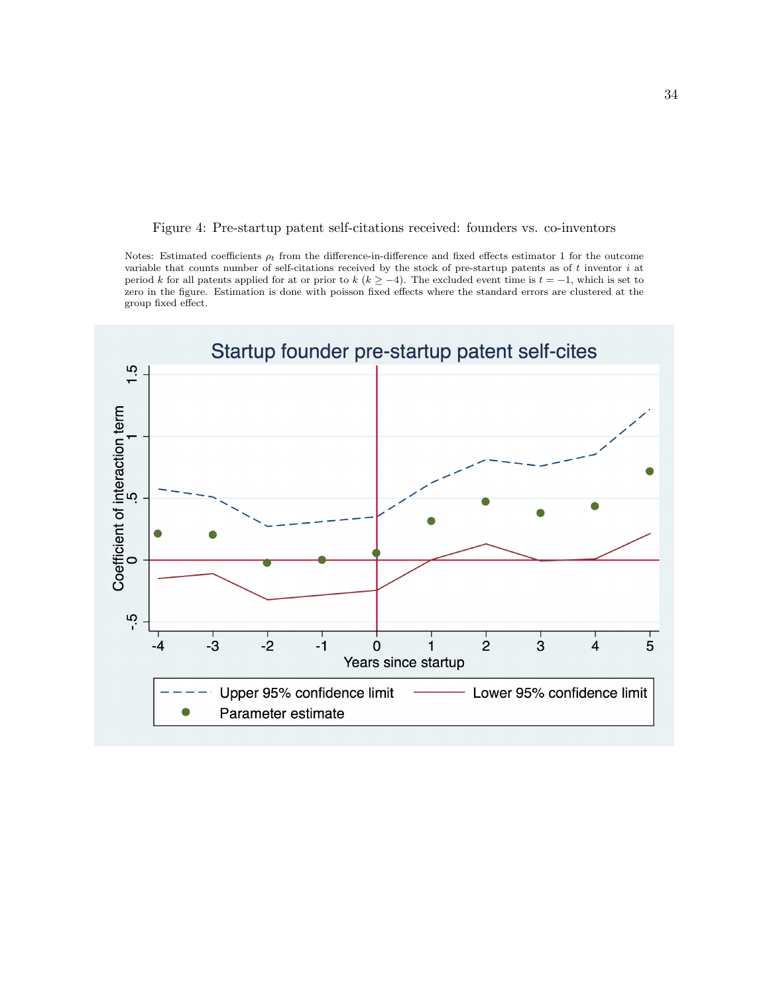Figure 4: Pre-startup patent self-citations received: founders vs. co-inventors

Notes: Estimated coefficients  $\rho_t$  from the difference-in-difference and fixed effects estimator 1 for the outcome variable that counts number of self-citations received by the stock of pre-startup patents as of t inventor i at period k for all patents applied for at or prior to k ( $k \ge -4$ ). The excluded event time is  $t = -1$ , which is set to zero in the figure. Estimation is done with poisson fixed effects where the standard errors are clustered at the group fixed effect.

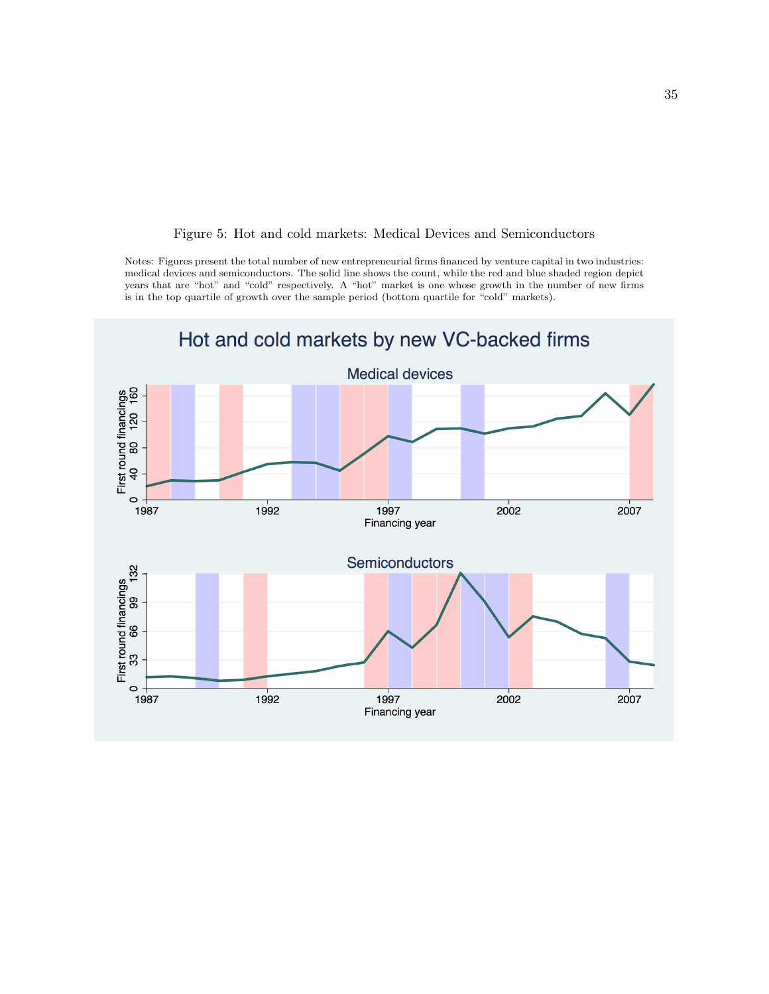

### Figure 5: Hot and cold markets: Medical Devices and Semiconductors

Notes: Figures present the total number of new entrepreneurial firms financed by venture capital in two industries: medical devices and semiconductors. The solid line shows the count, while the red and blue shaded region depict years that are "hot" and "cold" respectively. A "hot" market is one whose growth in the number of new firms is in the top quartile of growth over the sample period (bottom quartile for "cold" markets).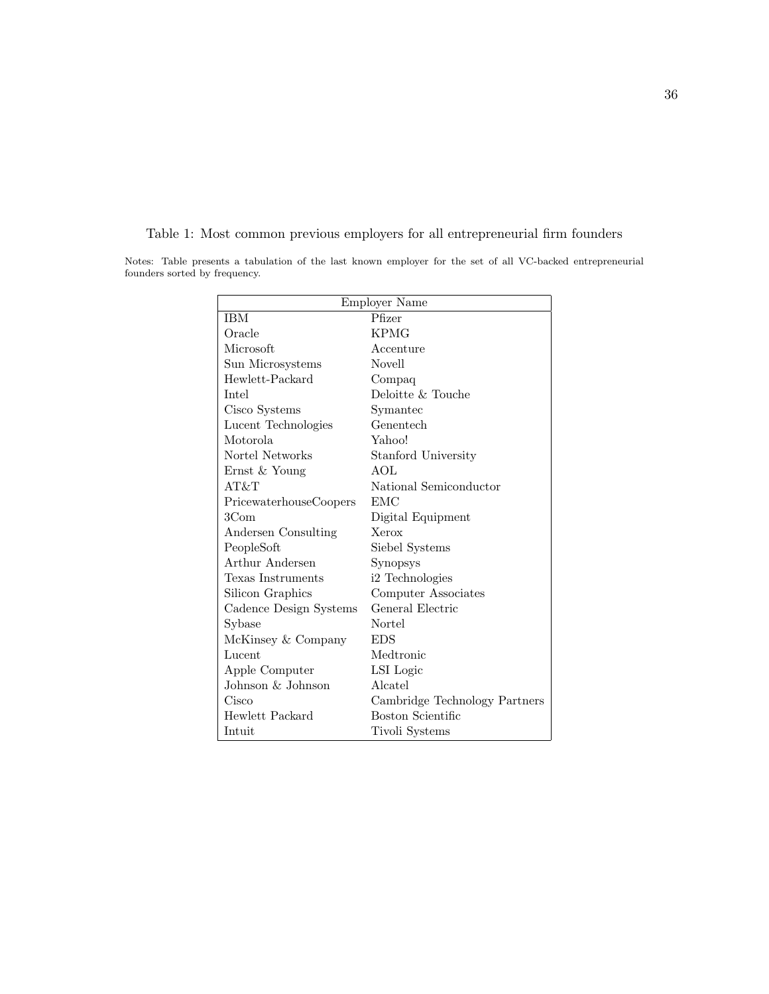| <b>Employer Name</b>   |                               |  |  |  |
|------------------------|-------------------------------|--|--|--|
| <b>IBM</b>             | $\overline{\text{Pfizer}}$    |  |  |  |
| Oracle                 | KPMG                          |  |  |  |
| Microsoft              | Accenture                     |  |  |  |
| Sun Microsystems       | <b>Novell</b>                 |  |  |  |
| Hewlett-Packard        | Compaq                        |  |  |  |
| Intel                  | Deloitte & Touche             |  |  |  |
| Cisco Systems          | Symantec                      |  |  |  |
| Lucent Technologies    | Genentech                     |  |  |  |
| Motorola               | Yahoo!                        |  |  |  |
| Nortel Networks        | Stanford University           |  |  |  |
| Ernst & Young          | AOL                           |  |  |  |
| AT&T                   | National Semiconductor        |  |  |  |
| PricewaterhouseCoopers | EMC                           |  |  |  |
| $3 \text{Com}$         | Digital Equipment             |  |  |  |
| Andersen Consulting    | Xerox                         |  |  |  |
| PeopleSoft             | Siebel Systems                |  |  |  |
| Arthur Andersen        | Synopsys                      |  |  |  |
| Texas Instruments      | i2 Technologies               |  |  |  |
| Silicon Graphics       | Computer Associates           |  |  |  |
| Cadence Design Systems | General Electric              |  |  |  |
| Sybase                 | Nortel                        |  |  |  |
| McKinsey & Company     | <b>EDS</b>                    |  |  |  |
| Lucent                 | Medtronic                     |  |  |  |
| Apple Computer         | LSI Logic                     |  |  |  |
| Johnson & Johnson      | Alcatel                       |  |  |  |
| Cisco                  | Cambridge Technology Partners |  |  |  |
| Hewlett Packard        | Boston Scientific             |  |  |  |
| Intuit                 | Tivoli Systems                |  |  |  |

Table 1: Most common previous employers for all entrepreneurial firm founders Notes: Table presents a tabulation of the last known employer for the set of all VC-backed entrepreneurial

founders sorted by frequency.

36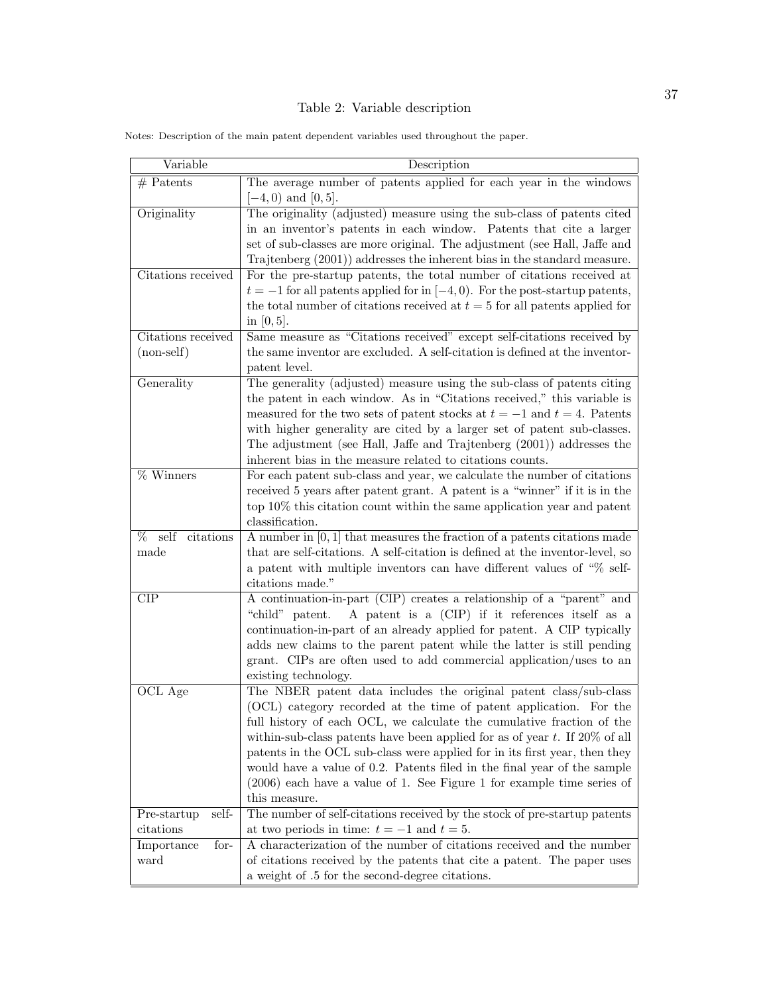# Table 2: Variable description

| Variable                                                        | Description                                                                                                                                                                                                                                                                                                                                                                                                                                                                                                                                              |
|-----------------------------------------------------------------|----------------------------------------------------------------------------------------------------------------------------------------------------------------------------------------------------------------------------------------------------------------------------------------------------------------------------------------------------------------------------------------------------------------------------------------------------------------------------------------------------------------------------------------------------------|
| $#$ Patents                                                     | The average number of patents applied for each year in the windows<br>$-4,0$ and $[0,5]$ .                                                                                                                                                                                                                                                                                                                                                                                                                                                               |
| Originality                                                     | The originality (adjusted) measure using the sub-class of patents cited<br>in an inventor's patents in each window. Patents that cite a larger<br>set of sub-classes are more original. The adjustment (see Hall, Jaffe and<br>Trajtenberg $(2001)$ ) addresses the inherent bias in the standard measure.                                                                                                                                                                                                                                               |
| Citations received                                              | For the pre-startup patents, the total number of citations received at<br>$t = -1$ for all patents applied for in $[-4, 0)$ . For the post-startup patents,<br>the total number of citations received at $t = 5$ for all patents applied for<br>in $[0, 5]$ .                                                                                                                                                                                                                                                                                            |
| Citations received<br>$(non-self)$                              | Same measure as "Citations received" except self-citations received by<br>the same inventor are excluded. A self-citation is defined at the inventor-<br>patent level.                                                                                                                                                                                                                                                                                                                                                                                   |
| Generality                                                      | The generality (adjusted) measure using the sub-class of patents citing<br>the patent in each window. As in "Citations received," this variable is<br>measured for the two sets of patent stocks at $t = -1$ and $t = 4$ . Patents<br>with higher generality are cited by a larger set of patent sub-classes.<br>The adjustment (see Hall, Jaffe and Trajtenberg (2001)) addresses the<br>inherent bias in the measure related to citations counts.                                                                                                      |
| % Winners                                                       | For each patent sub-class and year, we calculate the number of citations<br>received 5 years after patent grant. A patent is a "winner" if it is in the<br>top $10\%$ this citation count within the same application year and patent<br>classification.                                                                                                                                                                                                                                                                                                 |
| self<br>%<br>$\overline{\text{citations}}$<br>made              | A number in $[0, 1]$ that measures the fraction of a patents citations made<br>that are self-citations. A self-citation is defined at the inventor-level, so<br>a patent with multiple inventors can have different values of $\%$ self-<br>citations made."                                                                                                                                                                                                                                                                                             |
| CIP                                                             | A continuation-in-part (CIP) creates a relationship of a "parent" and<br>"child" patent.<br>A patent is a (CIP) if it references itself as a<br>continuation-in-part of an already applied for patent. A CIP typically<br>adds new claims to the parent patent while the latter is still pending<br>grant. CIPs are often used to add commercial application/uses to an<br>existing technology.                                                                                                                                                          |
| OCL Age                                                         | The NBER patent data includes the original patent class/sub-class<br>(OCL) category recorded at the time of patent application. For the<br>full history of each OCL, we calculate the cumulative fraction of the<br>within-sub-class patents have been applied for as of year $t$ . If 20% of all<br>patents in the OCL sub-class were applied for in its first year, then they<br>would have a value of 0.2. Patents filed in the final year of the sample<br>$(2006)$ each have a value of 1. See Figure 1 for example time series of<br>this measure. |
| self-<br>Pre-startup<br>citations<br>Importance<br>for-<br>ward | The number of self-citations received by the stock of pre-startup patents<br>at two periods in time: $t = -1$ and $t = 5$ .<br>A characterization of the number of citations received and the number<br>of citations received by the patents that cite a patent. The paper uses<br>a weight of .5 for the second-degree citations.                                                                                                                                                                                                                       |

Notes: Description of the main patent dependent variables used throughout the paper.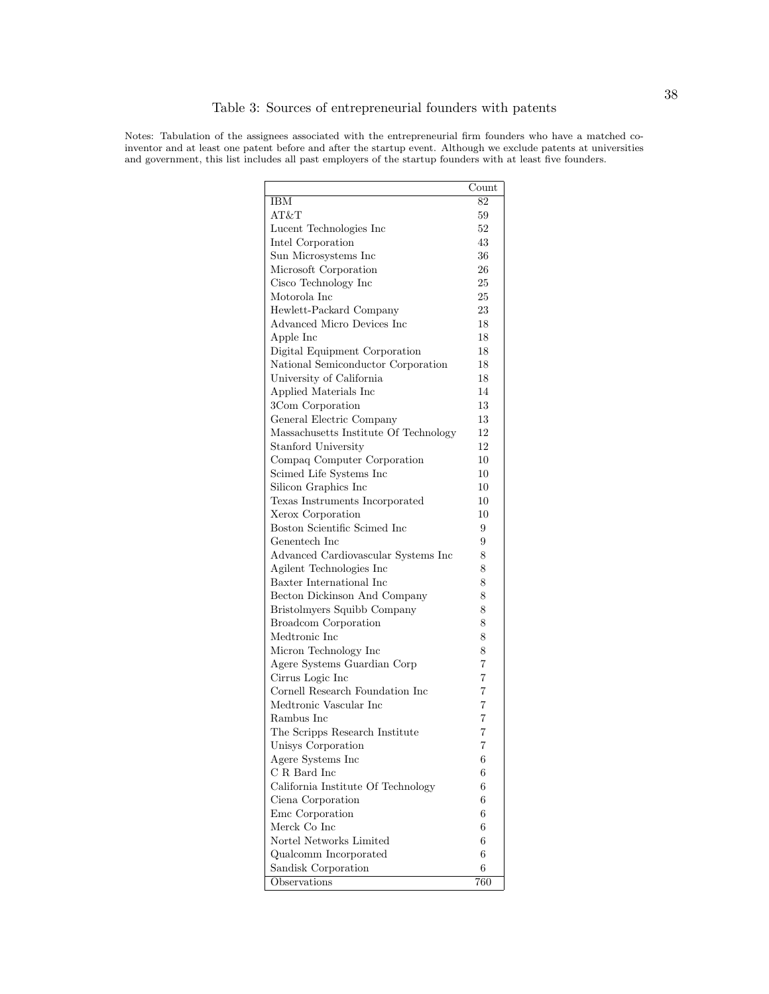Notes: Tabulation of the assignees associated with the entrepreneurial firm founders who have a matched coinventor and at least one patent before and after the startup event. Although we exclude patents at universities and government, this list includes all past employers of the startup founders with at least five founders.

| <b>IBM</b><br>82<br>AT&T<br>59<br>52<br>Lucent Technologies Inc<br>43<br>Intel Corporation<br>36<br>Sun Microsystems Inc<br>Microsoft Corporation<br>26<br>Cisco Technology Inc<br>25<br>Motorola Inc<br>25<br>23<br>Hewlett-Packard Company<br>Advanced Micro Devices Inc<br>18<br>Apple Inc<br>18<br>Digital Equipment Corporation<br>18<br>National Semiconductor Corporation<br>18<br>University of California<br>18<br>Applied Materials Inc<br>14<br>13<br>3Com Corporation<br>13<br>General Electric Company<br>Massachusetts Institute Of Technology<br>12<br>Stanford University<br>12<br>10<br>Compaq Computer Corporation<br>Scimed Life Systems Inc<br>10<br>Silicon Graphics Inc<br>10<br>Texas Instruments Incorporated<br>10<br>Xerox Corporation<br>10<br>Boston Scientific Scimed Inc<br>9<br>9<br>Genentech Inc<br>Advanced Cardiovascular Systems Inc<br>8<br>8<br>Agilent Technologies Inc<br>Baxter International Inc<br>8<br>8<br>Becton Dickinson And Company<br>8<br>Bristolmyers Squibb Company<br><b>Broadcom Corporation</b><br>8<br>Medtronic Inc<br>8<br>8<br>Micron Technology Inc<br>Agere Systems Guardian Corp<br>7<br>Cirrus Logic Inc<br>7<br>Cornell Research Foundation Inc.<br>7<br>Medtronic Vascular Inc<br>7<br>7<br>Rambus Inc<br>The Scripps Research Institute<br>7<br>Unisys Corporation<br>7<br>6<br>Agere Systems Inc<br>C R Bard Inc<br>6<br>California Institute Of Technology<br>6<br>6<br>Ciena Corporation<br>6<br>Emc Corporation<br>Merck Co Inc<br>6<br>Nortel Networks Limited<br>6<br>6<br>Qualcomm Incorporated<br>6<br>Sandisk Corporation |              | Count |
|-------------------------------------------------------------------------------------------------------------------------------------------------------------------------------------------------------------------------------------------------------------------------------------------------------------------------------------------------------------------------------------------------------------------------------------------------------------------------------------------------------------------------------------------------------------------------------------------------------------------------------------------------------------------------------------------------------------------------------------------------------------------------------------------------------------------------------------------------------------------------------------------------------------------------------------------------------------------------------------------------------------------------------------------------------------------------------------------------------------------------------------------------------------------------------------------------------------------------------------------------------------------------------------------------------------------------------------------------------------------------------------------------------------------------------------------------------------------------------------------------------------------------------------------------------------------------------------------------------|--------------|-------|
|                                                                                                                                                                                                                                                                                                                                                                                                                                                                                                                                                                                                                                                                                                                                                                                                                                                                                                                                                                                                                                                                                                                                                                                                                                                                                                                                                                                                                                                                                                                                                                                                       |              |       |
|                                                                                                                                                                                                                                                                                                                                                                                                                                                                                                                                                                                                                                                                                                                                                                                                                                                                                                                                                                                                                                                                                                                                                                                                                                                                                                                                                                                                                                                                                                                                                                                                       |              |       |
|                                                                                                                                                                                                                                                                                                                                                                                                                                                                                                                                                                                                                                                                                                                                                                                                                                                                                                                                                                                                                                                                                                                                                                                                                                                                                                                                                                                                                                                                                                                                                                                                       |              |       |
|                                                                                                                                                                                                                                                                                                                                                                                                                                                                                                                                                                                                                                                                                                                                                                                                                                                                                                                                                                                                                                                                                                                                                                                                                                                                                                                                                                                                                                                                                                                                                                                                       |              |       |
|                                                                                                                                                                                                                                                                                                                                                                                                                                                                                                                                                                                                                                                                                                                                                                                                                                                                                                                                                                                                                                                                                                                                                                                                                                                                                                                                                                                                                                                                                                                                                                                                       |              |       |
|                                                                                                                                                                                                                                                                                                                                                                                                                                                                                                                                                                                                                                                                                                                                                                                                                                                                                                                                                                                                                                                                                                                                                                                                                                                                                                                                                                                                                                                                                                                                                                                                       |              |       |
|                                                                                                                                                                                                                                                                                                                                                                                                                                                                                                                                                                                                                                                                                                                                                                                                                                                                                                                                                                                                                                                                                                                                                                                                                                                                                                                                                                                                                                                                                                                                                                                                       |              |       |
|                                                                                                                                                                                                                                                                                                                                                                                                                                                                                                                                                                                                                                                                                                                                                                                                                                                                                                                                                                                                                                                                                                                                                                                                                                                                                                                                                                                                                                                                                                                                                                                                       |              |       |
|                                                                                                                                                                                                                                                                                                                                                                                                                                                                                                                                                                                                                                                                                                                                                                                                                                                                                                                                                                                                                                                                                                                                                                                                                                                                                                                                                                                                                                                                                                                                                                                                       |              |       |
|                                                                                                                                                                                                                                                                                                                                                                                                                                                                                                                                                                                                                                                                                                                                                                                                                                                                                                                                                                                                                                                                                                                                                                                                                                                                                                                                                                                                                                                                                                                                                                                                       |              |       |
|                                                                                                                                                                                                                                                                                                                                                                                                                                                                                                                                                                                                                                                                                                                                                                                                                                                                                                                                                                                                                                                                                                                                                                                                                                                                                                                                                                                                                                                                                                                                                                                                       |              |       |
|                                                                                                                                                                                                                                                                                                                                                                                                                                                                                                                                                                                                                                                                                                                                                                                                                                                                                                                                                                                                                                                                                                                                                                                                                                                                                                                                                                                                                                                                                                                                                                                                       |              |       |
|                                                                                                                                                                                                                                                                                                                                                                                                                                                                                                                                                                                                                                                                                                                                                                                                                                                                                                                                                                                                                                                                                                                                                                                                                                                                                                                                                                                                                                                                                                                                                                                                       |              |       |
|                                                                                                                                                                                                                                                                                                                                                                                                                                                                                                                                                                                                                                                                                                                                                                                                                                                                                                                                                                                                                                                                                                                                                                                                                                                                                                                                                                                                                                                                                                                                                                                                       |              |       |
|                                                                                                                                                                                                                                                                                                                                                                                                                                                                                                                                                                                                                                                                                                                                                                                                                                                                                                                                                                                                                                                                                                                                                                                                                                                                                                                                                                                                                                                                                                                                                                                                       |              |       |
|                                                                                                                                                                                                                                                                                                                                                                                                                                                                                                                                                                                                                                                                                                                                                                                                                                                                                                                                                                                                                                                                                                                                                                                                                                                                                                                                                                                                                                                                                                                                                                                                       |              |       |
|                                                                                                                                                                                                                                                                                                                                                                                                                                                                                                                                                                                                                                                                                                                                                                                                                                                                                                                                                                                                                                                                                                                                                                                                                                                                                                                                                                                                                                                                                                                                                                                                       |              |       |
|                                                                                                                                                                                                                                                                                                                                                                                                                                                                                                                                                                                                                                                                                                                                                                                                                                                                                                                                                                                                                                                                                                                                                                                                                                                                                                                                                                                                                                                                                                                                                                                                       |              |       |
|                                                                                                                                                                                                                                                                                                                                                                                                                                                                                                                                                                                                                                                                                                                                                                                                                                                                                                                                                                                                                                                                                                                                                                                                                                                                                                                                                                                                                                                                                                                                                                                                       |              |       |
|                                                                                                                                                                                                                                                                                                                                                                                                                                                                                                                                                                                                                                                                                                                                                                                                                                                                                                                                                                                                                                                                                                                                                                                                                                                                                                                                                                                                                                                                                                                                                                                                       |              |       |
|                                                                                                                                                                                                                                                                                                                                                                                                                                                                                                                                                                                                                                                                                                                                                                                                                                                                                                                                                                                                                                                                                                                                                                                                                                                                                                                                                                                                                                                                                                                                                                                                       |              |       |
|                                                                                                                                                                                                                                                                                                                                                                                                                                                                                                                                                                                                                                                                                                                                                                                                                                                                                                                                                                                                                                                                                                                                                                                                                                                                                                                                                                                                                                                                                                                                                                                                       |              |       |
|                                                                                                                                                                                                                                                                                                                                                                                                                                                                                                                                                                                                                                                                                                                                                                                                                                                                                                                                                                                                                                                                                                                                                                                                                                                                                                                                                                                                                                                                                                                                                                                                       |              |       |
|                                                                                                                                                                                                                                                                                                                                                                                                                                                                                                                                                                                                                                                                                                                                                                                                                                                                                                                                                                                                                                                                                                                                                                                                                                                                                                                                                                                                                                                                                                                                                                                                       |              |       |
|                                                                                                                                                                                                                                                                                                                                                                                                                                                                                                                                                                                                                                                                                                                                                                                                                                                                                                                                                                                                                                                                                                                                                                                                                                                                                                                                                                                                                                                                                                                                                                                                       |              |       |
|                                                                                                                                                                                                                                                                                                                                                                                                                                                                                                                                                                                                                                                                                                                                                                                                                                                                                                                                                                                                                                                                                                                                                                                                                                                                                                                                                                                                                                                                                                                                                                                                       |              |       |
|                                                                                                                                                                                                                                                                                                                                                                                                                                                                                                                                                                                                                                                                                                                                                                                                                                                                                                                                                                                                                                                                                                                                                                                                                                                                                                                                                                                                                                                                                                                                                                                                       |              |       |
|                                                                                                                                                                                                                                                                                                                                                                                                                                                                                                                                                                                                                                                                                                                                                                                                                                                                                                                                                                                                                                                                                                                                                                                                                                                                                                                                                                                                                                                                                                                                                                                                       |              |       |
|                                                                                                                                                                                                                                                                                                                                                                                                                                                                                                                                                                                                                                                                                                                                                                                                                                                                                                                                                                                                                                                                                                                                                                                                                                                                                                                                                                                                                                                                                                                                                                                                       |              |       |
|                                                                                                                                                                                                                                                                                                                                                                                                                                                                                                                                                                                                                                                                                                                                                                                                                                                                                                                                                                                                                                                                                                                                                                                                                                                                                                                                                                                                                                                                                                                                                                                                       |              |       |
|                                                                                                                                                                                                                                                                                                                                                                                                                                                                                                                                                                                                                                                                                                                                                                                                                                                                                                                                                                                                                                                                                                                                                                                                                                                                                                                                                                                                                                                                                                                                                                                                       |              |       |
|                                                                                                                                                                                                                                                                                                                                                                                                                                                                                                                                                                                                                                                                                                                                                                                                                                                                                                                                                                                                                                                                                                                                                                                                                                                                                                                                                                                                                                                                                                                                                                                                       |              |       |
|                                                                                                                                                                                                                                                                                                                                                                                                                                                                                                                                                                                                                                                                                                                                                                                                                                                                                                                                                                                                                                                                                                                                                                                                                                                                                                                                                                                                                                                                                                                                                                                                       |              |       |
|                                                                                                                                                                                                                                                                                                                                                                                                                                                                                                                                                                                                                                                                                                                                                                                                                                                                                                                                                                                                                                                                                                                                                                                                                                                                                                                                                                                                                                                                                                                                                                                                       |              |       |
|                                                                                                                                                                                                                                                                                                                                                                                                                                                                                                                                                                                                                                                                                                                                                                                                                                                                                                                                                                                                                                                                                                                                                                                                                                                                                                                                                                                                                                                                                                                                                                                                       |              |       |
|                                                                                                                                                                                                                                                                                                                                                                                                                                                                                                                                                                                                                                                                                                                                                                                                                                                                                                                                                                                                                                                                                                                                                                                                                                                                                                                                                                                                                                                                                                                                                                                                       |              |       |
|                                                                                                                                                                                                                                                                                                                                                                                                                                                                                                                                                                                                                                                                                                                                                                                                                                                                                                                                                                                                                                                                                                                                                                                                                                                                                                                                                                                                                                                                                                                                                                                                       |              |       |
|                                                                                                                                                                                                                                                                                                                                                                                                                                                                                                                                                                                                                                                                                                                                                                                                                                                                                                                                                                                                                                                                                                                                                                                                                                                                                                                                                                                                                                                                                                                                                                                                       |              |       |
|                                                                                                                                                                                                                                                                                                                                                                                                                                                                                                                                                                                                                                                                                                                                                                                                                                                                                                                                                                                                                                                                                                                                                                                                                                                                                                                                                                                                                                                                                                                                                                                                       |              |       |
|                                                                                                                                                                                                                                                                                                                                                                                                                                                                                                                                                                                                                                                                                                                                                                                                                                                                                                                                                                                                                                                                                                                                                                                                                                                                                                                                                                                                                                                                                                                                                                                                       |              |       |
|                                                                                                                                                                                                                                                                                                                                                                                                                                                                                                                                                                                                                                                                                                                                                                                                                                                                                                                                                                                                                                                                                                                                                                                                                                                                                                                                                                                                                                                                                                                                                                                                       |              |       |
|                                                                                                                                                                                                                                                                                                                                                                                                                                                                                                                                                                                                                                                                                                                                                                                                                                                                                                                                                                                                                                                                                                                                                                                                                                                                                                                                                                                                                                                                                                                                                                                                       |              |       |
|                                                                                                                                                                                                                                                                                                                                                                                                                                                                                                                                                                                                                                                                                                                                                                                                                                                                                                                                                                                                                                                                                                                                                                                                                                                                                                                                                                                                                                                                                                                                                                                                       |              |       |
|                                                                                                                                                                                                                                                                                                                                                                                                                                                                                                                                                                                                                                                                                                                                                                                                                                                                                                                                                                                                                                                                                                                                                                                                                                                                                                                                                                                                                                                                                                                                                                                                       |              |       |
|                                                                                                                                                                                                                                                                                                                                                                                                                                                                                                                                                                                                                                                                                                                                                                                                                                                                                                                                                                                                                                                                                                                                                                                                                                                                                                                                                                                                                                                                                                                                                                                                       |              |       |
|                                                                                                                                                                                                                                                                                                                                                                                                                                                                                                                                                                                                                                                                                                                                                                                                                                                                                                                                                                                                                                                                                                                                                                                                                                                                                                                                                                                                                                                                                                                                                                                                       |              |       |
|                                                                                                                                                                                                                                                                                                                                                                                                                                                                                                                                                                                                                                                                                                                                                                                                                                                                                                                                                                                                                                                                                                                                                                                                                                                                                                                                                                                                                                                                                                                                                                                                       |              |       |
|                                                                                                                                                                                                                                                                                                                                                                                                                                                                                                                                                                                                                                                                                                                                                                                                                                                                                                                                                                                                                                                                                                                                                                                                                                                                                                                                                                                                                                                                                                                                                                                                       |              |       |
|                                                                                                                                                                                                                                                                                                                                                                                                                                                                                                                                                                                                                                                                                                                                                                                                                                                                                                                                                                                                                                                                                                                                                                                                                                                                                                                                                                                                                                                                                                                                                                                                       |              |       |
|                                                                                                                                                                                                                                                                                                                                                                                                                                                                                                                                                                                                                                                                                                                                                                                                                                                                                                                                                                                                                                                                                                                                                                                                                                                                                                                                                                                                                                                                                                                                                                                                       |              |       |
|                                                                                                                                                                                                                                                                                                                                                                                                                                                                                                                                                                                                                                                                                                                                                                                                                                                                                                                                                                                                                                                                                                                                                                                                                                                                                                                                                                                                                                                                                                                                                                                                       | Observations | 760   |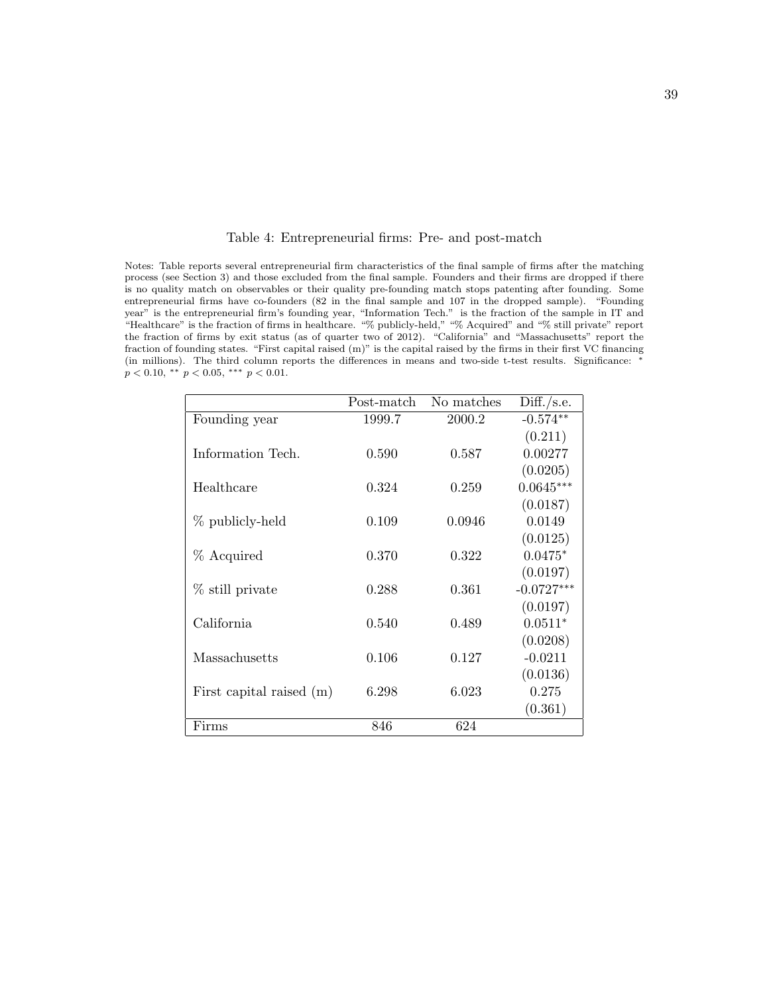|  | Table 4: Entrepreneurial firms: Pre- and post-match |  |  |  |
|--|-----------------------------------------------------|--|--|--|
|--|-----------------------------------------------------|--|--|--|

Notes: Table reports several entrepreneurial firm characteristics of the final sample of firms after the matching process (see Section 3) and those excluded from the final sample. Founders and their firms are dropped if there is no quality match on observables or their quality pre-founding match stops patenting after founding. Some entrepreneurial firms have co-founders (82 in the final sample and 107 in the dropped sample). "Founding year" is the entrepreneurial firm's founding year, "Information Tech." is the fraction of the sample in IT and "Healthcare" is the fraction of firms in healthcare. "% publicly-held," "% Acquired" and "% still private" report the fraction of firms by exit status (as of quarter two of 2012). "California" and "Massachusetts" report the fraction of founding states. "First capital raised (m)" is the capital raised by the firms in their first VC financing (in millions). The third column reports the differences in means and two-side t-test results. Significance: <sup>∗</sup>  $p < 0.10,$   $\mathrm{^{**}}$   $p < 0.05,$   $\mathrm{^{***}}$   $p < 0.01.$ 

|                          | Post-match | No matches | Diff./s.e.   |
|--------------------------|------------|------------|--------------|
| Founding year            | 1999.7     | 2000.2     | $-0.574**$   |
|                          |            |            | (0.211)      |
| Information Tech.        | 0.590      | 0.587      | 0.00277      |
|                          |            |            | (0.0205)     |
| Healthcare               | 0.324      | 0.259      | $0.0645***$  |
|                          |            |            | (0.0187)     |
| % publicly-held          | 0.109      | 0.0946     | 0.0149       |
|                          |            |            | (0.0125)     |
| % Acquired               | 0.370      | 0.322      | $0.0475*$    |
|                          |            |            | (0.0197)     |
| % still private          | 0.288      | 0.361      | $-0.0727***$ |
|                          |            |            | (0.0197)     |
| California               | 0.540      | 0.489      | $0.0511*$    |
|                          |            |            | (0.0208)     |
| Massachusetts            | 0.106      | 0.127      | $-0.0211$    |
|                          |            |            | (0.0136)     |
| First capital raised (m) | 6.298      | 6.023      | 0.275        |
|                          |            |            | (0.361)      |
| Firms                    | 846        | 624        |              |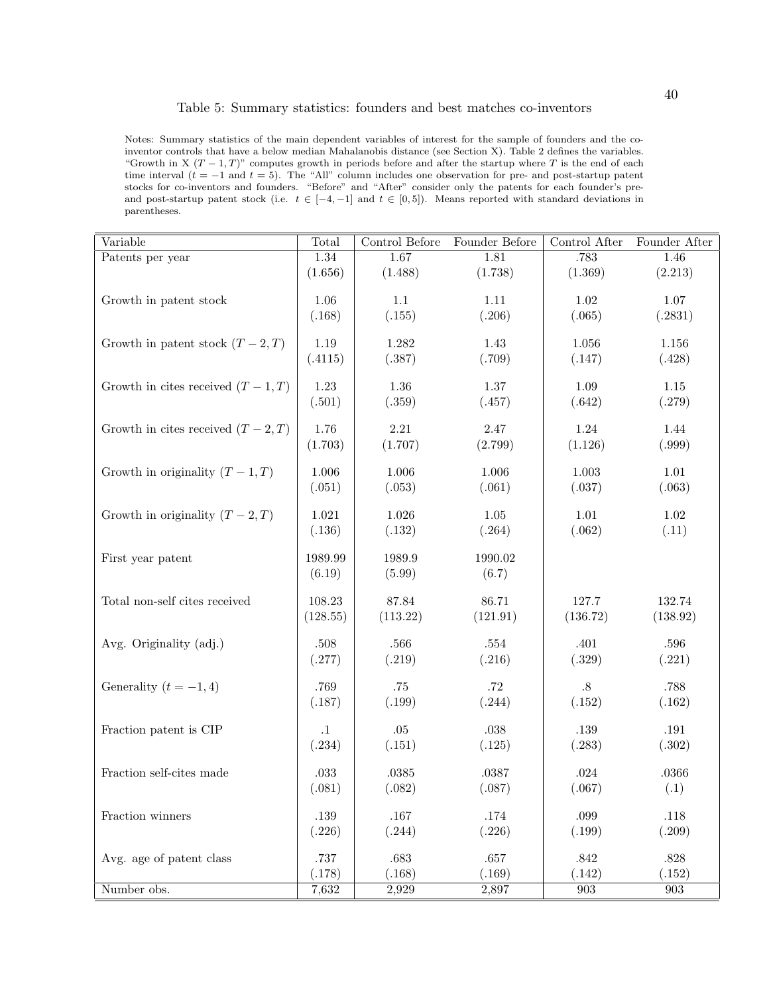### Table 5: Summary statistics: founders and best matches co-inventors

Notes: Summary statistics of the main dependent variables of interest for the sample of founders and the coinventor controls that have a below median Mahalanobis distance (see Section X). Table 2 defines the variables. "Growth in X  $(T - 1, T)$ " computes growth in periods before and after the startup where T is the end of each time interval  $(t = -1$  and  $t = 5)$ . The "All" column includes one observation for pre- and post-startup patent stocks for co-inventors and founders. "Before" and "After" consider only the patents for each founder's preand post-startup patent stock (i.e.  $t \in [-4, -1]$  and  $t \in [0, 5]$ ). Means reported with standard deviations in parentheses.

| <b>Variable</b>                     | Total     | Control Before | Founder Before | Control After      | Founder After      |
|-------------------------------------|-----------|----------------|----------------|--------------------|--------------------|
| Patents per year                    | 1.34      | 1.67           | 1.81           | .783               | 1.46               |
|                                     | (1.656)   | (1.488)        | (1.738)        | (1.369)            | (2.213)            |
|                                     |           |                |                |                    |                    |
| Growth in patent stock              | 1.06      | $1.1\,$        | $1.11$         | 1.02               | 1.07               |
|                                     | (.168)    | (.155)         | (.206)         | (.065)             | (.2831)            |
| Growth in patent stock $(T-2, T)$   | 1.19      | 1.282          | 1.43           | 1.056              | 1.156              |
|                                     | (.4115)   | (.387)         | (.709)         | (.147)             | (.428)             |
|                                     |           |                |                |                    |                    |
| Growth in cites received $(T-1, T)$ | 1.23      | 1.36           | 1.37           | 1.09               | 1.15               |
|                                     | (.501)    | (.359)         | (.457)         | (.642)             | (.279)             |
|                                     |           |                |                |                    |                    |
| Growth in cites received $(T-2, T)$ | 1.76      | $2.21\,$       | $2.47\,$       | $1.24\,$           | 1.44               |
|                                     | (1.703)   | (1.707)        | (2.799)        | (1.126)            | (.999)             |
|                                     |           |                |                |                    |                    |
| Growth in originality $(T-1, T)$    | $1.006\,$ | 1.006          | 1.006          | $1.003\,$          | $1.01\,$           |
|                                     | (.051)    | (.053)         | (.061)         | (.037)             | (.063)             |
| Growth in originality $(T-2, T)$    | $1.021\,$ | 1.026          | $1.05\,$       | $1.01\,$           | $1.02\,$           |
|                                     | (.136)    | (.132)         | (.264)         | (.062)             | (.11)              |
|                                     |           |                |                |                    |                    |
| First year patent                   | 1989.99   | 1989.9         | 1990.02        |                    |                    |
|                                     | (6.19)    | (5.99)         | (6.7)          |                    |                    |
|                                     |           |                |                |                    |                    |
| Total non-self cites received       | 108.23    | 87.84          | 86.71          | 127.7              | 132.74             |
|                                     | (128.55)  | (113.22)       | (121.91)       | (136.72)           | (138.92)           |
|                                     |           |                |                |                    |                    |
| Avg. Originality (adj.)             | .508      | .566           | .554           | .401               | $.596\,$           |
|                                     | (.277)    | (.219)         | (.216)         | (.329)             | (.221)             |
| Generality $(t = -1, 4)$            | .769      | .75            | .72            | $.8\,$             | .788               |
|                                     | (.187)    | (.199)         | (.244)         | (.152)             | (.162)             |
|                                     |           |                |                |                    |                    |
| Fraction patent is CIP              | $\cdot 1$ | $.05\,$        | $.038\,$       | .139               | $.191\,$           |
|                                     | (.234)    | (.151)         | (.125)         | (.283)             | (.302)             |
|                                     |           |                |                |                    |                    |
| Fraction self-cites made            | $.033\,$  | $.0385\,$      | .0387          | $.024\,$           | .0366              |
|                                     | (.081)    | (.082)         | (.087)         | (.067)             | (.1)               |
| Fraction winners                    | .139      | $.167\,$       | $.174\,$       | .099               | $.118\,$           |
|                                     | (.226)    | (.244)         | (.226)         | (.199)             | (.209)             |
|                                     |           |                |                |                    |                    |
| Avg. age of patent class            | .737      | $.683\,$       | $.657\,$       | $.842\,$           | $.828\,$           |
|                                     | (.178)    | (.168)         | (.169)         | (.142)             | (.152)             |
| Number obs.                         | 7,632     | 2,929          | 2,897          | $\boldsymbol{903}$ | $\boldsymbol{903}$ |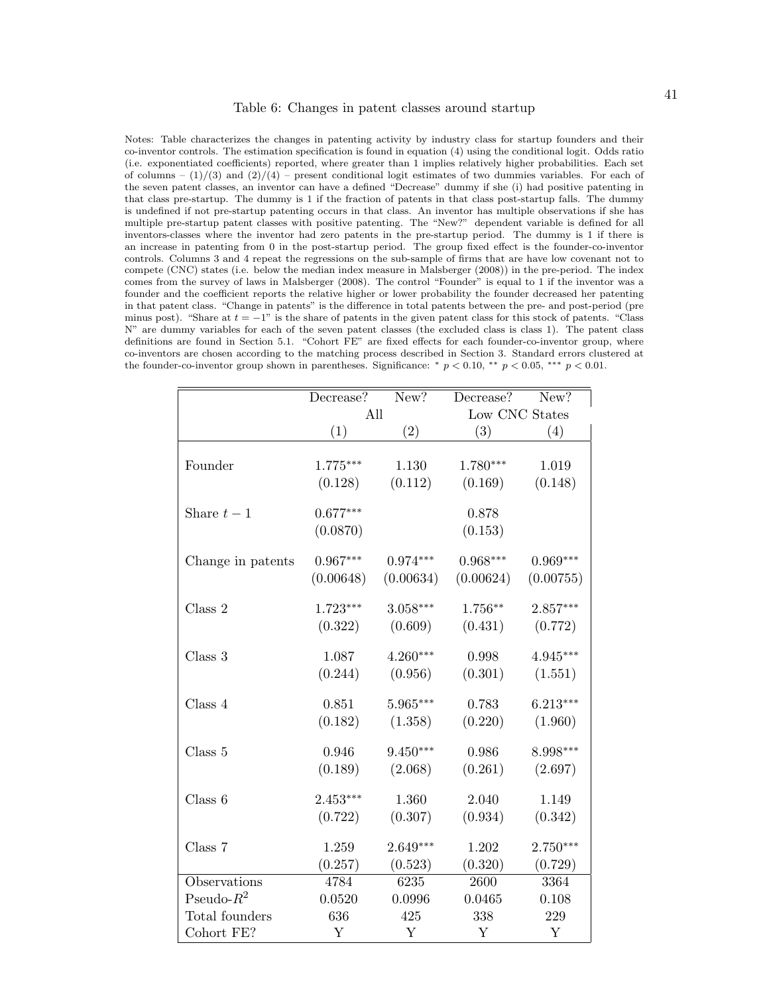Notes: Table characterizes the changes in patenting activity by industry class for startup founders and their co-inventor controls. The estimation specification is found in equation (4) using the conditional logit. Odds ratio (i.e. exponentiated coefficients) reported, where greater than 1 implies relatively higher probabilities. Each set of columns –  $(1)/(3)$  and  $(2)/(4)$  – present conditional logit estimates of two dummies variables. For each of the seven patent classes, an inventor can have a defined "Decrease" dummy if she (i) had positive patenting in that class pre-startup. The dummy is 1 if the fraction of patents in that class post-startup falls. The dummy is undefined if not pre-startup patenting occurs in that class. An inventor has multiple observations if she has multiple pre-startup patent classes with positive patenting. The "New?" dependent variable is defined for all inventors-classes where the inventor had zero patents in the pre-startup period. The dummy is 1 if there is an increase in patenting from 0 in the post-startup period. The group fixed effect is the founder-co-inventor controls. Columns 3 and 4 repeat the regressions on the sub-sample of firms that are have low covenant not to compete (CNC) states (i.e. below the median index measure in Malsberger (2008)) in the pre-period. The index comes from the survey of laws in Malsberger (2008). The control "Founder" is equal to 1 if the inventor was a founder and the coefficient reports the relative higher or lower probability the founder decreased her patenting in that patent class. "Change in patents" is the difference in total patents between the pre- and post-period (pre minus post). "Share at  $t = -1$ " is the share of patents in the given patent class for this stock of patents. "Class" N" are dummy variables for each of the seven patent classes (the excluded class is class 1). The patent class definitions are found in Section 5.1. "Cohort FE" are fixed effects for each founder-co-inventor group, where co-inventors are chosen according to the matching process described in Section 3. Standard errors clustered at the founder-co-inventor group shown in parentheses. Significance:  $* p < 0.10, ** p < 0.05, ** p < 0.01$ .

|                   | Decrease?  | New?        | Decrease?      | New?        |
|-------------------|------------|-------------|----------------|-------------|
|                   | All        |             | Low CNC States |             |
|                   | (1)        | (2)         | (3)            | (4)         |
|                   |            |             |                |             |
| Founder           | $1.775***$ | 1.130       | $1.780***$     | 1.019       |
|                   | (0.128)    | (0.112)     | (0.169)        | (0.148)     |
| Share $t-1$       | $0.677***$ |             | 0.878          |             |
|                   |            |             |                |             |
|                   | (0.0870)   |             | (0.153)        |             |
| Change in patents | $0.967***$ | $0.974***$  | $0.968***$     | $0.969***$  |
|                   | (0.00648)  | (0.00634)   | (0.00624)      | (0.00755)   |
| Class 2           | $1.723***$ | $3.058***$  | $1.756**$      | $2.857***$  |
|                   | (0.322)    | (0.609)     | (0.431)        | (0.772)     |
|                   |            |             |                |             |
| Class 3           | 1.087      | $4.260***$  | 0.998          | $4.945***$  |
|                   | (0.244)    | (0.956)     | (0.301)        | (1.551)     |
| Class 4           | 0.851      | 5.965***    | 0.783          | $6.213***$  |
|                   | (0.182)    | (1.358)     | (0.220)        | (1.960)     |
|                   |            |             |                |             |
| Class 5           | 0.946      | $9.450***$  | 0.986          | 8.998***    |
|                   | (0.189)    | (2.068)     | (0.261)        | (2.697)     |
|                   |            |             |                |             |
| Class 6           | $2.453***$ | 1.360       | 2.040          | 1.149       |
|                   | (0.722)    | (0.307)     | (0.934)        | (0.342)     |
| Class 7           | 1.259      | $2.649***$  | 1.202          | $2.750***$  |
|                   | (0.257)    | (0.523)     | (0.320)        | (0.729)     |
| Observations      | 4784       | 6235        | 2600           | 3364        |
| Pseudo- $R^2$     | 0.0520     | 0.0996      | 0.0465         | 0.108       |
| Total founders    | 636        | 425         | 338            | 229         |
| Cohort FE?        | Y          | $\mathbf Y$ | Y              | $\mathbf Y$ |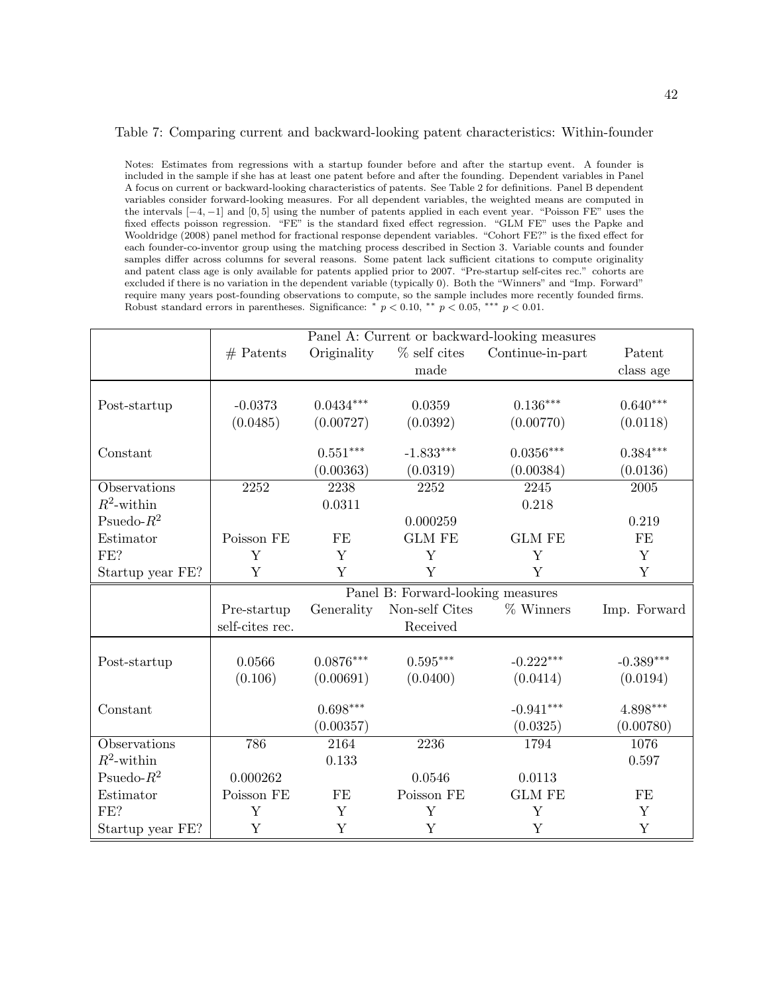### Table 7: Comparing current and backward-looking patent characteristics: Within-founder

Notes: Estimates from regressions with a startup founder before and after the startup event. A founder is included in the sample if she has at least one patent before and after the founding. Dependent variables in Panel A focus on current or backward-looking characteristics of patents. See Table 2 for definitions. Panel B dependent variables consider forward-looking measures. For all dependent variables, the weighted means are computed in the intervals [−4, −1] and [0, 5] using the number of patents applied in each event year. "Poisson FE" uses the fixed effects poisson regression. "FE" is the standard fixed effect regression. "GLM FE" uses the Papke and Wooldridge (2008) panel method for fractional response dependent variables. "Cohort FE?" is the fixed effect for each founder-co-inventor group using the matching process described in Section 3. Variable counts and founder samples differ across columns for several reasons. Some patent lack sufficient citations to compute originality and patent class age is only available for patents applied prior to 2007. "Pre-startup self-cites rec." cohorts are excluded if there is no variation in the dependent variable (typically 0). Both the "Winners" and "Imp. Forward" require many years post-founding observations to compute, so the sample includes more recently founded firms. Robust standard errors in parentheses. Significance:  $* p < 0.10, ** p < 0.05, ** p < 0.01$ .

|                  |                 |             |                                   | Panel A: Current or backward-looking measures |                        |
|------------------|-----------------|-------------|-----------------------------------|-----------------------------------------------|------------------------|
|                  | $#$ Patents     | Originality | $%$ self cites                    | Continue-in-part                              | Patent                 |
|                  |                 |             | made                              |                                               | class age              |
|                  |                 |             |                                   |                                               |                        |
| Post-startup     | $-0.0373$       | $0.0434***$ | 0.0359                            | $0.136***$                                    | $0.640^{***}\,$        |
|                  | (0.0485)        | (0.00727)   | (0.0392)                          | (0.00770)                                     | (0.0118)               |
| Constant         |                 | $0.551***$  | $-1.833***$                       | $0.0356***$                                   | $0.384***$             |
|                  |                 | (0.00363)   | (0.0319)                          | (0.00384)                                     | (0.0136)               |
| Observations     | 2252            | 2238        | 2252                              | 2245                                          | 2005                   |
| $R^2$ -within    |                 | 0.0311      |                                   | 0.218                                         |                        |
| Psuedo- $R^2$    |                 |             | 0.000259                          |                                               | 0.219                  |
| Estimator        | Poisson FE      | FE          | <b>GLM FE</b>                     | <b>GLM FE</b>                                 | FE                     |
| FE?              | Y               | Y           | Y                                 | Y                                             | Y                      |
| Startup year FE? | Y               | Y           | Y                                 | Y                                             | Y                      |
|                  |                 |             |                                   |                                               |                        |
|                  |                 |             | Panel B: Forward-looking measures |                                               |                        |
|                  | Pre-startup     | Generality  | Non-self Cites                    | $%$ Winners                                   | Imp. Forward           |
|                  | self-cites rec. |             | Received                          |                                               |                        |
|                  | 0.0566          | $0.0876***$ | $0.595***$                        | $-0.222***$                                   | $-0.389***$            |
| Post-startup     | (0.106)         |             |                                   |                                               |                        |
|                  |                 | (0.00691)   | (0.0400)                          | (0.0414)                                      | (0.0194)               |
| Constant         |                 | $0.698***$  |                                   | $-0.941***$                                   | $4.898^{\ast\ast\ast}$ |
|                  |                 | (0.00357)   |                                   | (0.0325)                                      | (0.00780)              |
| Observations     | 786             | 2164        | 2236                              | 1794                                          | 1076                   |
| $R^2$ -within    |                 | 0.133       |                                   |                                               | 0.597                  |
| Psuedo- $R^2$    | 0.000262        |             | 0.0546                            | 0.0113                                        |                        |
| Estimator        | Poisson FE      | FE          | Poisson FE                        | <b>GLM FE</b>                                 | FE                     |
| FE?              | Y               | Y           | Y                                 | Y                                             | Y                      |
| Startup year FE? | Y               | Y           | $\mathbf Y$                       | Y                                             | Y                      |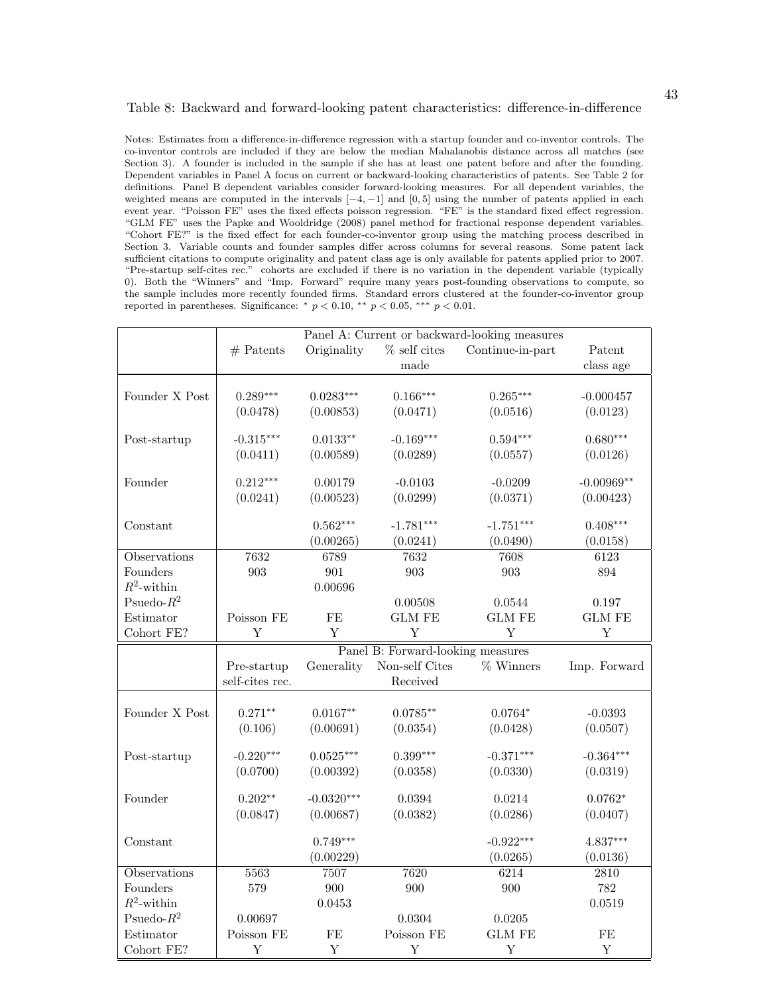#### Table 8: Backward and forward-looking patent characteristics: difference-in-difference

Notes: Estimates from a difference-in-difference regression with a startup founder and co-inventor controls. The co-inventor controls are included if they are below the median Mahalanobis distance across all matches (see Section 3). A founder is included in the sample if she has at least one patent before and after the founding. Dependent variables in Panel A focus on current or backward-looking characteristics of patents. See Table 2 for definitions. Panel B dependent variables consider forward-looking measures. For all dependent variables, the weighted means are computed in the intervals  $[-4, -1]$  and  $[0, 5]$  using the number of patents applied in each event year. "Poisson FE" uses the fixed effects poisson regression. "FE" is the standard fixed effect regression. "GLM FE" uses the Papke and Wooldridge (2008) panel method for fractional response dependent variables. "Cohort FE?" is the fixed effect for each founder-co-inventor group using the matching process described in Section 3. Variable counts and founder samples differ across columns for several reasons. Some patent lack sufficient citations to compute originality and patent class age is only available for patents applied prior to 2007. "Pre-startup self-cites rec." cohorts are excluded if there is no variation in the dependent variable (typically 0). Both the "Winners" and "Imp. Forward" require many years post-founding observations to compute, so the sample includes more recently founded firms. Standard errors clustered at the founder-co-inventor group reported in parentheses. Significance: \*  $p < 0.10$ , \*\*  $p < 0.05$ , \*\*\*  $p < 0.01$ .

|                         | Panel A: Current or backward-looking measures |                         |                                   |                                |               |
|-------------------------|-----------------------------------------------|-------------------------|-----------------------------------|--------------------------------|---------------|
|                         | $#$ Patents                                   | Originality             | $\%$ self cites                   | Continue-in-part               | Patent        |
|                         |                                               |                         | made                              |                                | class age     |
|                         |                                               |                         |                                   |                                |               |
| Founder X Post          | $0.289***$                                    | $0.0283***$             | $0.166***$                        | $0.265***$                     | $-0.000457$   |
|                         | (0.0478)                                      | (0.00853)               | (0.0471)                          | (0.0516)                       | (0.0123)      |
|                         |                                               |                         |                                   |                                |               |
| Post-startup            | $-0.315***$                                   | $0.0133**$              | $-0.169***$                       | $0.594***$                     | $0.680***$    |
|                         | (0.0411)                                      | (0.00589)               | (0.0289)                          | (0.0557)                       | (0.0126)      |
| Founder                 | $0.212***$                                    | 0.00179                 | $-0.0103$                         | $-0.0209$                      | $-0.00969**$  |
|                         | (0.0241)                                      | (0.00523)               | (0.0299)                          | (0.0371)                       | (0.00423)     |
|                         |                                               |                         |                                   |                                |               |
| Constant                |                                               | $0.562***$              | $-1.781***$                       | $-1.751***$                    | $0.408***$    |
|                         |                                               | (0.00265)               | (0.0241)                          | (0.0490)                       | (0.0158)      |
| Observations            | 7632                                          | 6789                    | 7632                              | 7608                           | 6123          |
| Founders                | 903                                           | 901                     | 903                               | 903                            | 894           |
| $R^2$ -within           |                                               | 0.00696                 |                                   |                                |               |
| Psuedo- $R^2$           |                                               |                         | 0.00508                           | 0.0544                         | 0.197         |
| Estimator               | Poisson FE                                    | FE                      | <b>GLM FE</b>                     | $\mathop{\rm GLM}\nolimits$ FE | <b>GLM FE</b> |
| Cohort FE?              | Y                                             | $\mathbf Y$             | Y                                 | Y                              | $\mathbf Y$   |
|                         |                                               |                         | Panel B: Forward-looking measures |                                |               |
|                         |                                               |                         |                                   |                                |               |
|                         | Pre-startup                                   | Generality              | Non-self Cites                    | % Winners                      | Imp. Forward  |
|                         | self-cites rec.                               |                         | Received                          |                                |               |
|                         |                                               |                         |                                   |                                |               |
| Founder X Post          | $0.271**$                                     | $0.0167**$              | $0.0785**$                        | $0.0764*$                      | $-0.0393$     |
|                         | (0.106)                                       | (0.00691)               | (0.0354)                          | (0.0428)                       | (0.0507)      |
|                         |                                               |                         |                                   |                                |               |
| Post-startup            | $-0.220***$                                   | $0.0525***$             | $0.399***$                        | $-0.371***$                    | $-0.364***$   |
|                         | (0.0700)                                      | (0.00392)               | (0.0358)                          | (0.0330)                       | (0.0319)      |
| Founder                 | $0.202**$                                     | $-0.0320***$            | 0.0394                            | 0.0214                         | $0.0762*$     |
|                         | (0.0847)                                      | (0.00687)               | (0.0382)                          | (0.0286)                       | (0.0407)      |
|                         |                                               |                         |                                   |                                |               |
| Constant                |                                               | $0.749***$              |                                   | $-0.922***$                    | $4.837***$    |
|                         |                                               | (0.00229)               |                                   | (0.0265)                       | (0.0136)      |
| Observations            | 5563                                          | 7507                    | 7620                              | 6214                           | 2810          |
| Founders                | 579                                           | 900                     | 900                               | 900                            | 782           |
| $R^2$ -within           |                                               | 0.0453                  |                                   |                                | 0.0519        |
| Psuedo- $R^2$           | 0.00697                                       |                         | 0.0304                            | 0.0205                         |               |
| Estimator<br>Cohort FE? | Poisson FE<br>Y                               | $\rm FE$<br>$\mathbf Y$ | Poisson FE<br>Y                   | <b>GLM FE</b><br>Y             | $\rm FE$<br>Y |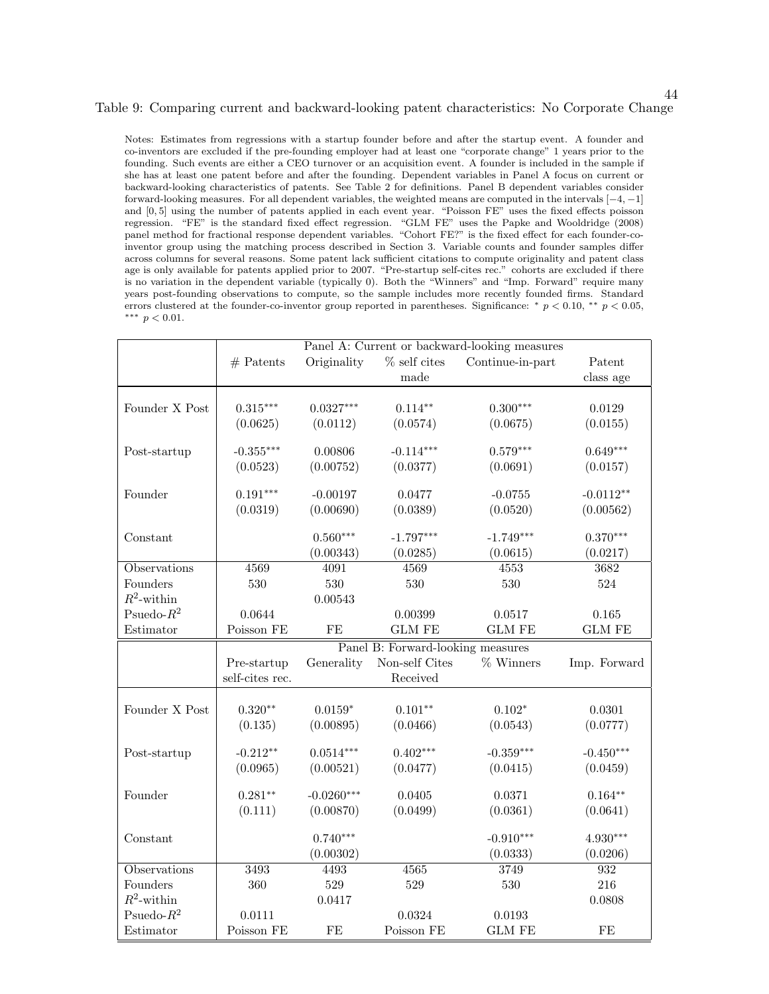### Table 9: Comparing current and backward-looking patent characteristics: No Corporate Change

44

Notes: Estimates from regressions with a startup founder before and after the startup event. A founder and co-inventors are excluded if the pre-founding employer had at least one "corporate change" 1 years prior to the founding. Such events are either a CEO turnover or an acquisition event. A founder is included in the sample if she has at least one patent before and after the founding. Dependent variables in Panel A focus on current or backward-looking characteristics of patents. See Table 2 for definitions. Panel B dependent variables consider forward-looking measures. For all dependent variables, the weighted means are computed in the intervals [−4, −1] and [0, 5] using the number of patents applied in each event year. "Poisson FE" uses the fixed effects poisson regression. "FE" is the standard fixed effect regression. "GLM FE" uses the Papke and Wooldridge (2008) panel method for fractional response dependent variables. "Cohort FE?" is the fixed effect for each founder-coinventor group using the matching process described in Section 3. Variable counts and founder samples differ across columns for several reasons. Some patent lack sufficient citations to compute originality and patent class age is only available for patents applied prior to 2007. "Pre-startup self-cites rec." cohorts are excluded if there is no variation in the dependent variable (typically 0). Both the "Winners" and "Imp. Forward" require many years post-founding observations to compute, so the sample includes more recently founded firms. Standard errors clustered at the founder-co-inventor group reported in parentheses. Significance: \*  $p < 0.10$ , \*\*  $p < 0.05$ , ∗∗∗ p < 0.01.

|                     |                 |              |                                   | Panel A: Current or backward-looking measures |               |
|---------------------|-----------------|--------------|-----------------------------------|-----------------------------------------------|---------------|
|                     | $#$ Patents     | Originality  | $%$ self cites                    | Continue-in-part                              | Patent        |
|                     |                 |              | made                              |                                               | class age     |
|                     |                 |              |                                   |                                               |               |
| Founder X Post      | $0.315***$      | $0.0327***$  | $0.114**$                         | $0.300***$                                    | 0.0129        |
|                     | (0.0625)        | (0.0112)     | (0.0574)                          | (0.0675)                                      | (0.0155)      |
| Post-startup        | $-0.355***$     | 0.00806      | $-0.114***$                       | $0.579***$                                    | $0.649***$    |
|                     | (0.0523)        | (0.00752)    | (0.0377)                          | (0.0691)                                      | (0.0157)      |
| Founder             | $0.191***$      | $-0.00197$   | 0.0477                            | $-0.0755$                                     | $-0.0112**$   |
|                     | (0.0319)        | (0.00690)    | (0.0389)                          | (0.0520)                                      | (0.00562)     |
| Constant            |                 | $0.560***$   | $-1.797***$                       | $-1.749***$                                   | $0.370***$    |
|                     |                 | (0.00343)    | (0.0285)                          | (0.0615)                                      | (0.0217)      |
| <b>Observations</b> | 4569            | 4091         | 4569                              | 4553                                          | 3682          |
| Founders            | 530             | 530          | 530                               | 530                                           | 524           |
| $R^2$ -within       |                 | 0.00543      |                                   |                                               |               |
| Psuedo- $R^2$       | 0.0644          |              | 0.00399                           | 0.0517                                        | 0.165         |
| Estimator           | Poisson FE      | FE           | <b>GLM FE</b>                     | <b>GLM FE</b>                                 | <b>GLM FE</b> |
|                     |                 |              | Panel B: Forward-looking measures |                                               |               |
|                     | Pre-startup     | Generality   | Non-self Cites                    | $%$ Winners                                   | Imp. Forward  |
|                     | self-cites rec. |              | Received                          |                                               |               |
|                     |                 |              | $0.101**$                         |                                               |               |
| Founder X Post      | $0.320**$       | $0.0159*$    |                                   | $0.102*$                                      | 0.0301        |
|                     | (0.135)         | (0.00895)    | (0.0466)                          | (0.0543)                                      | (0.0777)      |
| Post-startup        | $-0.212**$      | $0.0514***$  | $0.402***$                        | $-0.359***$                                   | $-0.450***$   |
|                     | (0.0965)        | (0.00521)    | (0.0477)                          | (0.0415)                                      | (0.0459)      |
| Founder             | $0.281**$       | $-0.0260***$ | 0.0405                            | 0.0371                                        | $0.164**$     |
|                     | (0.111)         | (0.00870)    | (0.0499)                          | (0.0361)                                      | (0.0641)      |
| Constant            |                 | $0.740***$   |                                   | $-0.910***$                                   | $4.930***$    |
|                     |                 | (0.00302)    |                                   | (0.0333)                                      | (0.0206)      |
| Observations        | 3493            | 4493         | 4565                              | 3749                                          | 932           |
| Founders            | 360             | 529          | 529                               | 530                                           | 216           |
| $R^2$ -within       |                 | 0.0417       |                                   |                                               | 0.0808        |
| Psuedo- $R^2$       | 0.0111          |              | 0.0324                            | 0.0193                                        |               |
| Estimator           | Poisson FE      | FE           | Poisson FE                        | <b>GLM FE</b>                                 | FE            |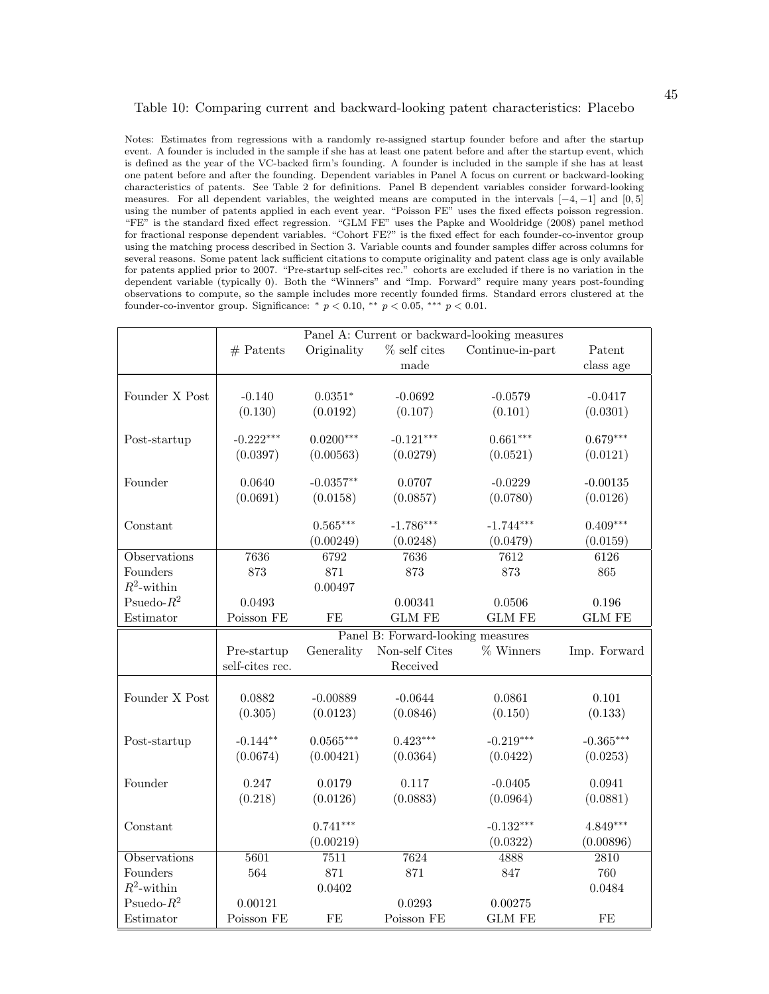#### Table 10: Comparing current and backward-looking patent characteristics: Placebo

Notes: Estimates from regressions with a randomly re-assigned startup founder before and after the startup event. A founder is included in the sample if she has at least one patent before and after the startup event, which is defined as the year of the VC-backed firm's founding. A founder is included in the sample if she has at least one patent before and after the founding. Dependent variables in Panel A focus on current or backward-looking characteristics of patents. See Table 2 for definitions. Panel B dependent variables consider forward-looking measures. For all dependent variables, the weighted means are computed in the intervals  $[-4, -1]$  and  $[0, 5]$ using the number of patents applied in each event year. "Poisson FE" uses the fixed effects poisson regression. "FE" is the standard fixed effect regression. "GLM FE" uses the Papke and Wooldridge (2008) panel method for fractional response dependent variables. "Cohort FE?" is the fixed effect for each founder-co-inventor group using the matching process described in Section 3. Variable counts and founder samples differ across columns for several reasons. Some patent lack sufficient citations to compute originality and patent class age is only available for patents applied prior to 2007. "Pre-startup self-cites rec." cohorts are excluded if there is no variation in the dependent variable (typically 0). Both the "Winners" and "Imp. Forward" require many years post-founding observations to compute, so the sample includes more recently founded firms. Standard errors clustered at the founder-co-inventor group. Significance: \*  $p < 0.10$ , \*\*  $p < 0.05$ , \*\*\*  $p < 0.01$ .

|                     | Panel A: Current or backward-looking measures |             |                                   |                  |               |
|---------------------|-----------------------------------------------|-------------|-----------------------------------|------------------|---------------|
|                     | $#$ Patents                                   | Originality | $\%$ self cites                   | Continue-in-part | Patent        |
|                     |                                               |             | made                              |                  | class age     |
|                     |                                               |             |                                   |                  |               |
| Founder X Post      | $-0.140$                                      | $0.0351*$   | $-0.0692$                         | $-0.0579$        | $-0.0417$     |
|                     | (0.130)                                       | (0.0192)    | (0.107)                           | (0.101)          | (0.0301)      |
| Post-startup        | $-0.222***$                                   | $0.0200***$ | $-0.121***$                       | $0.661***$       | $0.679***$    |
|                     | (0.0397)                                      | (0.00563)   | (0.0279)                          | (0.0521)         | (0.0121)      |
| Founder             | 0.0640                                        | $-0.0357**$ | 0.0707                            | $-0.0229$        | $-0.00135$    |
|                     | (0.0691)                                      |             |                                   |                  |               |
|                     |                                               | (0.0158)    | (0.0857)                          | (0.0780)         | (0.0126)      |
| Constant            |                                               | $0.565***$  | $-1.786***$                       | $-1.744***$      | $0.409***$    |
|                     |                                               | (0.00249)   | (0.0248)                          | (0.0479)         | (0.0159)      |
| Observations        | 7636                                          | 6792        | 7636                              | 7612             | 6126          |
| Founders            | 873                                           | 871         | 873                               | 873              | 865           |
| $R^2$ -within       |                                               | 0.00497     |                                   |                  |               |
| Psuedo- $R^2$       | 0.0493                                        |             | 0.00341                           | 0.0506           | 0.196         |
| Estimator           | Poisson FE                                    | FE          | <b>GLM FE</b>                     | <b>GLM FE</b>    | <b>GLM FE</b> |
|                     |                                               |             | Panel B: Forward-looking measures |                  |               |
|                     | Pre-startup                                   | Generality  | Non-self Cites                    | % Winners        | Imp. Forward  |
|                     | self-cites rec.                               |             | Received                          |                  |               |
|                     |                                               |             |                                   |                  |               |
| Founder X Post      | 0.0882                                        | $-0.00889$  | $-0.0644$                         | 0.0861           | 0.101         |
|                     | (0.305)                                       | (0.0123)    | (0.0846)                          | (0.150)          | (0.133)       |
| Post-startup        | $-0.144**$                                    | $0.0565***$ | $0.423***$                        | $-0.219***$      | $-0.365***$   |
|                     | (0.0674)                                      | (0.00421)   | (0.0364)                          | (0.0422)         | (0.0253)      |
|                     |                                               |             |                                   |                  |               |
| Founder             | 0.247                                         | 0.0179      | 0.117                             | $-0.0405$        | 0.0941        |
|                     | (0.218)                                       | (0.0126)    | (0.0883)                          | (0.0964)         | (0.0881)      |
| Constant            |                                               | $0.741***$  |                                   | $-0.132***$      | 4.849***      |
|                     |                                               | (0.00219)   |                                   | (0.0322)         | (0.00896)     |
| <b>Observations</b> | 5601                                          | 7511        | 7624                              | 4888             | 2810          |
| Founders            | 564                                           | 871         | 871                               | 847              | 760           |
| $R^2$ -within       |                                               | 0.0402      |                                   |                  | 0.0484        |
| Psuedo- $R^2$       | 0.00121                                       |             | 0.0293                            | 0.00275          |               |
| Estimator           | Poisson FE                                    | FE          | Poisson FE                        | <b>GLM FE</b>    | FE            |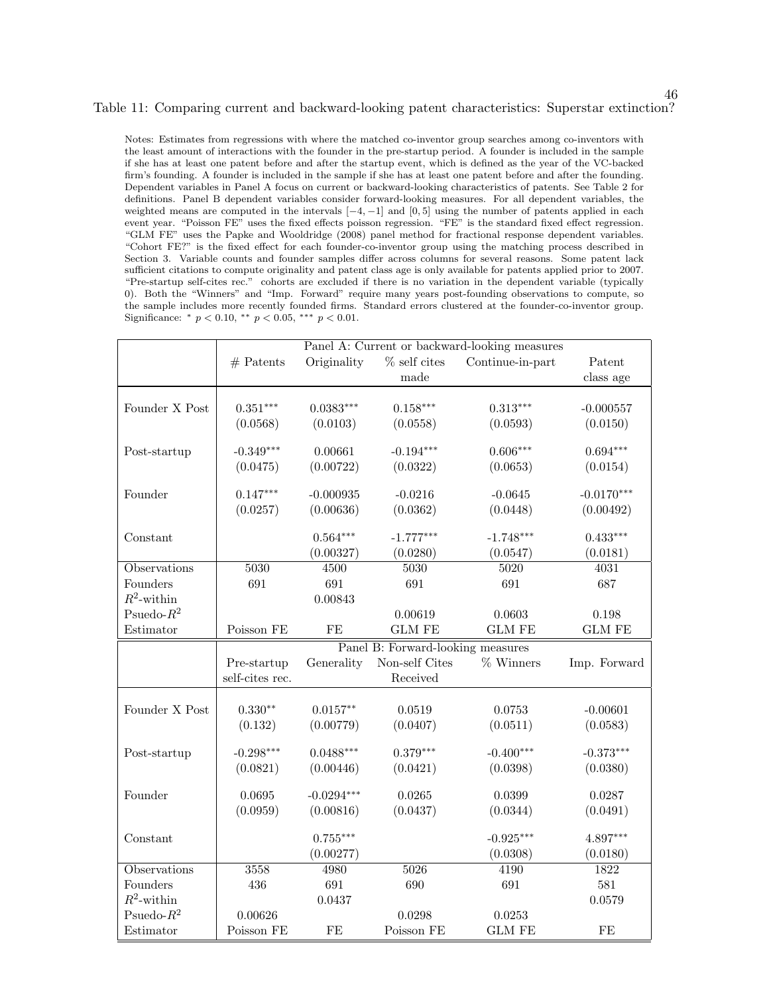### Table 11: Comparing current and backward-looking patent characteristics: Superstar extinction?

46

Notes: Estimates from regressions with where the matched co-inventor group searches among co-inventors with the least amount of interactions with the founder in the pre-startup period. A founder is included in the sample if she has at least one patent before and after the startup event, which is defined as the year of the VC-backed firm's founding. A founder is included in the sample if she has at least one patent before and after the founding. Dependent variables in Panel A focus on current or backward-looking characteristics of patents. See Table 2 for definitions. Panel B dependent variables consider forward-looking measures. For all dependent variables, the weighted means are computed in the intervals  $[-4, -1]$  and  $[0, 5]$  using the number of patents applied in each event year. "Poisson FE" uses the fixed effects poisson regression. "FE" is the standard fixed effect regression. "GLM FE" uses the Papke and Wooldridge (2008) panel method for fractional response dependent variables. "Cohort FE?" is the fixed effect for each founder-co-inventor group using the matching process described in Section 3. Variable counts and founder samples differ across columns for several reasons. Some patent lack sufficient citations to compute originality and patent class age is only available for patents applied prior to 2007. "Pre-startup self-cites rec." cohorts are excluded if there is no variation in the dependent variable (typically 0). Both the "Winners" and "Imp. Forward" require many years post-founding observations to compute, so the sample includes more recently founded firms. Standard errors clustered at the founder-co-inventor group. Significance: \*  $p < 0.10$ , \*\*  $p < 0.05$ , \*\*\*  $p < 0.01$ .

|                |                 |                   |                                   | Panel A: Current or backward-looking measures |                   |
|----------------|-----------------|-------------------|-----------------------------------|-----------------------------------------------|-------------------|
|                | $#$ Patents     | Originality       | $%$ self cites                    | Continue-in-part                              | Patent            |
|                |                 |                   | made                              |                                               | class age         |
|                |                 |                   |                                   |                                               |                   |
| Founder X Post | $0.351***$      | $0.0383***$       | $0.158***$                        | $0.313***$                                    | $-0.000557$       |
|                | (0.0568)        | (0.0103)          | (0.0558)                          | (0.0593)                                      | (0.0150)          |
|                |                 |                   |                                   |                                               |                   |
| Post-startup   | $-0.349***$     | 0.00661           | $-0.194***$                       | $0.606***$                                    | $0.694***$        |
|                | (0.0475)        | (0.00722)         | (0.0322)                          | (0.0653)                                      | (0.0154)          |
| Founder        | $0.147***$      | $-0.000935$       | $-0.0216$                         | $-0.0645$                                     | $-0.0170***$      |
|                | (0.0257)        | (0.00636)         | (0.0362)                          | (0.0448)                                      | (0.00492)         |
|                |                 |                   |                                   |                                               |                   |
| Constant       |                 | $0.564***$        | $-1.777***$                       | $-1.748***$                                   | $0.433***$        |
|                |                 | (0.00327)         | (0.0280)                          | (0.0547)                                      | (0.0181)          |
| Observations   | 5030            | $\overline{4500}$ | 5030                              | 5020                                          | $\overline{4031}$ |
| Founders       | 691             | 691               | 691                               | 691                                           | 687               |
| $R^2$ -within  |                 | 0.00843           |                                   |                                               |                   |
| Psuedo- $R^2$  |                 |                   | 0.00619                           | 0.0603                                        | 0.198             |
| Estimator      | Poisson FE      | FE                | <b>GLM FE</b>                     | <b>GLM FE</b>                                 | <b>GLM FE</b>     |
|                |                 |                   | Panel B: Forward-looking measures |                                               |                   |
|                | Pre-startup     | Generality        | Non-self Cites                    | % Winners                                     | Imp. Forward      |
|                | self-cites rec. |                   | Received                          |                                               |                   |
|                |                 |                   |                                   |                                               |                   |
| Founder X Post | $0.330**$       | $0.0157**$        | 0.0519                            | 0.0753                                        | $-0.00601$        |
|                | (0.132)         | (0.00779)         | (0.0407)                          | (0.0511)                                      | (0.0583)          |
| Post-startup   | $-0.298***$     | $0.0488***$       | $0.379***$                        | $-0.400***$                                   | $-0.373***$       |
|                | (0.0821)        | (0.00446)         | (0.0421)                          | (0.0398)                                      | (0.0380)          |
|                |                 |                   |                                   |                                               |                   |
| Founder        | 0.0695          | $-0.0294***$      | 0.0265                            | 0.0399                                        | 0.0287            |
|                | (0.0959)        | (0.00816)         | (0.0437)                          | (0.0344)                                      | (0.0491)          |
| Constant       |                 | $0.755***$        |                                   | $-0.925***$                                   | 4.897***          |
|                |                 | (0.00277)         |                                   | (0.0308)                                      | (0.0180)          |
| Observations   | 3558            | 4980              | 5026                              | 4190                                          | 1822              |
| Founders       | 436             | 691               | 690                               | 691                                           | 581               |
| $R^2$ -within  |                 | 0.0437            |                                   |                                               | 0.0579            |
| Psuedo- $R^2$  | 0.00626         |                   | 0.0298                            | 0.0253                                        |                   |
| Estimator      | Poisson FE      | FE                | Poisson FE                        | <b>GLM FE</b>                                 | $\rm FE$          |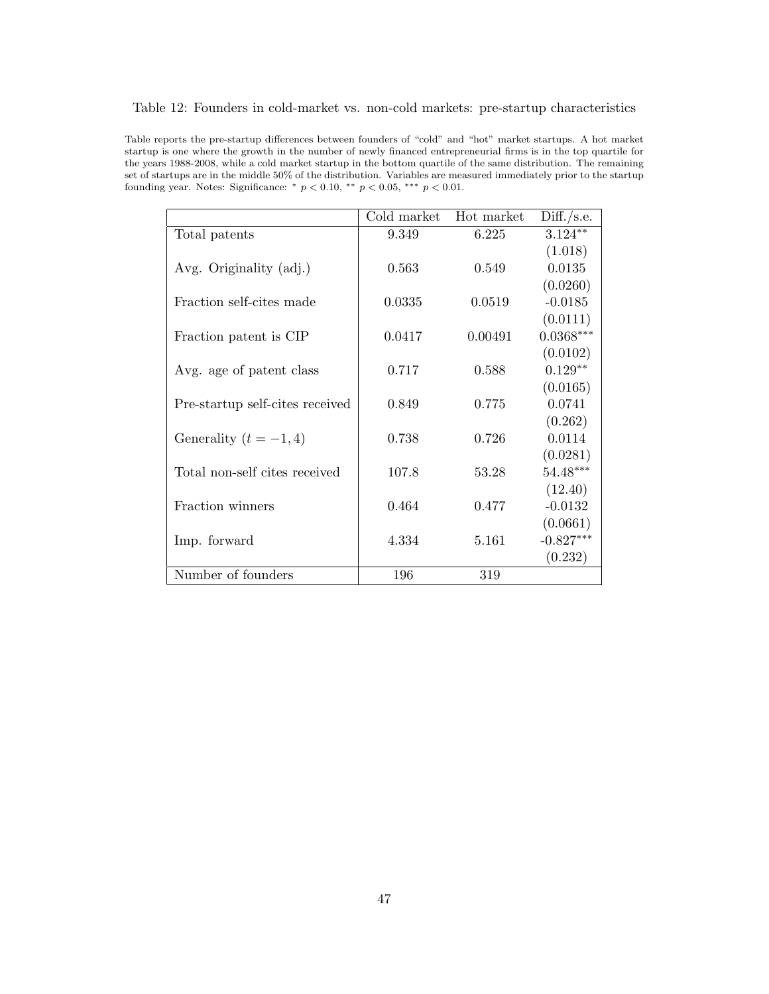| Table 12: Founders in cold-market vs. non-cold markets: pre-startup characteristics |  |
|-------------------------------------------------------------------------------------|--|
|-------------------------------------------------------------------------------------|--|

Table reports the pre-startup differences between founders of "cold" and "hot" market startups. A hot market startup is one where the growth in the number of newly financed entrepreneurial firms is in the top quartile for the years 1988-2008, while a cold market startup in the bottom quartile of the same distribution. The remaining set of startups are in the middle 50% of the distribution. Variables are measured immediately prior to the startup founding year. Notes: Significance:  $* p < 0.10, ** p < 0.05, ** p < 0.01$ .

|                                 | Cold market | Hot market | Diff./s.e.  |
|---------------------------------|-------------|------------|-------------|
| Total patents                   | 9.349       | 6.225      | $3.124***$  |
|                                 |             |            | (1.018)     |
| Avg. Originality (adj.)         | 0.563       | 0.549      | 0.0135      |
|                                 |             |            | (0.0260)    |
| Fraction self-cites made        | 0.0335      | 0.0519     | $-0.0185$   |
|                                 |             |            | (0.0111)    |
| Fraction patent is CIP          | 0.0417      | 0.00491    | $0.0368***$ |
|                                 |             |            | (0.0102)    |
| Avg. age of patent class        | 0.717       | 0.588      | $0.129**$   |
|                                 |             |            | (0.0165)    |
| Pre-startup self-cites received | 0.849       | 0.775      | 0.0741      |
|                                 |             |            | (0.262)     |
| Generality $(t = -1, 4)$        | 0.738       | 0.726      | 0.0114      |
|                                 |             |            | (0.0281)    |
| Total non-self cites received   | 107.8       | 53.28      | $54.48***$  |
|                                 |             |            | (12.40)     |
| Fraction winners                | 0.464       | 0.477      | $-0.0132$   |
|                                 |             |            | (0.0661)    |
| Imp. forward                    | 4.334       | 5.161      | $-0.827***$ |
|                                 |             |            | (0.232)     |
| Number of founders              | 196         | 319        |             |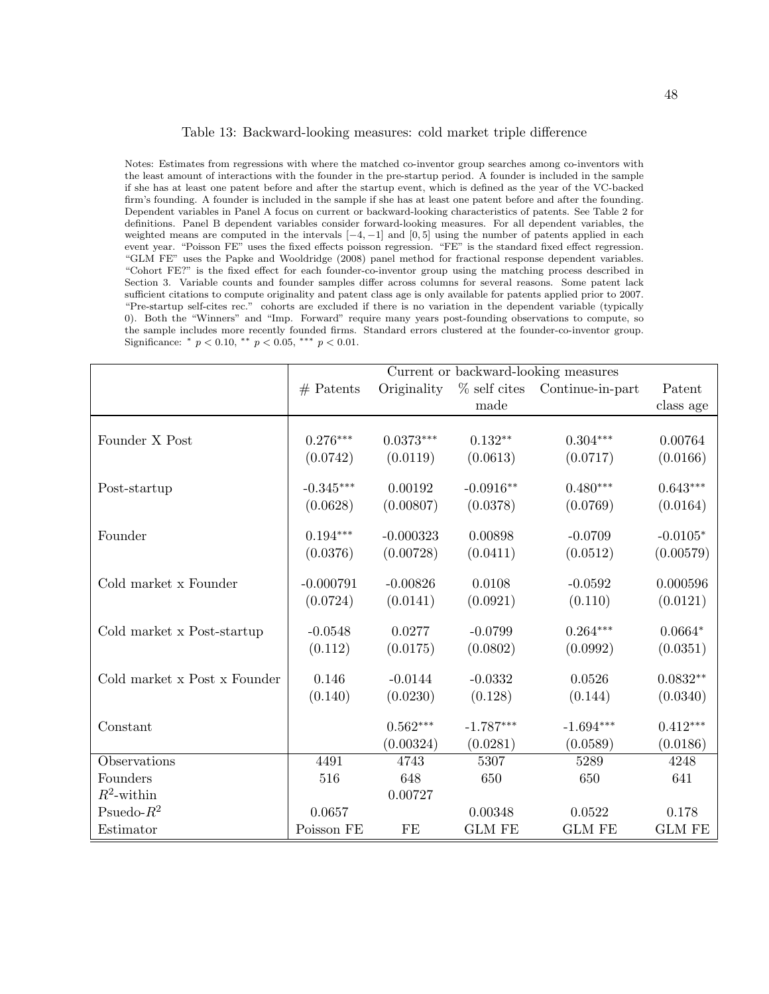#### Table 13: Backward-looking measures: cold market triple difference

Notes: Estimates from regressions with where the matched co-inventor group searches among co-inventors with the least amount of interactions with the founder in the pre-startup period. A founder is included in the sample if she has at least one patent before and after the startup event, which is defined as the year of the VC-backed firm's founding. A founder is included in the sample if she has at least one patent before and after the founding. Dependent variables in Panel A focus on current or backward-looking characteristics of patents. See Table 2 for definitions. Panel B dependent variables consider forward-looking measures. For all dependent variables, the weighted means are computed in the intervals  $[-4, -1]$  and  $[0, 5]$  using the number of patents applied in each event year. "Poisson FE" uses the fixed effects poisson regression. "FE" is the standard fixed effect regression. "GLM FE" uses the Papke and Wooldridge (2008) panel method for fractional response dependent variables. "Cohort FE?" is the fixed effect for each founder-co-inventor group using the matching process described in Section 3. Variable counts and founder samples differ across columns for several reasons. Some patent lack sufficient citations to compute originality and patent class age is only available for patents applied prior to 2007. "Pre-startup self-cites rec." cohorts are excluded if there is no variation in the dependent variable (typically 0). Both the "Winners" and "Imp. Forward" require many years post-founding observations to compute, so the sample includes more recently founded firms. Standard errors clustered at the founder-co-inventor group. Significance:  $*$   $p < 0.10$ ,  $**$   $p < 0.05$ ,  $**$   $p < 0.01$ .

|                              | Current or backward-looking measures |             |                |                  |               |
|------------------------------|--------------------------------------|-------------|----------------|------------------|---------------|
|                              | $#$ Patents                          | Originality | $%$ self cites | Continue-in-part | Patent        |
|                              |                                      |             | made           |                  | class age     |
|                              |                                      |             |                |                  |               |
| Founder X Post               | $0.276***$                           | $0.0373***$ | $0.132**$      | $0.304***$       | 0.00764       |
|                              | (0.0742)                             | (0.0119)    | (0.0613)       | (0.0717)         | (0.0166)      |
| Post-startup                 | $-0.345***$                          | 0.00192     | $-0.0916**$    | $0.480***$       | $0.643***$    |
|                              | (0.0628)                             | (0.00807)   | (0.0378)       | (0.0769)         | (0.0164)      |
| Founder                      | $0.194***$                           | $-0.000323$ | 0.00898        | $-0.0709$        | $-0.0105*$    |
|                              | (0.0376)                             | (0.00728)   | (0.0411)       | (0.0512)         | (0.00579)     |
| Cold market x Founder        | $-0.000791$                          | $-0.00826$  | 0.0108         | $-0.0592$        | 0.000596      |
|                              | (0.0724)                             | (0.0141)    | (0.0921)       | (0.110)          | (0.0121)      |
| Cold market x Post-startup   | $-0.0548$                            | 0.0277      | $-0.0799$      | $0.264***$       | $0.0664*$     |
|                              | (0.112)                              | (0.0175)    | (0.0802)       | (0.0992)         | (0.0351)      |
| Cold market x Post x Founder | 0.146                                | $-0.0144$   | $-0.0332$      | 0.0526           | $0.0832**$    |
|                              | (0.140)                              | (0.0230)    | (0.128)        | (0.144)          | (0.0340)      |
| Constant                     |                                      | $0.562***$  | $-1.787***$    | $-1.694***$      | $0.412***$    |
|                              |                                      | (0.00324)   | (0.0281)       | (0.0589)         | (0.0186)      |
| Observations                 | 4491                                 | 4743        | 5307           | 5289             | 4248          |
| Founders                     | 516                                  | 648         | 650            | 650              | 641           |
| $R^2$ -within                |                                      | 0.00727     |                |                  |               |
| Psuedo- $R^2$                | 0.0657                               |             | 0.00348        | 0.0522           | 0.178         |
| Estimator                    | Poisson FE                           | FE          | <b>GLM FE</b>  | <b>GLM FE</b>    | <b>GLM FE</b> |